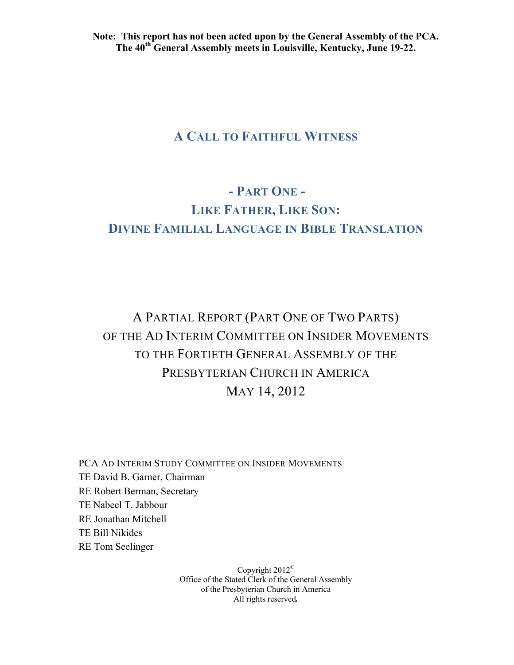## **A CALL TO FAITHFUL WITNESS**

# **- PART ONE - LIKE FATHER, LIKE SON: DIVINE FAMILIAL LANGUAGE IN BIBLE TRANSLATION**

# A PARTIAL REPORT (PART ONE OF TWO PARTS) OF THE AD INTERIM COMMITTEE ON INSIDER MOVEMENTS TO THE FORTIETH GENERAL ASSEMBLY OF THE PRESBYTERIAN CHURCH IN AMERICA MAY 14, 2012

PCA AD INTERIM STUDY COMMITTEE ON INSIDER MOVEMENTS TE David B. Garner, Chairman RE Robert Berman, Secretary TE Nabeel T. Jabbour RE Jonathan Mitchell TE Bill Nikides RE Tom Seelinger

> Copyright 2012© Office of the Stated Clerk of the General Assembly of the Presbyterian Church in America All rights reserved*.*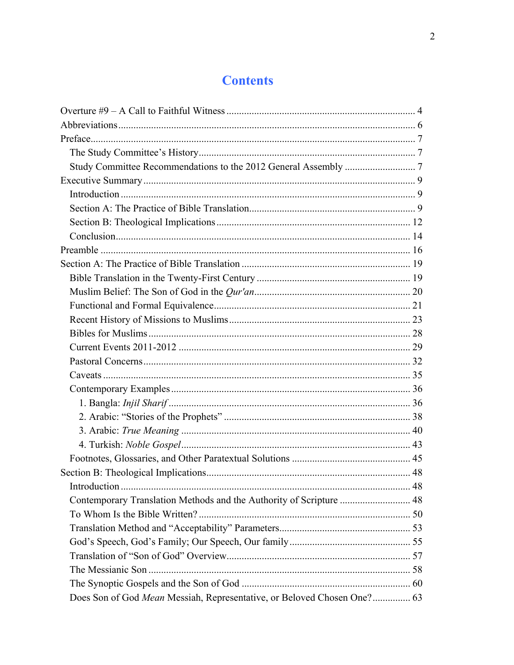## **Contents**

| Contemporary Translation Methods and the Authority of Scripture  48     |  |
|-------------------------------------------------------------------------|--|
|                                                                         |  |
|                                                                         |  |
|                                                                         |  |
|                                                                         |  |
|                                                                         |  |
|                                                                         |  |
| Does Son of God Mean Messiah, Representative, or Beloved Chosen One? 63 |  |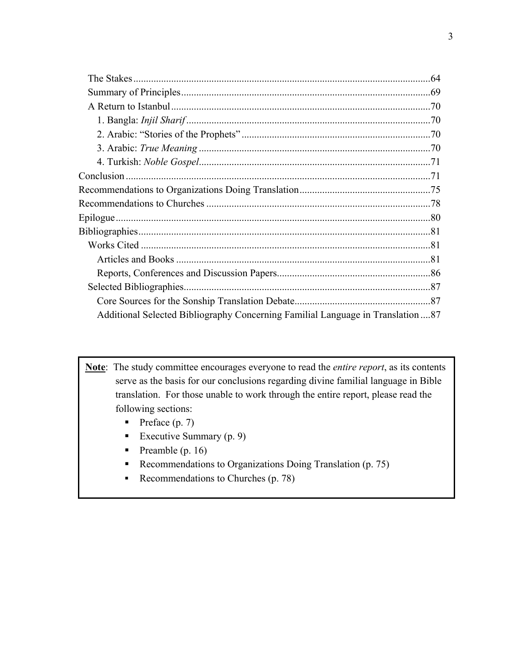| Additional Selected Bibliography Concerning Familial Language in Translation87 |  |
|--------------------------------------------------------------------------------|--|

**Note**: The study committee encourages everyone to read the *entire report*, as its contents serve as the basis for our conclusions regarding divine familial language in Bible translation. For those unable to work through the entire report, please read the following sections:

- Preface  $(p. 7)$
- Executive Summary  $(p, 9)$
- Preamble (p. 16)
- Recommendations to Organizations Doing Translation (p. 75)
- Recommendations to Churches (p. 78)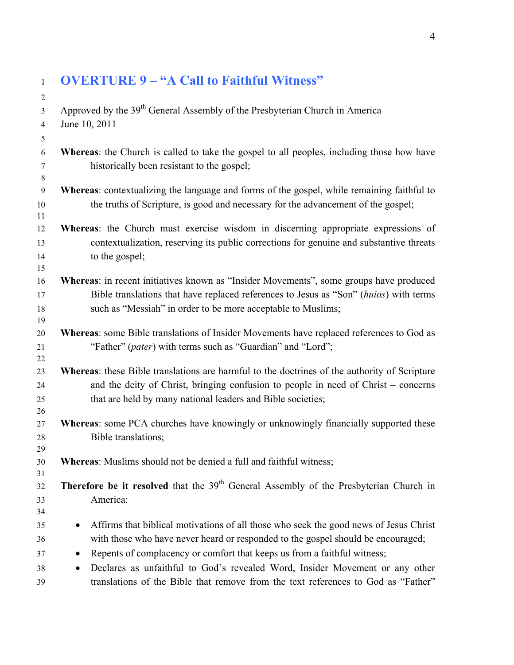| $\mathbf{1}$   | <b>OVERTURE 9 – "A Call to Faithful Witness"</b>                                                                                                                                |  |  |  |
|----------------|---------------------------------------------------------------------------------------------------------------------------------------------------------------------------------|--|--|--|
| 2              |                                                                                                                                                                                 |  |  |  |
| $\mathfrak{Z}$ | Approved by the 39 <sup>th</sup> General Assembly of the Presbyterian Church in America                                                                                         |  |  |  |
| $\overline{4}$ | June 10, 2011                                                                                                                                                                   |  |  |  |
| 5              |                                                                                                                                                                                 |  |  |  |
| 6<br>$\tau$    | Whereas: the Church is called to take the gospel to all peoples, including those how have<br>historically been resistant to the gospel;                                         |  |  |  |
| $8\,$          |                                                                                                                                                                                 |  |  |  |
| 9<br>10<br>11  | Whereas: contextualizing the language and forms of the gospel, while remaining faithful to<br>the truths of Scripture, is good and necessary for the advancement of the gospel; |  |  |  |
| 12             | Whereas: the Church must exercise wisdom in discerning appropriate expressions of                                                                                               |  |  |  |
| 13             | contextualization, reserving its public corrections for genuine and substantive threats                                                                                         |  |  |  |
| 14             | to the gospel;                                                                                                                                                                  |  |  |  |
| 15<br>16       | Whereas: in recent initiatives known as "Insider Movements", some groups have produced                                                                                          |  |  |  |
| 17             | Bible translations that have replaced references to Jesus as "Son" (huios) with terms                                                                                           |  |  |  |
| 18<br>19       | such as "Messiah" in order to be more acceptable to Muslims;                                                                                                                    |  |  |  |
| 20             | Whereas: some Bible translations of Insider Movements have replaced references to God as                                                                                        |  |  |  |
| 21<br>22       | "Father" (pater) with terms such as "Guardian" and "Lord";                                                                                                                      |  |  |  |
| 23             | <b>Whereas:</b> these Bible translations are harmful to the doctrines of the authority of Scripture                                                                             |  |  |  |
| 24             | and the deity of Christ, bringing confusion to people in need of Christ – concerns                                                                                              |  |  |  |
| 25             | that are held by many national leaders and Bible societies;                                                                                                                     |  |  |  |
| 26             |                                                                                                                                                                                 |  |  |  |
| 27             | <b>Whereas:</b> some PCA churches have knowingly or unknowingly financially supported these                                                                                     |  |  |  |
| $28\,$<br>29   | Bible translations;                                                                                                                                                             |  |  |  |
| 30             | Whereas: Muslims should not be denied a full and faithful witness;                                                                                                              |  |  |  |
| 31             |                                                                                                                                                                                 |  |  |  |
| 32             | Therefore be it resolved that the 39 <sup>th</sup> General Assembly of the Presbyterian Church in                                                                               |  |  |  |
| 33<br>34       | America:                                                                                                                                                                        |  |  |  |
| 35             | Affirms that biblical motivations of all those who seek the good news of Jesus Christ                                                                                           |  |  |  |
| 36             | with those who have never heard or responded to the gospel should be encouraged;                                                                                                |  |  |  |
| 37             | Repents of complacency or comfort that keeps us from a faithful witness;                                                                                                        |  |  |  |
| 38             | Declares as unfaithful to God's revealed Word, Insider Movement or any other                                                                                                    |  |  |  |
| 39             | translations of the Bible that remove from the text references to God as "Father"                                                                                               |  |  |  |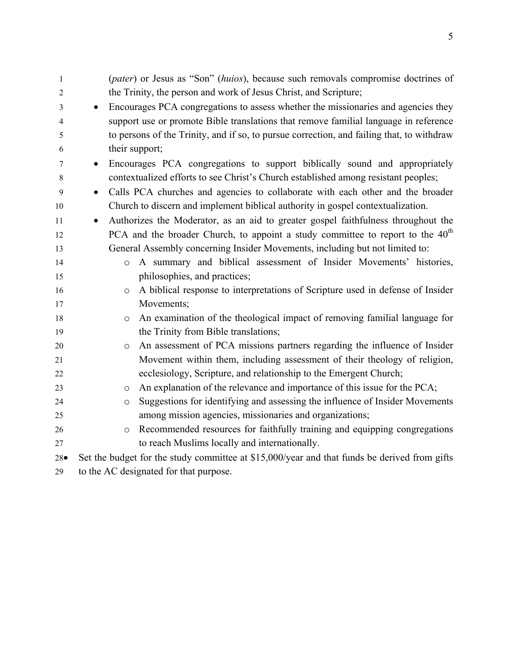| $\mathbf{1}$   | (pater) or Jesus as "Son" (huios), because such removals compromise doctrines of             |
|----------------|----------------------------------------------------------------------------------------------|
| $\sqrt{2}$     | the Trinity, the person and work of Jesus Christ, and Scripture;                             |
| 3              | Encourages PCA congregations to assess whether the missionaries and agencies they            |
| 4              | support use or promote Bible translations that remove familial language in reference         |
| 5              | to persons of the Trinity, and if so, to pursue correction, and failing that, to withdraw    |
| 6              | their support;                                                                               |
| $\overline{7}$ | Encourages PCA congregations to support biblically sound and appropriately                   |
| $8\,$          | contextualized efforts to see Christ's Church established among resistant peoples;           |
| 9              | Calls PCA churches and agencies to collaborate with each other and the broader<br>$\bullet$  |
| 10             | Church to discern and implement biblical authority in gospel contextualization.              |
| 11             | Authorizes the Moderator, as an aid to greater gospel faithfulness throughout the            |
| 12             | PCA and the broader Church, to appoint a study committee to report to the 40 <sup>th</sup>   |
| 13             | General Assembly concerning Insider Movements, including but not limited to:                 |
| 14             | A summary and biblical assessment of Insider Movements' histories,<br>$\circ$                |
| 15             | philosophies, and practices;                                                                 |
| 16             | A biblical response to interpretations of Scripture used in defense of Insider<br>$\circ$    |
| 17             | Movements;                                                                                   |
| 18             | An examination of the theological impact of removing familial language for<br>$\circ$        |
| 19             | the Trinity from Bible translations;                                                         |
| $20\,$         | An assessment of PCA missions partners regarding the influence of Insider<br>$\circ$         |
| 21             | Movement within them, including assessment of their theology of religion,                    |
| 22             | ecclesiology, Scripture, and relationship to the Emergent Church;                            |
| 23             | An explanation of the relevance and importance of this issue for the PCA;<br>$\circ$         |
| 24             | Suggestions for identifying and assessing the influence of Insider Movements<br>$\circ$      |
| 25             | among mission agencies, missionaries and organizations;                                      |
| 26             | Recommended resources for faithfully training and equipping congregations<br>$\circ$         |
| 27             | to reach Muslims locally and internationally.                                                |
| $28\bullet$    | Set the budget for the study committee at \$15,000/year and that funds be derived from gifts |
|                | $\sim$ 10 $\sim$ 1                                                                           |

29 to the AC designated for that purpose.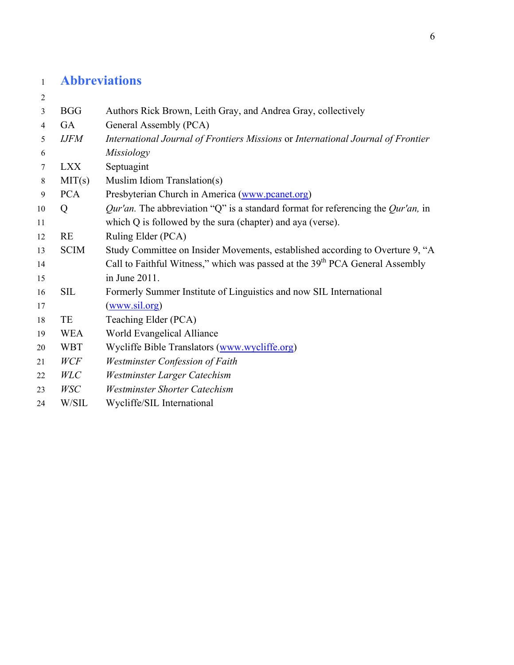## <sup>1</sup>**Abbreviations**

 $\overline{a}$ 

| $\overline{3}$ | <b>BGG</b>  | Authors Rick Brown, Leith Gray, and Andrea Gray, collectively                                    |
|----------------|-------------|--------------------------------------------------------------------------------------------------|
| $\overline{4}$ | GA          | General Assembly (PCA)                                                                           |
| 5              | <b>IJFM</b> | International Journal of Frontiers Missions or International Journal of Frontier                 |
| 6              |             | Missiology                                                                                       |
| 7              | <b>LXX</b>  | Septuagint                                                                                       |
| 8              | MIT(s)      | Muslim Idiom Translation(s)                                                                      |
| 9              | <b>PCA</b>  | Presbyterian Church in America (www.pcanet.org)                                                  |
| 10             | Q           | <i>Qur'an</i> . The abbreviation "Q" is a standard format for referencing the <i>Qur'an</i> , in |
| 11             |             | which Q is followed by the sura (chapter) and aya (verse).                                       |
| 12             | <b>RE</b>   | Ruling Elder (PCA)                                                                               |
| 13             | <b>SCIM</b> | Study Committee on Insider Movements, established according to Overture 9, "A                    |
| 14             |             | Call to Faithful Witness," which was passed at the 39 <sup>th</sup> PCA General Assembly         |
| 15             |             | in June 2011.                                                                                    |
| 16             | <b>SIL</b>  | Formerly Summer Institute of Linguistics and now SIL International                               |
| 17             |             | ( <u>www.sil.org</u> )                                                                           |
| 18             | TE          | Teaching Elder (PCA)                                                                             |
| 19             | <b>WEA</b>  | World Evangelical Alliance                                                                       |
| 20             | <b>WBT</b>  | Wycliffe Bible Translators (www.wycliffe.org)                                                    |
| 21             | WCF         | Westminster Confession of Faith                                                                  |
| 22             | WLC         | Westminster Larger Catechism                                                                     |
| 23             | WSC         | <b>Westminster Shorter Catechism</b>                                                             |
| 24             | W/SIL       | Wycliffe/SIL International                                                                       |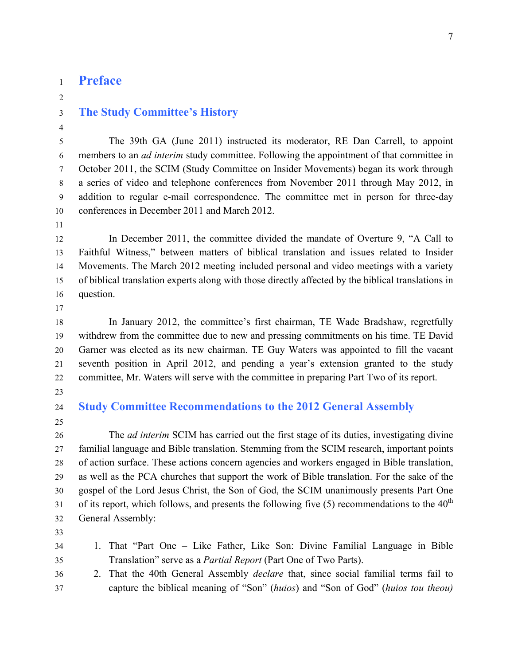- <sup>1</sup>**Preface**
- 2

4

## 3 **The Study Committee's History**

- 5 The 39th GA (June 2011) instructed its moderator, RE Dan Carrell, to appoint 6 members to an *ad interim* study committee. Following the appointment of that committee in 7 October 2011, the SCIM (Study Committee on Insider Movements) began its work through 8 a series of video and telephone conferences from November 2011 through May 2012, in 9 addition to regular e-mail correspondence. The committee met in person for three-day 10 conferences in December 2011 and March 2012.
- 11

12 In December 2011, the committee divided the mandate of Overture 9, "A Call to 13 Faithful Witness," between matters of biblical translation and issues related to Insider 14 Movements. The March 2012 meeting included personal and video meetings with a variety 15 of biblical translation experts along with those directly affected by the biblical translations in 16 question.

17

18 In January 2012, the committee's first chairman, TE Wade Bradshaw, regretfully 19 withdrew from the committee due to new and pressing commitments on his time. TE David 20 Garner was elected as its new chairman. TE Guy Waters was appointed to fill the vacant 21 seventh position in April 2012, and pending a year's extension granted to the study 22 committee, Mr. Waters will serve with the committee in preparing Part Two of its report.

23

## 24 **Study Committee Recommendations to the 2012 General Assembly**

25

26 The *ad interim* SCIM has carried out the first stage of its duties, investigating divine 27 familial language and Bible translation. Stemming from the SCIM research, important points 28 of action surface. These actions concern agencies and workers engaged in Bible translation, 29 as well as the PCA churches that support the work of Bible translation. For the sake of the 30 gospel of the Lord Jesus Christ, the Son of God, the SCIM unanimously presents Part One of its report, which follows, and presents the following five  $(5)$  recommendations to the  $40<sup>th</sup>$ 32 General Assembly:

- 33
- 34 1. That "Part One Like Father, Like Son: Divine Familial Language in Bible 35 Translation" serve as a *Partial Report* (Part One of Two Parts).
- 36 2. That the 40th General Assembly *declare* that, since social familial terms fail to 37 capture the biblical meaning of "Son" (*huios*) and "Son of God" (*huios tou theou)*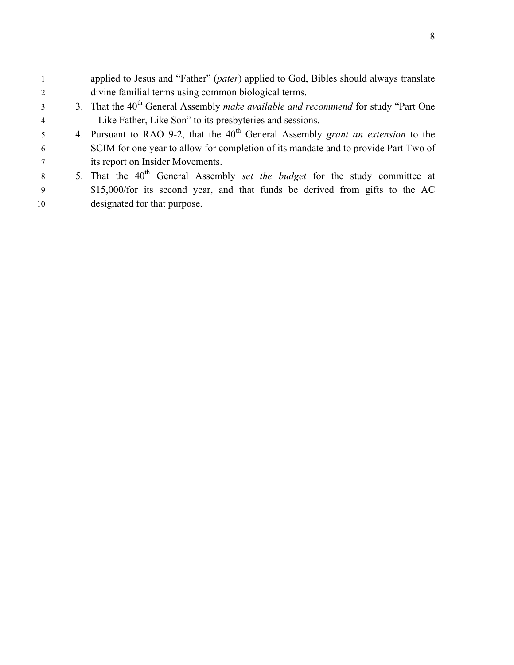- 1 applied to Jesus and "Father" (*pater*) applied to God, Bibles should always translate 2 divine familial terms using common biological terms.
- 3. That the 40<sup>th</sup> General Assembly *make available and recommend* for study "Part One" 4 – Like Father, Like Son" to its presbyteries and sessions.
- 5 4. Pursuant to RAO 9-2, that the 40<sup>th</sup> General Assembly *grant an extension* to the 6 SCIM for one year to allow for completion of its mandate and to provide Part Two of 7 its report on Insider Movements.
- 5. That the 40<sup>th</sup> General Assembly *set the budget* for the study committee at 9 \$15,000/for its second year, and that funds be derived from gifts to the AC 10 designated for that purpose.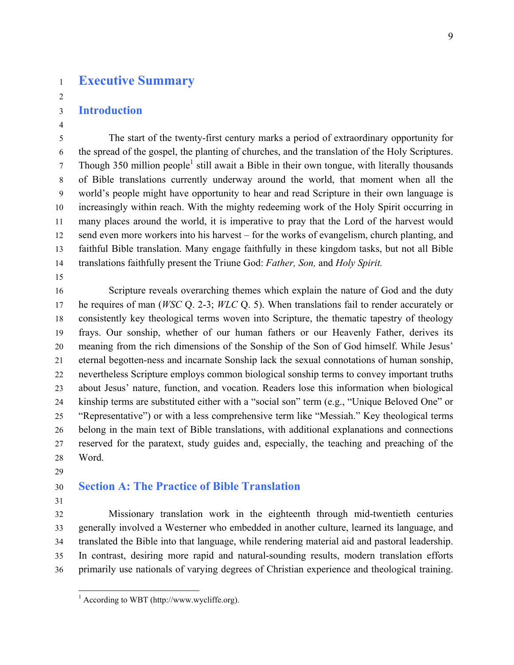- <sup>1</sup>**Executive Summary**
- 2

4

### 3 **Introduction**

5 The start of the twenty-first century marks a period of extraordinary opportunity for 6 the spread of the gospel, the planting of churches, and the translation of the Holy Scriptures.  $\sigma$  Though 350 million people<sup>1</sup> still await a Bible in their own tongue, with literally thousands 8 of Bible translations currently underway around the world, that moment when all the 9 world's people might have opportunity to hear and read Scripture in their own language is 10 increasingly within reach. With the mighty redeeming work of the Holy Spirit occurring in 11 many places around the world, it is imperative to pray that the Lord of the harvest would 12 send even more workers into his harvest – for the works of evangelism, church planting, and 13 faithful Bible translation. Many engage faithfully in these kingdom tasks, but not all Bible 14 translations faithfully present the Triune God: *Father, Son,* and *Holy Spirit.* 

15

16 Scripture reveals overarching themes which explain the nature of God and the duty 17 he requires of man (*WSC* Q. 2-3; *WLC* Q. 5). When translations fail to render accurately or 18 consistently key theological terms woven into Scripture, the thematic tapestry of theology 19 frays. Our sonship, whether of our human fathers or our Heavenly Father, derives its 20 meaning from the rich dimensions of the Sonship of the Son of God himself. While Jesus' 21 eternal begotten-ness and incarnate Sonship lack the sexual connotations of human sonship, 22 nevertheless Scripture employs common biological sonship terms to convey important truths 23 about Jesus' nature, function, and vocation. Readers lose this information when biological 24 kinship terms are substituted either with a "social son" term (e.g., "Unique Beloved One" or 25 "Representative") or with a less comprehensive term like "Messiah." Key theological terms 26 belong in the main text of Bible translations, with additional explanations and connections 27 reserved for the paratext, study guides and, especially, the teaching and preaching of the 28 Word.

29

## 30 **Section A: The Practice of Bible Translation**

31

32 Missionary translation work in the eighteenth through mid-twentieth centuries 33 generally involved a Westerner who embedded in another culture, learned its language, and 34 translated the Bible into that language, while rendering material aid and pastoral leadership. 35 In contrast, desiring more rapid and natural-sounding results, modern translation efforts 36 primarily use nationals of varying degrees of Christian experience and theological training.

<sup>1</sup> According to WBT (http://www.wycliffe.org).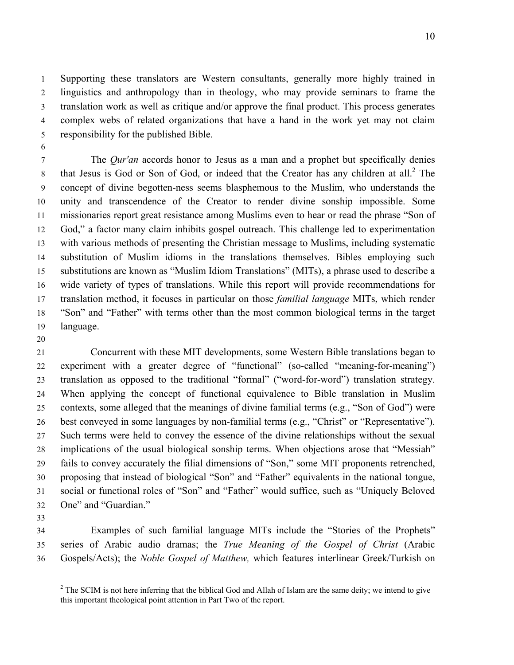1 Supporting these translators are Western consultants, generally more highly trained in 2 linguistics and anthropology than in theology, who may provide seminars to frame the 3 translation work as well as critique and/or approve the final product. This process generates 4 complex webs of related organizations that have a hand in the work yet may not claim 5 responsibility for the published Bible.

6

7 The *Qur'an* accords honor to Jesus as a man and a prophet but specifically denies that Jesus is God or Son of God, or indeed that the Creator has any children at all.<sup>2</sup> The 9 concept of divine begotten-ness seems blasphemous to the Muslim, who understands the 10 unity and transcendence of the Creator to render divine sonship impossible. Some 11 missionaries report great resistance among Muslims even to hear or read the phrase "Son of 12 God," a factor many claim inhibits gospel outreach. This challenge led to experimentation 13 with various methods of presenting the Christian message to Muslims, including systematic 14 substitution of Muslim idioms in the translations themselves. Bibles employing such 15 substitutions are known as "Muslim Idiom Translations" (MITs), a phrase used to describe a 16 wide variety of types of translations. While this report will provide recommendations for 17 translation method, it focuses in particular on those *familial language* MITs, which render 18 "Son" and "Father" with terms other than the most common biological terms in the target 19 language.

20

21 Concurrent with these MIT developments, some Western Bible translations began to 22 experiment with a greater degree of "functional" (so-called "meaning-for-meaning") 23 translation as opposed to the traditional "formal" ("word-for-word") translation strategy. 24 When applying the concept of functional equivalence to Bible translation in Muslim 25 contexts, some alleged that the meanings of divine familial terms (e.g., "Son of God") were 26 best conveyed in some languages by non-familial terms (e.g., "Christ" or "Representative"). 27 Such terms were held to convey the essence of the divine relationships without the sexual 28 implications of the usual biological sonship terms. When objections arose that "Messiah" 29 fails to convey accurately the filial dimensions of "Son," some MIT proponents retrenched, 30 proposing that instead of biological "Son" and "Father" equivalents in the national tongue, 31 social or functional roles of "Son" and "Father" would suffice, such as "Uniquely Beloved 32 One" and "Guardian."

33

34 Examples of such familial language MITs include the "Stories of the Prophets" 35 series of Arabic audio dramas; the *True Meaning of the Gospel of Christ* (Arabic 36 Gospels/Acts); the *Noble Gospel of Matthew,* which features interlinear Greek/Turkish on

<sup>&</sup>lt;sup>2</sup> The SCIM is not here inferring that the biblical God and Allah of Islam are the same deity; we intend to give this important theological point attention in Part Two of the report.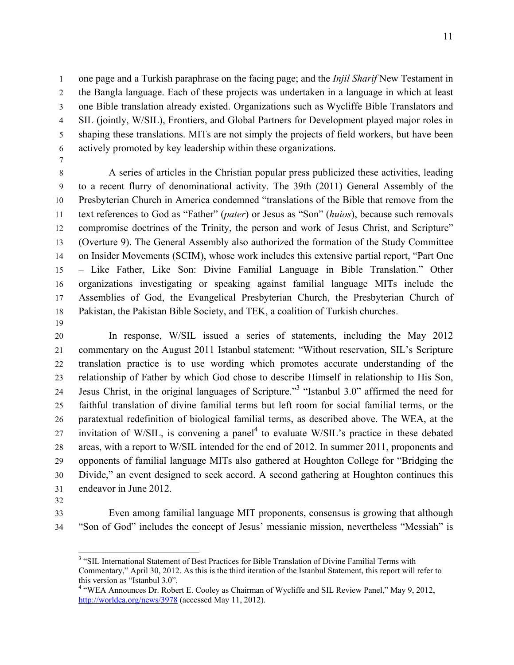1 one page and a Turkish paraphrase on the facing page; and the *Injil Sharif* New Testament in 2 the Bangla language. Each of these projects was undertaken in a language in which at least 3 one Bible translation already existed. Organizations such as Wycliffe Bible Translators and 4 SIL (jointly, W/SIL), Frontiers, and Global Partners for Development played major roles in 5 shaping these translations. MITs are not simply the projects of field workers, but have been 6 actively promoted by key leadership within these organizations.

7

8 A series of articles in the Christian popular press publicized these activities, leading 9 to a recent flurry of denominational activity. The 39th (2011) General Assembly of the 10 Presbyterian Church in America condemned "translations of the Bible that remove from the 11 text references to God as "Father" (*pater*) or Jesus as "Son" (*huios*), because such removals 12 compromise doctrines of the Trinity, the person and work of Jesus Christ, and Scripture" 13 (Overture 9). The General Assembly also authorized the formation of the Study Committee 14 on Insider Movements (SCIM), whose work includes this extensive partial report, "Part One 15 – Like Father, Like Son: Divine Familial Language in Bible Translation." Other 16 organizations investigating or speaking against familial language MITs include the 17 Assemblies of God, the Evangelical Presbyterian Church, the Presbyterian Church of 18 Pakistan, the Pakistan Bible Society, and TEK, a coalition of Turkish churches.

19

20 In response, W/SIL issued a series of statements, including the May 2012 21 commentary on the August 2011 Istanbul statement: "Without reservation, SIL's Scripture 22 translation practice is to use wording which promotes accurate understanding of the 23 relationship of Father by which God chose to describe Himself in relationship to His Son, 24 Jesus Christ, in the original languages of Scripture.<sup>33</sup> "Istanbul 3.0" affirmed the need for 25 faithful translation of divine familial terms but left room for social familial terms, or the 26 paratextual redefinition of biological familial terms, as described above. The WEA, at the 27 invitation of W/SIL, is convening a panel<sup>4</sup> to evaluate W/SIL's practice in these debated 28 areas, with a report to W/SIL intended for the end of 2012. In summer 2011, proponents and 29 opponents of familial language MITs also gathered at Houghton College for "Bridging the 30 Divide," an event designed to seek accord. A second gathering at Houghton continues this 31 endeavor in June 2012.

- 32
- 

<u> 1989 - Johann Stein, marwolaethau a bh</u>

33 Even among familial language MIT proponents, consensus is growing that although 34 "Son of God" includes the concept of Jesus' messianic mission, nevertheless "Messiah" is

<sup>&</sup>lt;sup>3</sup> "SIL International Statement of Best Practices for Bible Translation of Divine Familial Terms with Commentary," April 30, 2012. As this is the third iteration of the Istanbul Statement, this report will refer to this version as "Istanbul 3.0".

<sup>&</sup>lt;sup>4</sup> "WEA Announces Dr. Robert E. Cooley as Chairman of Wycliffe and SIL Review Panel," May 9, 2012, http://worldea.org/news/3978 (accessed May 11, 2012).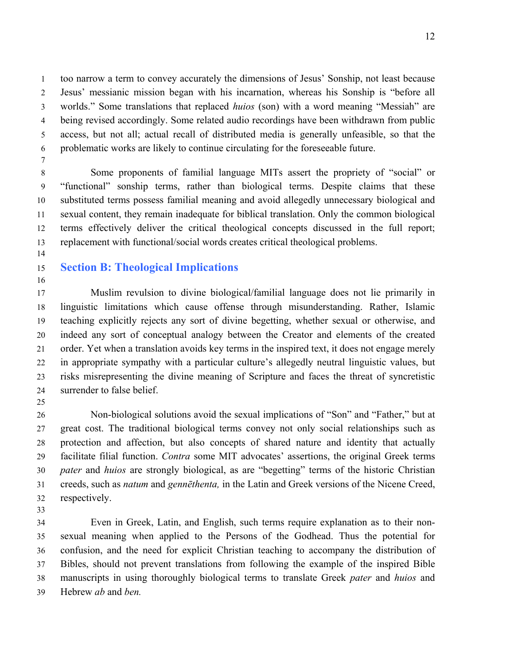1 too narrow a term to convey accurately the dimensions of Jesus' Sonship, not least because 2 Jesus' messianic mission began with his incarnation, whereas his Sonship is "before all 3 worlds." Some translations that replaced *huios* (son) with a word meaning "Messiah" are 4 being revised accordingly. Some related audio recordings have been withdrawn from public 5 access, but not all; actual recall of distributed media is generally unfeasible, so that the 6 problematic works are likely to continue circulating for the foreseeable future.

7

8 Some proponents of familial language MITs assert the propriety of "social" or 9 "functional" sonship terms, rather than biological terms. Despite claims that these 10 substituted terms possess familial meaning and avoid allegedly unnecessary biological and 11 sexual content, they remain inadequate for biblical translation. Only the common biological 12 terms effectively deliver the critical theological concepts discussed in the full report; 13 replacement with functional/social words creates critical theological problems.

14

16

25

33

## 15 **Section B: Theological Implications**

17 Muslim revulsion to divine biological/familial language does not lie primarily in 18 linguistic limitations which cause offense through misunderstanding. Rather, Islamic 19 teaching explicitly rejects any sort of divine begetting, whether sexual or otherwise, and 20 indeed any sort of conceptual analogy between the Creator and elements of the created 21 order. Yet when a translation avoids key terms in the inspired text, it does not engage merely 22 in appropriate sympathy with a particular culture's allegedly neutral linguistic values, but 23 risks misrepresenting the divine meaning of Scripture and faces the threat of syncretistic 24 surrender to false belief.

26 Non-biological solutions avoid the sexual implications of "Son" and "Father," but at 27 great cost. The traditional biological terms convey not only social relationships such as 28 protection and affection, but also concepts of shared nature and identity that actually 29 facilitate filial function. *Contra* some MIT advocates' assertions, the original Greek terms 30 *pater* and *huios* are strongly biological, as are "begetting" terms of the historic Christian 31 creeds, such as *natum* and *gennēthenta,* in the Latin and Greek versions of the Nicene Creed, 32 respectively.

34 Even in Greek, Latin, and English, such terms require explanation as to their non-35 sexual meaning when applied to the Persons of the Godhead. Thus the potential for 36 confusion, and the need for explicit Christian teaching to accompany the distribution of 37 Bibles, should not prevent translations from following the example of the inspired Bible 38 manuscripts in using thoroughly biological terms to translate Greek *pater* and *huios* and 39 Hebrew *ab* and *ben.*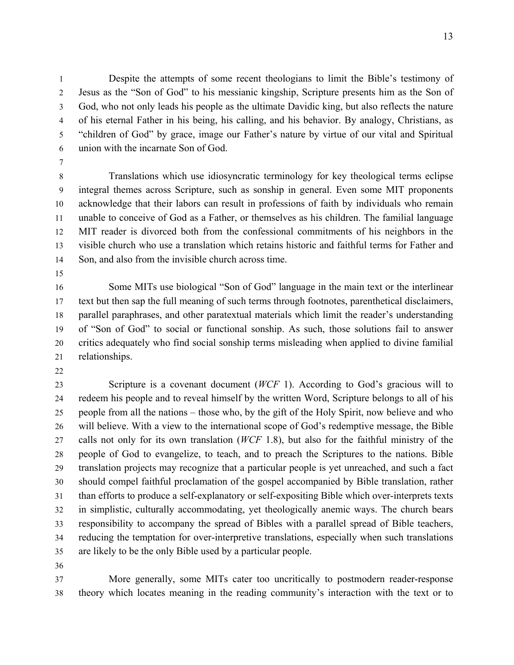1 Despite the attempts of some recent theologians to limit the Bible's testimony of 2 Jesus as the "Son of God" to his messianic kingship, Scripture presents him as the Son of 3 God, who not only leads his people as the ultimate Davidic king, but also reflects the nature 4 of his eternal Father in his being, his calling, and his behavior. By analogy, Christians, as 5 "children of God" by grace, image our Father's nature by virtue of our vital and Spiritual 6 union with the incarnate Son of God.

7

8 Translations which use idiosyncratic terminology for key theological terms eclipse 9 integral themes across Scripture, such as sonship in general. Even some MIT proponents 10 acknowledge that their labors can result in professions of faith by individuals who remain 11 unable to conceive of God as a Father, or themselves as his children. The familial language 12 MIT reader is divorced both from the confessional commitments of his neighbors in the 13 visible church who use a translation which retains historic and faithful terms for Father and 14 Son, and also from the invisible church across time.

15

16 Some MITs use biological "Son of God" language in the main text or the interlinear 17 text but then sap the full meaning of such terms through footnotes, parenthetical disclaimers, 18 parallel paraphrases, and other paratextual materials which limit the reader's understanding 19 of "Son of God" to social or functional sonship. As such, those solutions fail to answer 20 critics adequately who find social sonship terms misleading when applied to divine familial 21 relationships.

22

23 Scripture is a covenant document (*WCF* 1). According to God's gracious will to 24 redeem his people and to reveal himself by the written Word, Scripture belongs to all of his 25 people from all the nations – those who, by the gift of the Holy Spirit, now believe and who 26 will believe. With a view to the international scope of God's redemptive message, the Bible 27 calls not only for its own translation (*WCF* 1.8), but also for the faithful ministry of the 28 people of God to evangelize, to teach, and to preach the Scriptures to the nations. Bible 29 translation projects may recognize that a particular people is yet unreached, and such a fact 30 should compel faithful proclamation of the gospel accompanied by Bible translation, rather 31 than efforts to produce a self-explanatory or self-expositing Bible which over-interprets texts 32 in simplistic, culturally accommodating, yet theologically anemic ways. The church bears 33 responsibility to accompany the spread of Bibles with a parallel spread of Bible teachers, 34 reducing the temptation for over-interpretive translations, especially when such translations 35 are likely to be the only Bible used by a particular people.

36

37 More generally, some MITs cater too uncritically to postmodern reader-response 38 theory which locates meaning in the reading community's interaction with the text or to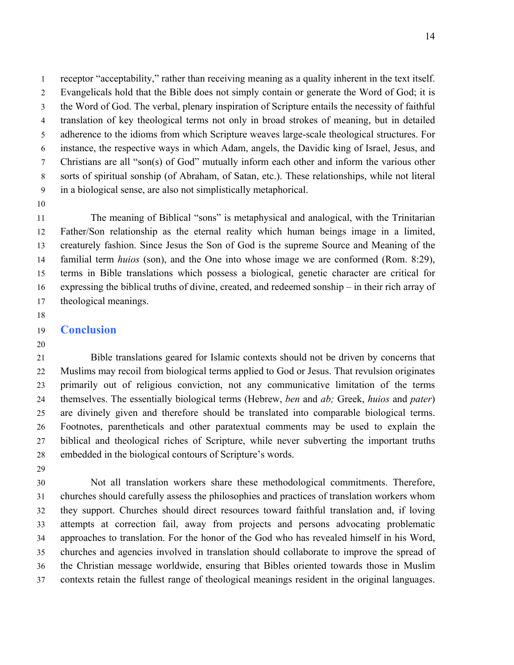1 receptor "acceptability," rather than receiving meaning as a quality inherent in the text itself. 2 Evangelicals hold that the Bible does not simply contain or generate the Word of God; it is 3 the Word of God. The verbal, plenary inspiration of Scripture entails the necessity of faithful 4 translation of key theological terms not only in broad strokes of meaning, but in detailed 5 adherence to the idioms from which Scripture weaves large-scale theological structures. For 6 instance, the respective ways in which Adam, angels, the Davidic king of Israel, Jesus, and 7 Christians are all "son(s) of God" mutually inform each other and inform the various other 8 sorts of spiritual sonship (of Abraham, of Satan, etc.). These relationships, while not literal 9 in a biological sense, are also not simplistically metaphorical.

10

11 The meaning of Biblical "sons" is metaphysical and analogical, with the Trinitarian 12 Father/Son relationship as the eternal reality which human beings image in a limited, 13 creaturely fashion. Since Jesus the Son of God is the supreme Source and Meaning of the 14 familial term *huios* (son), and the One into whose image we are conformed (Rom. 8:29), 15 terms in Bible translations which possess a biological, genetic character are critical for 16 expressing the biblical truths of divine, created, and redeemed sonship – in their rich array of 17 theological meanings.

18

### 19 **Conclusion**

20

21 Bible translations geared for Islamic contexts should not be driven by concerns that 22 Muslims may recoil from biological terms applied to God or Jesus. That revulsion originates 23 primarily out of religious conviction, not any communicative limitation of the terms 24 themselves. The essentially biological terms (Hebrew, *ben* and *ab;* Greek, *huios* and *pater*) 25 are divinely given and therefore should be translated into comparable biological terms. 26 Footnotes, parentheticals and other paratextual comments may be used to explain the 27 biblical and theological riches of Scripture, while never subverting the important truths 28 embedded in the biological contours of Scripture's words.

29

30 Not all translation workers share these methodological commitments. Therefore, 31 churches should carefully assess the philosophies and practices of translation workers whom 32 they support. Churches should direct resources toward faithful translation and, if loving 33 attempts at correction fail, away from projects and persons advocating problematic 34 approaches to translation. For the honor of the God who has revealed himself in his Word, 35 churches and agencies involved in translation should collaborate to improve the spread of 36 the Christian message worldwide, ensuring that Bibles oriented towards those in Muslim 37 contexts retain the fullest range of theological meanings resident in the original languages.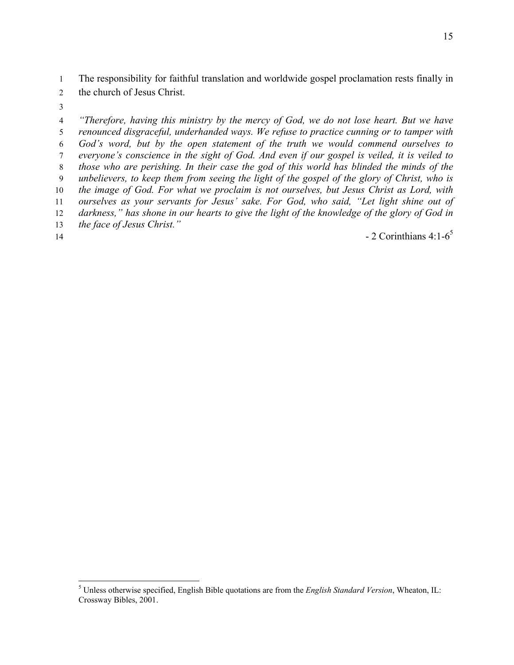1 The responsibility for faithful translation and worldwide gospel proclamation rests finally in 2 the church of Jesus Christ.

*"Therefore, having this ministry by the mercy of God, we do not lose heart. But we have renounced disgraceful, underhanded ways. We refuse to practice cunning or to tamper with God's word, but by the open statement of the truth we would commend ourselves to everyone's conscience in the sight of God. And even if our gospel is veiled, it is veiled to those who are perishing. In their case the god of this world has blinded the minds of the unbelievers, to keep them from seeing the light of the gospel of the glory of Christ, who is the image of God. For what we proclaim is not ourselves, but Jesus Christ as Lord, with ourselves as your servants for Jesus' sake. For God, who said, "Let light shine out of darkness," has shone in our hearts to give the light of the knowledge of the glory of God in the face of Jesus Christ."* 

- 2 Corinthians 4:1-6<sup>5</sup>

 Unless otherwise specified, English Bible quotations are from the *English Standard Version*, Wheaton, IL: Crossway Bibles, 2001.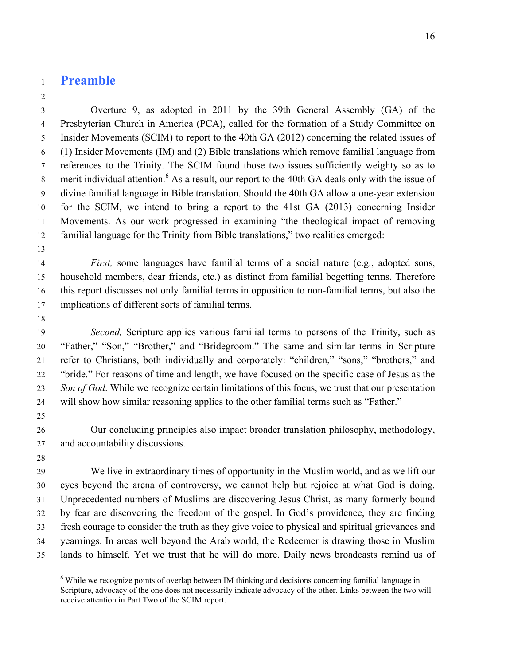## <sup>1</sup>**Preamble**

2

3 Overture 9, as adopted in 2011 by the 39th General Assembly (GA) of the 4 Presbyterian Church in America (PCA), called for the formation of a Study Committee on 5 Insider Movements (SCIM) to report to the 40th GA (2012) concerning the related issues of 6 (1) Insider Movements (IM) and (2) Bible translations which remove familial language from 7 references to the Trinity. The SCIM found those two issues sufficiently weighty so as to 8 merit individual attention.<sup>6</sup> As a result, our report to the 40th GA deals only with the issue of 9 divine familial language in Bible translation. Should the 40th GA allow a one-year extension 10 for the SCIM, we intend to bring a report to the 41st GA (2013) concerning Insider 11 Movements. As our work progressed in examining "the theological impact of removing 12 familial language for the Trinity from Bible translations," two realities emerged:

13

14 *First,* some languages have familial terms of a social nature (e.g., adopted sons, 15 household members, dear friends, etc.) as distinct from familial begetting terms. Therefore 16 this report discusses not only familial terms in opposition to non-familial terms, but also the 17 implications of different sorts of familial terms.

18

19 *Second,* Scripture applies various familial terms to persons of the Trinity, such as 20 "Father," "Son," "Brother," and "Bridegroom." The same and similar terms in Scripture 21 refer to Christians, both individually and corporately: "children," "sons," "brothers," and 22 "bride." For reasons of time and length, we have focused on the specific case of Jesus as the 23 *Son of God*. While we recognize certain limitations of this focus, we trust that our presentation 24 will show how similar reasoning applies to the other familial terms such as "Father."

25

26 Our concluding principles also impact broader translation philosophy, methodology, 27 and accountability discussions.

28

29 We live in extraordinary times of opportunity in the Muslim world, and as we lift our 30 eyes beyond the arena of controversy, we cannot help but rejoice at what God is doing. 31 Unprecedented numbers of Muslims are discovering Jesus Christ, as many formerly bound 32 by fear are discovering the freedom of the gospel. In God's providence, they are finding 33 fresh courage to consider the truth as they give voice to physical and spiritual grievances and 34 yearnings. In areas well beyond the Arab world, the Redeemer is drawing those in Muslim 35 lands to himself. Yet we trust that he will do more. Daily news broadcasts remind us of

<sup>&</sup>lt;sup>6</sup> While we recognize points of overlap between IM thinking and decisions concerning familial language in Scripture, advocacy of the one does not necessarily indicate advocacy of the other. Links between the two will receive attention in Part Two of the SCIM report.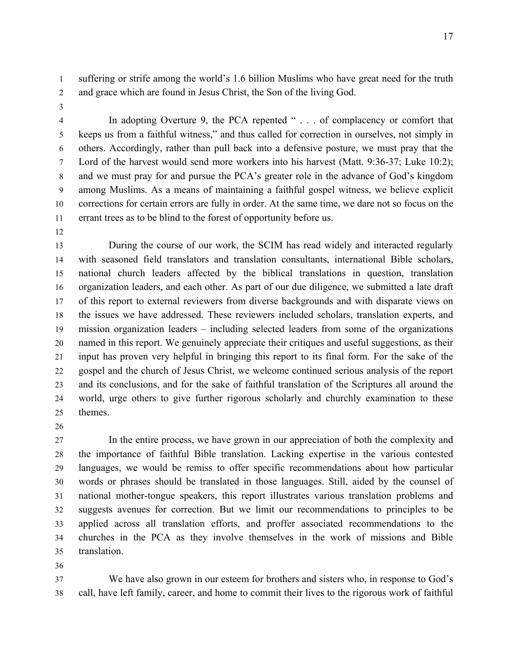1 suffering or strife among the world's 1.6 billion Muslims who have great need for the truth 2 and grace which are found in Jesus Christ, the Son of the living God.

3

4 In adopting Overture 9, the PCA repented " . . . of complacency or comfort that 5 keeps us from a faithful witness," and thus called for correction in ourselves, not simply in 6 others. Accordingly, rather than pull back into a defensive posture, we must pray that the 7 Lord of the harvest would send more workers into his harvest (Matt. 9:36-37; Luke 10:2); 8 and we must pray for and pursue the PCA's greater role in the advance of God's kingdom 9 among Muslims. As a means of maintaining a faithful gospel witness, we believe explicit 10 corrections for certain errors are fully in order. At the same time, we dare not so focus on the 11 errant trees as to be blind to the forest of opportunity before us.

12

13 During the course of our work, the SCIM has read widely and interacted regularly 14 with seasoned field translators and translation consultants, international Bible scholars, 15 national church leaders affected by the biblical translations in question, translation 16 organization leaders, and each other. As part of our due diligence, we submitted a late draft 17 of this report to external reviewers from diverse backgrounds and with disparate views on 18 the issues we have addressed. These reviewers included scholars, translation experts, and 19 mission organization leaders – including selected leaders from some of the organizations 20 named in this report. We genuinely appreciate their critiques and useful suggestions, as their 21 input has proven very helpful in bringing this report to its final form. For the sake of the 22 gospel and the church of Jesus Christ, we welcome continued serious analysis of the report 23 and its conclusions, and for the sake of faithful translation of the Scriptures all around the 24 world, urge others to give further rigorous scholarly and churchly examination to these 25 themes.

26

27 In the entire process, we have grown in our appreciation of both the complexity and 28 the importance of faithful Bible translation. Lacking expertise in the various contested 29 languages, we would be remiss to offer specific recommendations about how particular 30 words or phrases should be translated in those languages. Still, aided by the counsel of 31 national mother-tongue speakers, this report illustrates various translation problems and 32 suggests avenues for correction. But we limit our recommendations to principles to be 33 applied across all translation efforts, and proffer associated recommendations to the 34 churches in the PCA as they involve themselves in the work of missions and Bible 35 translation.

36

37 We have also grown in our esteem for brothers and sisters who, in response to God's 38 call, have left family, career, and home to commit their lives to the rigorous work of faithful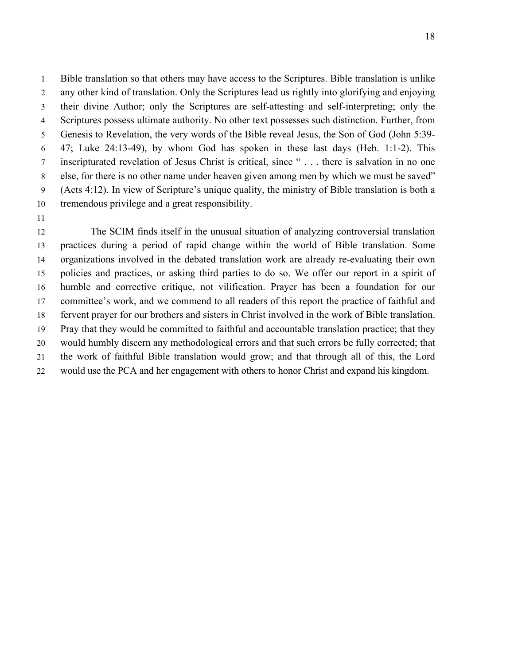18

1 Bible translation so that others may have access to the Scriptures. Bible translation is unlike 2 any other kind of translation. Only the Scriptures lead us rightly into glorifying and enjoying 3 their divine Author; only the Scriptures are self-attesting and self-interpreting; only the 4 Scriptures possess ultimate authority. No other text possesses such distinction. Further, from 5 Genesis to Revelation, the very words of the Bible reveal Jesus, the Son of God (John 5:39- 6 47; Luke 24:13-49), by whom God has spoken in these last days (Heb. 1:1-2). This 7 inscripturated revelation of Jesus Christ is critical, since " . . . there is salvation in no one 8 else, for there is no other name under heaven given among men by which we must be saved" 9 (Acts 4:12). In view of Scripture's unique quality, the ministry of Bible translation is both a 10 tremendous privilege and a great responsibility.

11

12 The SCIM finds itself in the unusual situation of analyzing controversial translation 13 practices during a period of rapid change within the world of Bible translation. Some 14 organizations involved in the debated translation work are already re-evaluating their own 15 policies and practices, or asking third parties to do so. We offer our report in a spirit of 16 humble and corrective critique, not vilification. Prayer has been a foundation for our 17 committee's work, and we commend to all readers of this report the practice of faithful and 18 fervent prayer for our brothers and sisters in Christ involved in the work of Bible translation. 19 Pray that they would be committed to faithful and accountable translation practice; that they 20 would humbly discern any methodological errors and that such errors be fully corrected; that 21 the work of faithful Bible translation would grow; and that through all of this, the Lord 22 would use the PCA and her engagement with others to honor Christ and expand his kingdom.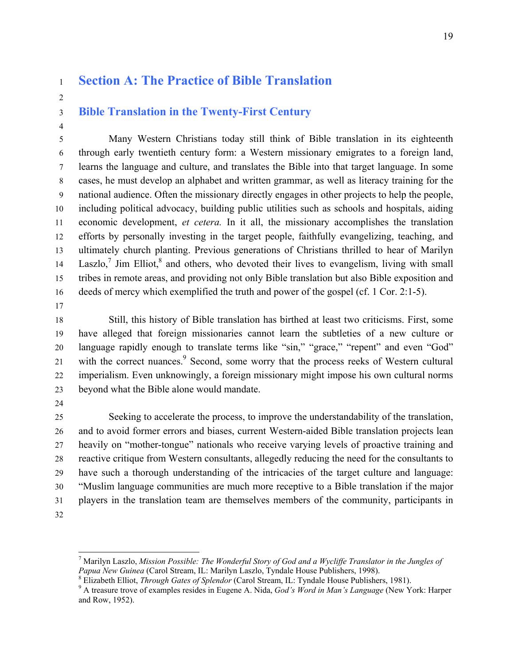## <sup>1</sup>**Section A: The Practice of Bible Translation**

2

4

## 3 **Bible Translation in the Twenty-First Century**

5 Many Western Christians today still think of Bible translation in its eighteenth 6 through early twentieth century form: a Western missionary emigrates to a foreign land, 7 learns the language and culture, and translates the Bible into that target language. In some 8 cases, he must develop an alphabet and written grammar, as well as literacy training for the 9 national audience. Often the missionary directly engages in other projects to help the people, 10 including political advocacy, building public utilities such as schools and hospitals, aiding 11 economic development, *et cetera.* In it all, the missionary accomplishes the translation 12 efforts by personally investing in the target people, faithfully evangelizing, teaching, and 13 ultimately church planting. Previous generations of Christians thrilled to hear of Marilyn 14 Laszlo,<sup>7</sup> Jim Elliot, $^8$  and others, who devoted their lives to evangelism, living with small 15 tribes in remote areas, and providing not only Bible translation but also Bible exposition and 16 deeds of mercy which exemplified the truth and power of the gospel (cf. 1 Cor. 2:1-5).

17

18 Still, this history of Bible translation has birthed at least two criticisms. First, some 19 have alleged that foreign missionaries cannot learn the subtleties of a new culture or 20 language rapidly enough to translate terms like "sin," "grace," "repent" and even "God" 21 with the correct nuances.<sup>9</sup> Second, some worry that the process reeks of Western cultural 22 imperialism. Even unknowingly, a foreign missionary might impose his own cultural norms 23 beyond what the Bible alone would mandate.

24

25 Seeking to accelerate the process, to improve the understandability of the translation, 26 and to avoid former errors and biases, current Western-aided Bible translation projects lean 27 heavily on "mother-tongue" nationals who receive varying levels of proactive training and 28 reactive critique from Western consultants, allegedly reducing the need for the consultants to 29 have such a thorough understanding of the intricacies of the target culture and language: 30 "Muslim language communities are much more receptive to a Bible translation if the major 31 players in the translation team are themselves members of the community, participants in 32

<sup>7</sup> Marilyn Laszlo, *Mission Possible: The Wonderful Story of God and a Wycliffe Translator in the Jungles of Papua New Guinea* (Carol Stream, IL: Marilyn Laszlo, Tyndale House Publishers, 1998). <sup>8</sup>

<sup>&</sup>lt;sup>8</sup> Elizabeth Elliot, *Through Gates of Splendor* (Carol Stream, IL: Tyndale House Publishers, 1981).

A treasure trove of examples resides in Eugene A. Nida, *God's Word in Man's Language* (New York: Harper and Row, 1952).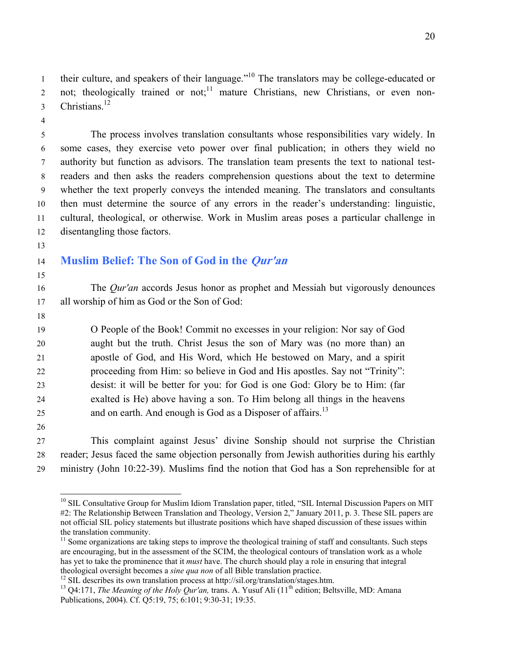their culture, and speakers of their language."<sup>10</sup> The translators may be college-educated or 2 not; theologically trained or not;<sup>11</sup> mature Christians, new Christians, or even non-3 Christians. $^{12}$ 

4

13

15

18

5 The process involves translation consultants whose responsibilities vary widely. In 6 some cases, they exercise veto power over final publication; in others they wield no 7 authority but function as advisors. The translation team presents the text to national test-8 readers and then asks the readers comprehension questions about the text to determine 9 whether the text properly conveys the intended meaning. The translators and consultants 10 then must determine the source of any errors in the reader's understanding: linguistic, 11 cultural, theological, or otherwise. Work in Muslim areas poses a particular challenge in 12 disentangling those factors.

## 14 **Muslim Belief: The Son of God in the** *Qur'an*

<u> 1989 - Johann Stein, marwolaethau a bh</u>

16 The *Qur'an* accords Jesus honor as prophet and Messiah but vigorously denounces 17 all worship of him as God or the Son of God:

19 O People of the Book! Commit no excesses in your religion: Nor say of God 20 aught but the truth. Christ Jesus the son of Mary was (no more than) an 21 apostle of God, and His Word, which He bestowed on Mary, and a spirit 22 proceeding from Him: so believe in God and His apostles. Say not "Trinity": 23 desist: it will be better for you: for God is one God: Glory be to Him: (far 24 exalted is He) above having a son. To Him belong all things in the heavens 25 and on earth. And enough is God as a Disposer of affairs.<sup>13</sup>

26

27 This complaint against Jesus' divine Sonship should not surprise the Christian 28 reader; Jesus faced the same objection personally from Jewish authorities during his earthly 29 ministry (John 10:22-39). Muslims find the notion that God has a Son reprehensible for at

<sup>&</sup>lt;sup>10</sup> SIL Consultative Group for Muslim Idiom Translation paper, titled, "SIL Internal Discussion Papers on MIT #2: The Relationship Between Translation and Theology, Version 2," January 2011, p. 3. These SIL papers are not official SIL policy statements but illustrate positions which have shaped discussion of these issues within the translation community.

 $<sup>11</sup>$  Some organizations are taking steps to improve the theological training of staff and consultants. Such steps</sup> are encouraging, but in the assessment of the SCIM, the theological contours of translation work as a whole has yet to take the prominence that it *must* have. The church should play a role in ensuring that integral theological oversight becomes a *sine qua non* of all Bible translation practice.<br><sup>12</sup> SIL describes its own translation process at http://sil.org/translation/stages.htm.<br><sup>13</sup> Q4:171, *The Meaning of the Holy Qur'an*, tra

Publications, 2004). Cf. Q5:19, 75; 6:101; 9:30-31; 19:35.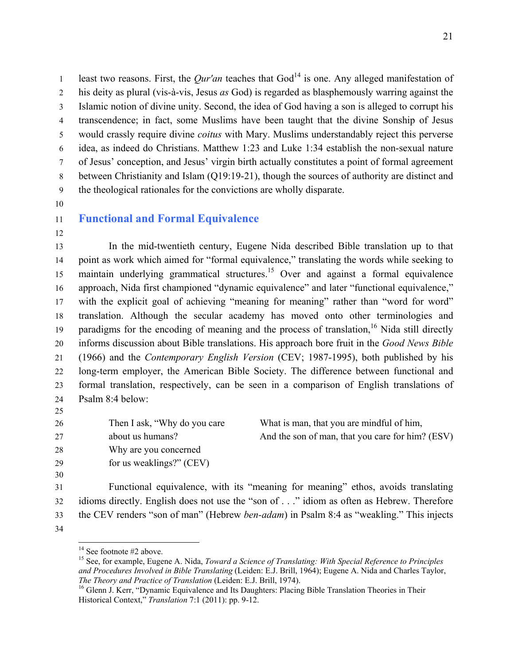least two reasons. First, the *Our'an* teaches that  $God<sup>14</sup>$  is one. Any alleged manifestation of 2 his deity as plural (vis-à-vis, Jesus *as* God) is regarded as blasphemously warring against the 3 Islamic notion of divine unity. Second, the idea of God having a son is alleged to corrupt his 4 transcendence; in fact, some Muslims have been taught that the divine Sonship of Jesus 5 would crassly require divine *coitus* with Mary. Muslims understandably reject this perverse 6 idea, as indeed do Christians. Matthew 1:23 and Luke 1:34 establish the non-sexual nature 7 of Jesus' conception, and Jesus' virgin birth actually constitutes a point of formal agreement 8 between Christianity and Islam (Q19:19-21), though the sources of authority are distinct and 9 the theological rationales for the convictions are wholly disparate.

- 10
- 
- 12

### 11 **Functional and Formal Equivalence**

13 In the mid-twentieth century, Eugene Nida described Bible translation up to that 14 point as work which aimed for "formal equivalence," translating the words while seeking to 15 maintain underlying grammatical structures.<sup>15</sup> Over and against a formal equivalence 16 approach, Nida first championed "dynamic equivalence" and later "functional equivalence," 17 with the explicit goal of achieving "meaning for meaning" rather than "word for word" 18 translation. Although the secular academy has moved onto other terminologies and 19 paradigms for the encoding of meaning and the process of translation, <sup>16</sup> Nida still directly 20 informs discussion about Bible translations. His approach bore fruit in the *Good News Bible* 21 (1966) and the *Contemporary English Version* (CEV; 1987-1995), both published by his 22 long-term employer, the American Bible Society. The difference between functional and 23 formal translation, respectively, can be seen in a comparison of English translations of 24 Psalm 8:4 below: 25

26 Then I ask, "Why do you care What is man, that you are mindful of him, 27 about us humans? And the son of man, that you care for him? (ESV) 28 Why are you concerned 29 for us weaklings?" (CEV)

30

31 Functional equivalence, with its "meaning for meaning" ethos, avoids translating 32 idioms directly. English does not use the "son of . . ." idiom as often as Hebrew. Therefore 33 the CEV renders "son of man" (Hebrew *ben-adam*) in Psalm 8:4 as "weakling." This injects

34

 $14$  See footnote #2 above.

<sup>15</sup> See, for example, Eugene A. Nida, *Toward a Science of Translating: With Special Reference to Principles and Procedures Involved in Bible Translating* (Leiden: E.J. Brill, 1964); Eugene A. Nida and Charles Taylor, *The Theory and Practice of Translation* (Leiden: E.J. Brill, 1974).<br><sup>16</sup> Glenn J. Kerr, "Dynamic Equivalence and Its Daughters: Placing Bible Translation Theories in Their

Historical Context," *Translation* 7:1 (2011): pp. 9-12.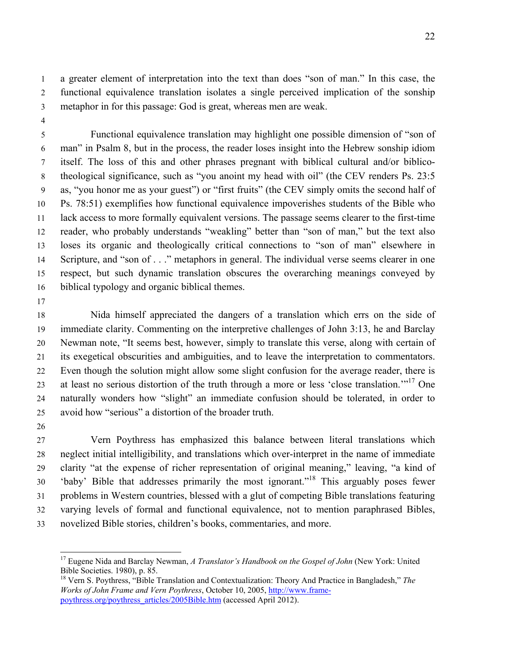1 a greater element of interpretation into the text than does "son of man." In this case, the 2 functional equivalence translation isolates a single perceived implication of the sonship 3 metaphor in for this passage: God is great, whereas men are weak.

4

5 Functional equivalence translation may highlight one possible dimension of "son of 6 man" in Psalm 8, but in the process, the reader loses insight into the Hebrew sonship idiom 7 itself. The loss of this and other phrases pregnant with biblical cultural and/or biblico-8 theological significance, such as "you anoint my head with oil" (the CEV renders Ps. 23:5 9 as, "you honor me as your guest") or "first fruits" (the CEV simply omits the second half of 10 Ps. 78:51) exemplifies how functional equivalence impoverishes students of the Bible who 11 lack access to more formally equivalent versions. The passage seems clearer to the first-time 12 reader, who probably understands "weakling" better than "son of man," but the text also 13 loses its organic and theologically critical connections to "son of man" elsewhere in 14 Scripture, and "son of . . ." metaphors in general. The individual verse seems clearer in one 15 respect, but such dynamic translation obscures the overarching meanings conveyed by 16 biblical typology and organic biblical themes.

17

18 Nida himself appreciated the dangers of a translation which errs on the side of 19 immediate clarity. Commenting on the interpretive challenges of John 3:13, he and Barclay 20 Newman note, "It seems best, however, simply to translate this verse, along with certain of 21 its exegetical obscurities and ambiguities, and to leave the interpretation to commentators. 22 Even though the solution might allow some slight confusion for the average reader, there is 23 at least no serious distortion of the truth through a more or less 'close translation. $17 \text{ O}$ ne 24 naturally wonders how "slight" an immediate confusion should be tolerated, in order to 25 avoid how "serious" a distortion of the broader truth.

26

27 Vern Poythress has emphasized this balance between literal translations which 28 neglect initial intelligibility, and translations which over-interpret in the name of immediate 29 clarity "at the expense of richer representation of original meaning," leaving, "a kind of 30 'baby' Bible that addresses primarily the most ignorant."<sup>18</sup> This arguably poses fewer 31 problems in Western countries, blessed with a glut of competing Bible translations featuring 32 varying levels of formal and functional equivalence, not to mention paraphrased Bibles, 33 novelized Bible stories, children's books, commentaries, and more.

<sup>&</sup>lt;u> 1989 - Johann Stein, marwolaethau a bh</u> <sup>17</sup> Eugene Nida and Barclay Newman, *A Translator's Handbook on the Gospel of John* (New York: United Bible Societies. 1980), p. 85.

<sup>18</sup> Vern S. Poythress, "Bible Translation and Contextualization: Theory And Practice in Bangladesh," *The Works of John Frame and Vern Poythress*, October 10, 2005, http://www.framepoythress.org/poythress\_articles/2005Bible.htm (accessed April 2012).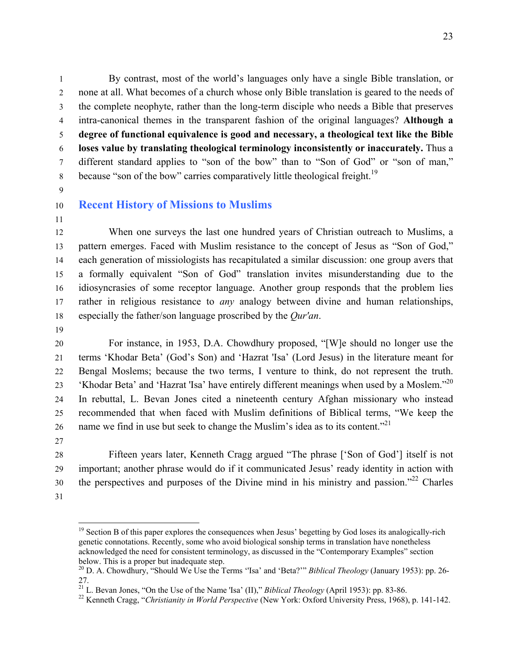1 By contrast, most of the world's languages only have a single Bible translation, or 2 none at all. What becomes of a church whose only Bible translation is geared to the needs of 3 the complete neophyte, rather than the long-term disciple who needs a Bible that preserves 4 intra-canonical themes in the transparent fashion of the original languages? **Although a**  5 **degree of functional equivalence is good and necessary, a theological text like the Bible**  6 **loses value by translating theological terminology inconsistently or inaccurately.** Thus a 7 different standard applies to "son of the bow" than to "Son of God" or "son of man," because "son of the bow" carries comparatively little theological freight.<sup>19</sup>

9

### 10 **Recent History of Missions to Muslims**

11

12 When one surveys the last one hundred years of Christian outreach to Muslims, a 13 pattern emerges. Faced with Muslim resistance to the concept of Jesus as "Son of God," 14 each generation of missiologists has recapitulated a similar discussion: one group avers that 15 a formally equivalent "Son of God" translation invites misunderstanding due to the 16 idiosyncrasies of some receptor language. Another group responds that the problem lies 17 rather in religious resistance to *any* analogy between divine and human relationships, 18 especially the father/son language proscribed by the *Qur'an*.

19

20 For instance, in 1953, D.A. Chowdhury proposed, "[W]e should no longer use the 21 terms 'Khodar Beta' (God's Son) and 'Hazrat 'Isa' (Lord Jesus) in the literature meant for 22 Bengal Moslems; because the two terms, I venture to think, do not represent the truth. <sup>23</sup> 'Khodar Beta' and 'Hazrat 'Isa' have entirely different meanings when used by a Moslem."<sup>20</sup> 24 In rebuttal, L. Bevan Jones cited a nineteenth century Afghan missionary who instead 25 recommended that when faced with Muslim definitions of Biblical terms, "We keep the 26 name we find in use but seek to change the Muslim's idea as to its content."<sup>21</sup>

27

28 Fifteen years later, Kenneth Cragg argued "The phrase ['Son of God'] itself is not 29 important; another phrase would do if it communicated Jesus' ready identity in action with the perspectives and purposes of the Divine mind in his ministry and passion."<sup>22</sup> Charles

<sup>31</sup> 

<sup>&</sup>lt;sup>19</sup> Section B of this paper explores the consequences when Jesus' begetting by God loses its analogically-rich genetic connotations. Recently, some who avoid biological sonship terms in translation have nonetheless acknowledged the need for consistent terminology, as discussed in the "Contemporary Examples" section below. This is a proper but inadequate step.

<sup>20</sup> D. A. Chowdhury, "Should We Use the Terms ''Isa' and 'Beta?'" *Biblical Theology* (January 1953): pp. 26-

<sup>27.&</sup>lt;br><sup>21</sup> L. Bevan Jones, "On the Use of the Name 'Isa' (II)," *Biblical Theology* (April 1953): pp. 83-86.

<sup>&</sup>lt;sup>22</sup> Kenneth Cragg, "Christianity in World Perspective (New York: Oxford University Press, 1968), p. 141-142.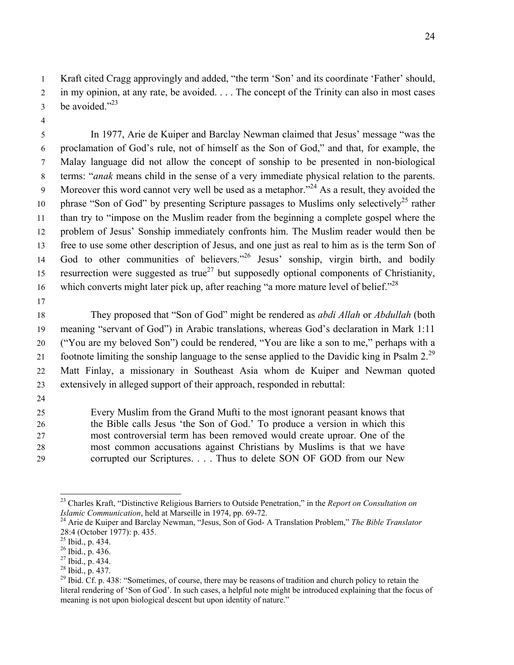1 Kraft cited Cragg approvingly and added, "the term 'Son' and its coordinate 'Father' should, 2 in my opinion, at any rate, be avoided. . . . The concept of the Trinity can also in most cases 3 be avoided." $^{23}$ 

4

5 In 1977, Arie de Kuiper and Barclay Newman claimed that Jesus' message "was the 6 proclamation of God's rule, not of himself as the Son of God," and that, for example, the 7 Malay language did not allow the concept of sonship to be presented in non-biological 8 terms: "*anak* means child in the sense of a very immediate physical relation to the parents. 9 Moreover this word cannot very well be used as a metaphor."<sup>24</sup> As a result, they avoided the 10 phrase "Son of God" by presenting Scripture passages to Muslims only selectively<sup>25</sup> rather 11 than try to "impose on the Muslim reader from the beginning a complete gospel where the 12 problem of Jesus' Sonship immediately confronts him. The Muslim reader would then be 13 free to use some other description of Jesus, and one just as real to him as is the term Son of 14 God to other communities of believers."<sup>26</sup> Jesus' sonship, virgin birth, and bodily 15 resurrection were suggested as true<sup>27</sup> but supposedly optional components of Christianity, 16 which converts might later pick up, after reaching "a more mature level of belief."<sup>28</sup>

17

18 They proposed that "Son of God" might be rendered as *abdi Allah* or *Abdullah* (both 19 meaning "servant of God") in Arabic translations, whereas God's declaration in Mark 1:11 20 ("You are my beloved Son") could be rendered, "You are like a son to me," perhaps with a 21 footnote limiting the sonship language to the sense applied to the Davidic king in Psalm  $2^{29}$ 22 Matt Finlay, a missionary in Southeast Asia whom de Kuiper and Newman quoted 23 extensively in alleged support of their approach, responded in rebuttal:

24

25 Every Muslim from the Grand Mufti to the most ignorant peasant knows that 26 the Bible calls Jesus 'the Son of God.' To produce a version in which this 27 most controversial term has been removed would create uproar. One of the 28 most common accusations against Christians by Muslims is that we have 29 corrupted our Scriptures. . . . Thus to delete SON OF GOD from our New

<sup>&</sup>lt;sup>23</sup> Charles Kraft, "Distinctive Religious Barriers to Outside Penetration," in the *Report on Consultation on Islamic Communication*, held at Marseille in 1974, pp. 69-72.

<sup>&</sup>lt;sup>24</sup> Arie de Kuiper and Barclay Newman, "Jesus, Son of God- A Translation Problem," *The Bible Translator* 28:4 (October 1977): p. 435.

 $^{25}$  Ibid., p. 434.

 $26$  Ibid., p. 436.

<sup>27</sup> Ibid., p. 434.

<sup>28</sup> Ibid., p. 437.

 $^{29}$  Ibid. Cf. p. 438: "Sometimes, of course, there may be reasons of tradition and church policy to retain the literal rendering of 'Son of God'. In such cases, a helpful note might be introduced explaining that the focus of meaning is not upon biological descent but upon identity of nature."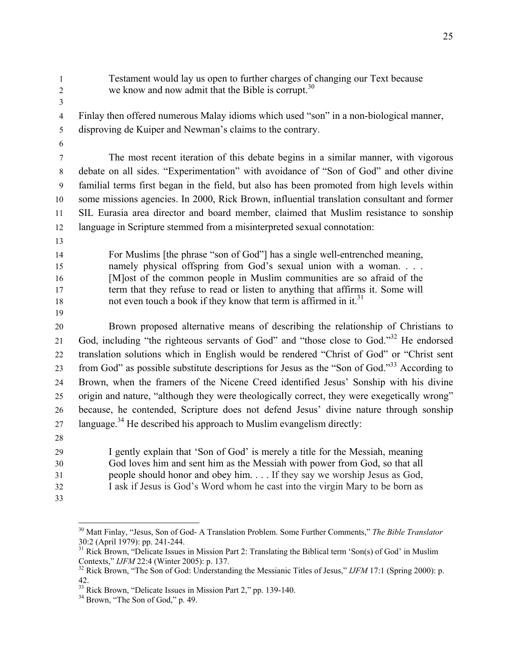1 Testament would lay us open to further charges of changing our Text because 2 we know and now admit that the Bible is corrupt.<sup>30</sup>

3

4 Finlay then offered numerous Malay idioms which used "son" in a non-biological manner,

- 5 disproving de Kuiper and Newman's claims to the contrary.
- 6

7 The most recent iteration of this debate begins in a similar manner, with vigorous 8 debate on all sides. "Experimentation" with avoidance of "Son of God" and other divine 9 familial terms first began in the field, but also has been promoted from high levels within 10 some missions agencies. In 2000, Rick Brown, influential translation consultant and former 11 SIL Eurasia area director and board member, claimed that Muslim resistance to sonship 12 language in Scripture stemmed from a misinterpreted sexual connotation:

13

14 For Muslims [the phrase "son of God"] has a single well-entrenched meaning, 15 namely physical offspring from God's sexual union with a woman. . . . 16 [M]ost of the common people in Muslim communities are so afraid of the 17 term that they refuse to read or listen to anything that affirms it. Some will 18 not even touch a book if they know that term is affirmed in it.<sup>31</sup>

19

20 Brown proposed alternative means of describing the relationship of Christians to 21 God, including "the righteous servants of God" and "those close to God."<sup>32</sup> He endorsed 22 translation solutions which in English would be rendered "Christ of God" or "Christ sent 23 from God" as possible substitute descriptions for Jesus as the "Son of God."<sup>33</sup> According to 24 Brown, when the framers of the Nicene Creed identified Jesus' Sonship with his divine 25 origin and nature, "although they were theologically correct, they were exegetically wrong" 26 because, he contended, Scripture does not defend Jesus' divine nature through sonship 27 anguage.<sup>34</sup> He described his approach to Muslim evangelism directly:

28

29 I gently explain that 'Son of God' is merely a title for the Messiah, meaning 30 God loves him and sent him as the Messiah with power from God, so that all 31 people should honor and obey him. . . . If they say we worship Jesus as God, 32 I ask if Jesus is God's Word whom he cast into the virgin Mary to be born as

33

<sup>30</sup> Matt Finlay, "Jesus, Son of God- A Translation Problem. Some Further Comments," *The Bible Translator* 30:2 (April 1979): pp. 241-244.

<sup>&</sup>lt;sup>31</sup> Rick Brown, "Delicate Issues in Mission Part 2: Translating the Biblical term 'Son(s) of God' in Muslim

Contexts," *IJFM* 22:4 (Winter 2005): p. 137.<br><sup>32</sup> Rick Brown, "The Son of God: Understanding the Messianic Titles of Jesus," *IJFM* 17:1 (Spring 2000): p. 42.

<sup>&</sup>lt;sup>33</sup> Rick Brown, "Delicate Issues in Mission Part 2," pp. 139-140.

 $34$  Brown, "The Son of God," p. 49.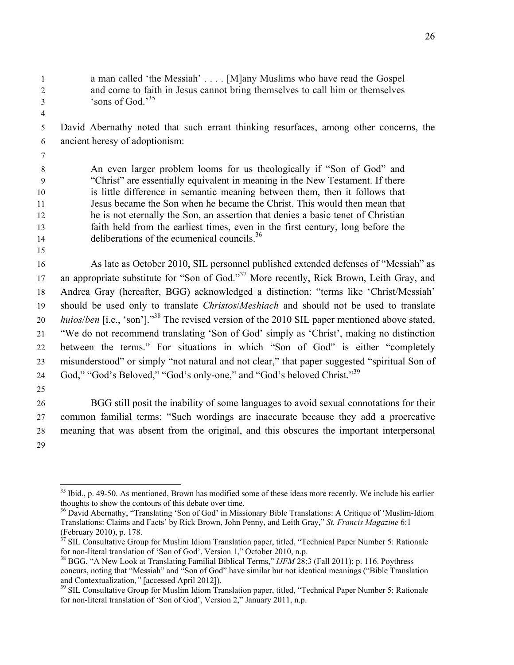1 a man called 'the Messiah' . . . . [M]any Muslims who have read the Gospel 2 and come to faith in Jesus cannot bring themselves to call him or themselves  $\frac{3}{2}$  'sons of God.'<sup>35</sup>

4

7

5 David Abernathy noted that such errant thinking resurfaces, among other concerns, the 6 ancient heresy of adoptionism:

8 An even larger problem looms for us theologically if "Son of God" and 9 "Christ" are essentially equivalent in meaning in the New Testament. If there 10 is little difference in semantic meaning between them, then it follows that 11 Jesus became the Son when he became the Christ. This would then mean that 12 he is not eternally the Son, an assertion that denies a basic tenet of Christian 13 faith held from the earliest times, even in the first century, long before the  $14$  deliberations of the ecumenical councils.<sup>36</sup>

15

16 As late as October 2010, SIL personnel published extended defenses of "Messiah" as 17 an appropriate substitute for "Son of God."<sup>37</sup> More recently, Rick Brown, Leith Gray, and 18 Andrea Gray (hereafter, BGG) acknowledged a distinction: "terms like 'Christ/Messiah' 19 should be used only to translate *Christos*/*Meshiach* and should not be used to translate 20 *huios/ben* [i.e., 'son']."<sup>38</sup> The revised version of the 2010 SIL paper mentioned above stated, 21 "We do not recommend translating 'Son of God' simply as 'Christ', making no distinction 22 between the terms." For situations in which "Son of God" is either "completely 23 misunderstood" or simply "not natural and not clear," that paper suggested "spiritual Son of 24 God," "God's Beloved," "God's only-one," and "God's beloved Christ."<sup>39</sup>

25

26 BGG still posit the inability of some languages to avoid sexual connotations for their 27 common familial terms: "Such wordings are inaccurate because they add a procreative 28 meaning that was absent from the original, and this obscures the important interpersonal 29

<sup>&</sup>lt;sup>35</sup> Ibid., p. 49-50. As mentioned, Brown has modified some of these ideas more recently. We include his earlier thoughts to show the contours of this debate over time.

<sup>&</sup>lt;sup>36</sup> David Abernathy, "Translating 'Son of God' in Missionary Bible Translations: A Critique of 'Muslim-Idiom Translations: Claims and Facts' by Rick Brown, John Penny, and Leith Gray," *St. Francis Magazine* 6:1 (February 2010), p. 178.

 $37$  SIL Consultative Group for Muslim Idiom Translation paper, titled, "Technical Paper Number 5: Rationale for non-literal translation of 'Son of God', Version 1," October 2010, n.p.

<sup>&</sup>lt;sup>38</sup> BGG, "A New Look at Translating Familial Biblical Terms," *IJFM* 28:3 (Fall 2011): p. 116. Poythress concurs, noting that "Messiah" and "Son of God" have similar but not identical meanings ("Bible Translation

<sup>&</sup>lt;sup>39</sup> SIL Consultative Group for Muslim Idiom Translation paper, titled, "Technical Paper Number 5: Rationale for non-literal translation of 'Son of God', Version 2," January 2011, n.p.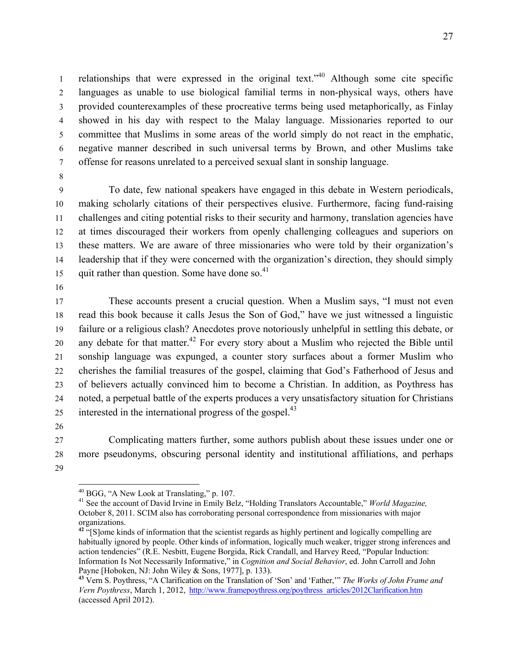relationships that were expressed in the original text." Although some cite specific 2 languages as unable to use biological familial terms in non-physical ways, others have 3 provided counterexamples of these procreative terms being used metaphorically, as Finlay 4 showed in his day with respect to the Malay language. Missionaries reported to our 5 committee that Muslims in some areas of the world simply do not react in the emphatic, 6 negative manner described in such universal terms by Brown, and other Muslims take 7 offense for reasons unrelated to a perceived sexual slant in sonship language.

8

9 To date, few national speakers have engaged in this debate in Western periodicals, 10 making scholarly citations of their perspectives elusive. Furthermore, facing fund-raising 11 challenges and citing potential risks to their security and harmony, translation agencies have 12 at times discouraged their workers from openly challenging colleagues and superiors on 13 these matters. We are aware of three missionaries who were told by their organization's 14 leadership that if they were concerned with the organization's direction, they should simply 15 quit rather than question. Some have done so. $41$ 

16

17 These accounts present a crucial question. When a Muslim says, "I must not even 18 read this book because it calls Jesus the Son of God," have we just witnessed a linguistic 19 failure or a religious clash? Anecdotes prove notoriously unhelpful in settling this debate, or 20 any debate for that matter.<sup>42</sup> For every story about a Muslim who rejected the Bible until 21 sonship language was expunged, a counter story surfaces about a former Muslim who 22 cherishes the familial treasures of the gospel, claiming that God's Fatherhood of Jesus and 23 of believers actually convinced him to become a Christian. In addition, as Poythress has 24 noted, a perpetual battle of the experts produces a very unsatisfactory situation for Christians 25 interested in the international progress of the gospel. $43$ 

26

27 Complicating matters further, some authors publish about these issues under one or 28 more pseudonyms, obscuring personal identity and institutional affiliations, and perhaps 29

<sup>&</sup>lt;sup>40</sup> BGG, "A New Look at Translating," p. 107.

<sup>&</sup>lt;sup>41</sup> See the account of David Irvine in Emily Belz, "Holding Translators Accountable," *World Magazine*, October 8, 2011. SCIM also has corroborating personal correspondence from missionaries with major organizations.

<sup>&</sup>lt;sup>42</sup> "[S]ome kinds of information that the scientist regards as highly pertinent and logically compelling are habitually ignored by people. Other kinds of information, logically much weaker, trigger strong inferences and action tendencies" (R.E. Nesbitt, Eugene Borgida, Rick Crandall, and Harvey Reed, "Popular Induction: Information Is Not Necessarily Informative," in *Cognition and Social Behavior*, ed. John Carroll and John Payne [Hoboken, NJ: John Wiley & Sons, 1977], p. 133).

**<sup>43</sup>** Vern S. Poythress, "A Clarification on the Translation of 'Son' and 'Father,'" *The Works of John Frame and Vern Poythress*, March 1, 2012, http://www.framepoythress.org/poythress\_articles/2012Clarification.htm (accessed April 2012).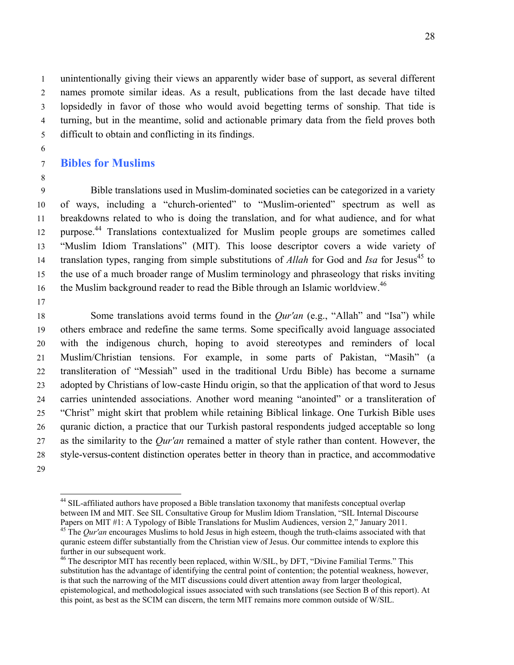1 unintentionally giving their views an apparently wider base of support, as several different 2 names promote similar ideas. As a result, publications from the last decade have tilted 3 lopsidedly in favor of those who would avoid begetting terms of sonship. That tide is 4 turning, but in the meantime, solid and actionable primary data from the field proves both 5 difficult to obtain and conflicting in its findings.

6

8

### 7 **Bibles for Muslims**

<u> 1989 - Johann Stein, marwolaethau a bh</u>

9 Bible translations used in Muslim-dominated societies can be categorized in a variety 10 of ways, including a "church-oriented" to "Muslim-oriented" spectrum as well as 11 breakdowns related to who is doing the translation, and for what audience, and for what 12 purpose.<sup>44</sup> Translations contextualized for Muslim people groups are sometimes called 13 "Muslim Idiom Translations" (MIT). This loose descriptor covers a wide variety of 14 translation types, ranging from simple substitutions of *Allah* for God and *Isa* for Jesus<sup>45</sup> to 15 the use of a much broader range of Muslim terminology and phraseology that risks inviting the Muslim background reader to read the Bible through an Islamic worldview.<sup>46</sup>

17

18 Some translations avoid terms found in the *Qur'an* (e.g., "Allah" and "Isa") while 19 others embrace and redefine the same terms. Some specifically avoid language associated 20 with the indigenous church, hoping to avoid stereotypes and reminders of local 21 Muslim/Christian tensions. For example, in some parts of Pakistan, "Masih" (a 22 transliteration of "Messiah" used in the traditional Urdu Bible) has become a surname 23 adopted by Christians of low-caste Hindu origin, so that the application of that word to Jesus 24 carries unintended associations. Another word meaning "anointed" or a transliteration of 25 "Christ" might skirt that problem while retaining Biblical linkage. One Turkish Bible uses 26 quranic diction, a practice that our Turkish pastoral respondents judged acceptable so long 27 as the similarity to the *Qur'an* remained a matter of style rather than content. However, the 28 style-versus-content distinction operates better in theory than in practice, and accommodative 29

<sup>&</sup>lt;sup>44</sup> SIL-affiliated authors have proposed a Bible translation taxonomy that manifests conceptual overlap between IM and MIT. See SIL Consultative Group for Muslim Idiom Translation, "SIL Internal Discourse Papers on MIT #1: A Typology of Bible Translations for Muslim Audiences, version 2," January 2011.

<sup>&</sup>lt;sup>45</sup> The *Our'an* encourages Muslims to hold Jesus in high esteem, though the truth-claims associated with that quranic esteem differ substantially from the Christian view of Jesus. Our committee intends to explore this further in our subsequent work.

<sup>&</sup>lt;sup>46</sup> The descriptor MIT has recently been replaced, within W/SIL, by DFT, "Divine Familial Terms." This substitution has the advantage of identifying the central point of contention; the potential weakness, however, is that such the narrowing of the MIT discussions could divert attention away from larger theological, epistemological, and methodological issues associated with such translations (see Section B of this report). At this point, as best as the SCIM can discern, the term MIT remains more common outside of W/SIL.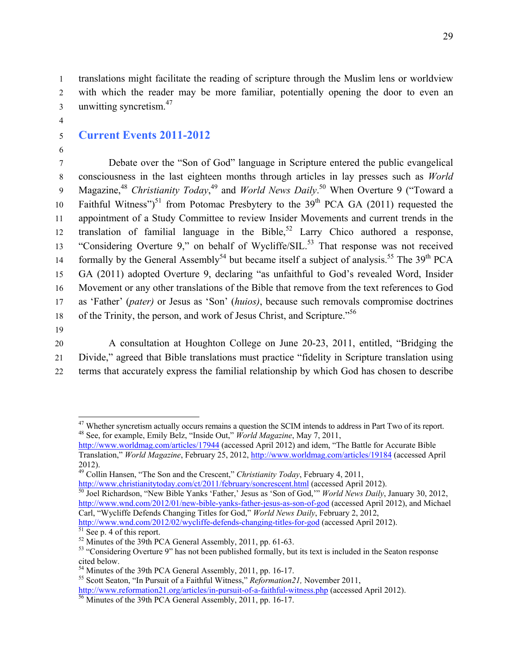1 translations might facilitate the reading of scripture through the Muslim lens or worldview 2 with which the reader may be more familiar, potentially opening the door to even an 3 unwitting syncretism. $47$ 

## 5 **Current Events 2011-2012**

7 Debate over the "Son of God" language in Scripture entered the public evangelical 8 consciousness in the last eighteen months through articles in lay presses such as *World* 9 Magazine,<sup>48</sup> *Christianity Today*,<sup>49</sup> and *World News Daily*.<sup>50</sup> When Overture 9 ("Toward a 10 Faithful Witness")<sup>51</sup> from Potomac Presbytery to the  $39<sup>th</sup>$  PCA GA (2011) requested the 11 appointment of a Study Committee to review Insider Movements and current trends in the 12 translation of familial language in the Bible,<sup>52</sup> Larry Chico authored a response, <sup>13</sup> "Considering Overture 9," on behalf of Wycliffe/SIL.<sup>53</sup> That response was not received 14 formally by the General Assembly<sup>54</sup> but became itself a subject of analysis.<sup>55</sup> The 39<sup>th</sup> PCA 15 GA (2011) adopted Overture 9, declaring "as unfaithful to God's revealed Word, Insider 16 Movement or any other translations of the Bible that remove from the text references to God 17 as 'Father' (*pater)* or Jesus as 'Son' (*huios)*, because such removals compromise doctrines 18 of the Trinity, the person, and work of Jesus Christ, and Scripture."<sup>56</sup>

19

4

6

20 A consultation at Houghton College on June 20-23, 2011, entitled, "Bridging the 21 Divide," agreed that Bible translations must practice "fidelity in Scripture translation using 22 terms that accurately express the familial relationship by which God has chosen to describe

<sup>47</sup> Whether syncretism actually occurs remains a question the SCIM intends to address in Part Two of its report. 48 See, for example, Emily Belz, "Inside Out," *World Magazine*, May 7, 2011,

http://www.worldmag.com/articles/17944 (accessed April 2012) and idem, "The Battle for Accurate Bible Translation," *World Magazine*, February 25, 2012, http://www.worldmag.com/articles/19184 (accessed April 2012).

<sup>49</sup> Collin Hansen, "The Son and the Crescent," *Christianity Today*, February 4, 2011,

http://www.christianitytoday.com/ct/2011/february/soncrescent.html (accessed April 2012). 50 Joel Richardson, "New Bible Yanks 'Father,' Jesus as 'Son of God,'" *World News Daily*, January 30, 2012, http://www.wnd.com/2012/01/new-bible-yanks-father-jesus-as-son-of-god (accessed April 2012), and Michael Carl, "Wycliffe Defends Changing Titles for God," *World News Daily*, February 2, 2012, http://www.wnd.com/2012/02/wycliffe-defends-changing-titles-for-god (accessed April 2012).<br><sup>51</sup> See p. 4 of this report.

<sup>&</sup>lt;sup>52</sup> Minutes of the 39th PCA General Assembly, 2011, pp. 61-63.

<sup>&</sup>lt;sup>53</sup> "Considering Overture 9" has not been published formally, but its text is included in the Seaton response cited below.

<sup>&</sup>lt;sup>54</sup> Minutes of the 39th PCA General Assembly, 2011, pp. 16-17.

<sup>55</sup> Scott Seaton, "In Pursuit of a Faithful Witness," *Reformation21,* November 2011, http://www.reformation21.org/articles/in-pursuit-of-a-faithful-witness.php (accessed April 2012).<br><sup>56</sup> Minutes of the 39th PCA General Assembly, 2011, pp. 16-17.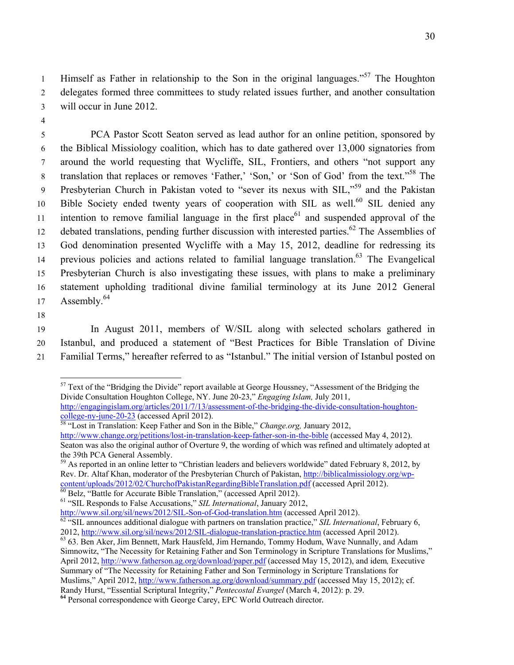Himself as Father in relationship to the Son in the original languages."<sup>57</sup> The Houghton 2 delegates formed three committees to study related issues further, and another consultation 3 will occur in June 2012.

4

5 PCA Pastor Scott Seaton served as lead author for an online petition, sponsored by 6 the Biblical Missiology coalition, which has to date gathered over 13,000 signatories from 7 around the world requesting that Wycliffe, SIL, Frontiers, and others "not support any 8 translation that replaces or removes 'Father,' 'Son,' or 'Son of God' from the text."<sup>58</sup> The 9 Presbyterian Church in Pakistan voted to "sever its nexus with SIL,"<sup>59</sup> and the Pakistan 10 Bible Society ended twenty years of cooperation with SIL as well. $60$  SIL denied any intention to remove familial language in the first place<sup>61</sup> and suspended approval of the 12 debated translations, pending further discussion with interested parties.<sup>62</sup> The Assemblies of 13 God denomination presented Wycliffe with a May 15, 2012, deadline for redressing its 14 previous policies and actions related to familial language translation.<sup>63</sup> The Evangelical 15 Presbyterian Church is also investigating these issues, with plans to make a preliminary 16 statement upholding traditional divine familial terminology at its June 2012 General 17 Assembly.<sup>64</sup>

18

19 In August 2011, members of W/SIL along with selected scholars gathered in 20 Istanbul, and produced a statement of "Best Practices for Bible Translation of Divine 21 Familial Terms," hereafter referred to as "Istanbul." The initial version of Istanbul posted on

 $57$  Text of the "Bridging the Divide" report available at George Houssney, "Assessment of the Bridging the Divide Consultation Houghton College, NY. June 20-23," *Engaging Islam,* July 2011, http://engagingislam.org/articles/2011/7/13/assessment-of-the-bridging-the-divide-consultation-houghton-<br>college-ny-june-20-23 (accessed April 2012).

<sup>&</sup>lt;sup>58</sup> "Lost in Translation: Keep Father and Son in the Bible," *Change.org*, January 2012, http://www.change.org/petitions/lost-in-translation-keep-father-son-in-the-bible (accessed May 4, 2012). Seaton was also the original author of Overture 9, the wording of which was refined and ultimately adopted at the 39th PCA General Assembly.

<sup>&</sup>lt;sup>59</sup> As reported in an online letter to "Christian leaders and believers worldwide" dated February 8, 2012, by Rev. Dr. Altaf Khan, moderator of the Presbyterian Church of Pakistan, http://biblicalmissiology.org/wp- $\frac{\text{content/uploads/2012/02/ChurchofPakistanRegarding Bible Translation.pdf}}{\text{60:}}$  (accessed April 2012).<br>
<sup>60</sup> Belz, "Battle for Accurate Bible Translation," (accessed April 2012).<br>
<sup>61</sup> "SIL Responds to False Accusations," *SIL International*, January 2012,

http://www.sil.org/sil/news/2012/SIL-Son-of-God-translation.htm (accessed April 2012).<br><sup>62</sup> "SIL announces additional dialogue with partners on translation practice," *SIL International*, February 6, 2012, http://www.sil.o

<sup>&</sup>lt;sup>63</sup> 63. Ben Aker, Jim Bennett, Mark Hausfeld, Jim Hernando, Tommy Hodum, Wave Nunnally, and Adam Simnowitz, "The Necessity for Retaining Father and Son Terminology in Scripture Translations for Muslims," April 2012, http://www.fatherson.ag.org/download/paper.pdf (accessed May 15, 2012), and idem*,* Executive Summary of "The Necessity for Retaining Father and Son Terminology in Scripture Translations for Muslims," April 2012, http://www.fatherson.ag.org/download/summary.pdf (accessed May 15, 2012); cf. Randy Hurst, "Essential Scriptural Integrity," *Pentecostal Evangel* (March 4, 2012): p. 29.

**<sup>64</sup>** Personal correspondence with George Carey, EPC World Outreach director.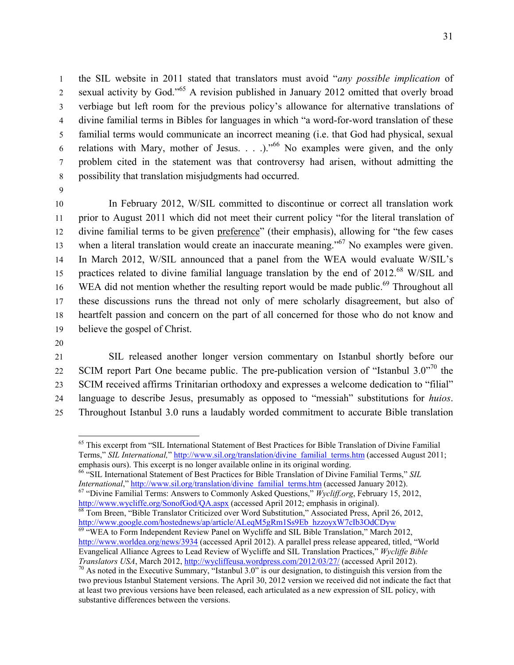1 the SIL website in 2011 stated that translators must avoid "*any possible implication* of sexual activity by God."<sup>65</sup> 2 A revision published in January 2012 omitted that overly broad 3 verbiage but left room for the previous policy's allowance for alternative translations of 4 divine familial terms in Bibles for languages in which "a word-for-word translation of these 5 familial terms would communicate an incorrect meaning (i.e. that God had physical, sexual 6 relations with Mary, mother of Jesus. . . .).<sup> $10^{66}$ </sup> No examples were given, and the only 7 problem cited in the statement was that controversy had arisen, without admitting the 8 possibility that translation misjudgments had occurred.

9

10 In February 2012, W/SIL committed to discontinue or correct all translation work 11 prior to August 2011 which did not meet their current policy "for the literal translation of 12 divine familial terms to be given preference" (their emphasis), allowing for "the few cases 13 when a literal translation would create an inaccurate meaning.<sup> $567$ </sup> No examples were given. 14 In March 2012, W/SIL announced that a panel from the WEA would evaluate W/SIL's 15 practices related to divine familial language translation by the end of  $2012^{68}$  W/SIL and 16 WEA did not mention whether the resulting report would be made public. $69$  Throughout all 17 these discussions runs the thread not only of mere scholarly disagreement, but also of 18 heartfelt passion and concern on the part of all concerned for those who do not know and 19 believe the gospel of Christ.

20

<u> 1989 - Johann Stein, marwolaethau a bh</u>

21 SIL released another longer version commentary on Istanbul shortly before our SCIM report Part One became public. The pre-publication version of "Istanbul  $3.0^{570}$  the 23 SCIM received affirms Trinitarian orthodoxy and expresses a welcome dedication to "filial" 24 language to describe Jesus, presumably as opposed to "messiah" substitutions for *huios*. 25 Throughout Istanbul 3.0 runs a laudably worded commitment to accurate Bible translation

<sup>66</sup> "SIL International Statement of Best Practices for Bible Translation of Divine Familial Terms," *SIL International*," http://www.sil.org/translation/divine\_familial\_terms.htm (accessed January 2012). 67 "Divine Familial Terms: Answers to Commonly Asked Questions," *Wycliff.org*, February 15, 2012,

http://www.wycliffe.org/SonofGod/QA.aspx (accessed April 2012; emphasis in original).<br><sup>68</sup> Tom Breen, "Bible Translator Criticized over Word Substitution," Associated Press, April 26, 2012, http://www.google.com/hostednews

<sup>&</sup>lt;sup>65</sup> This excerpt from "SIL International Statement of Best Practices for Bible Translation of Divine Familial Terms," *SIL International*," http://www.sil.org/translation/divine\_familial\_terms.htm (accessed August 2011; emphasis ours). This excerpt is no longer available online in its original wording.

 $\frac{69}{69}$  "WEA to Form Independent Review Panel on Wycliffe and SIL Bible Translation," March 2012, http://www.worldea.org/news/3934 (accessed April 2012). A parallel press release appeared, titled, "World Evangelical Alliance Agrees to Lead Review of Wycliffe and SIL Translation Practices," *Wycliffe Bible Translators USA*, March 2012, http://wycliffeusa.wordpress.com/2012/03/27/ (accessed April 2012).<br><sup>70</sup> As noted in the Executive Summary, "Istanbul 3.0" is our designation, to distinguish this version from the

two previous Istanbul Statement versions. The April 30, 2012 version we received did not indicate the fact that at least two previous versions have been released, each articulated as a new expression of SIL policy, with substantive differences between the versions.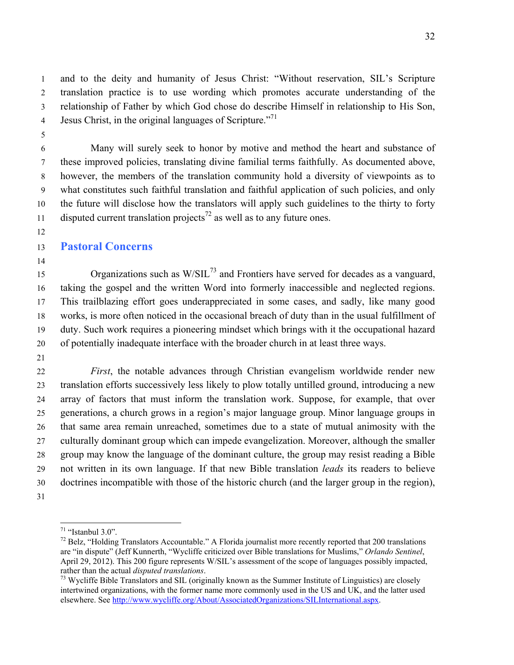1 and to the deity and humanity of Jesus Christ: "Without reservation, SIL's Scripture 2 translation practice is to use wording which promotes accurate understanding of the 3 relationship of Father by which God chose do describe Himself in relationship to His Son, 4 Jesus Christ, in the original languages of Scripture."<sup>71</sup>

5

6 Many will surely seek to honor by motive and method the heart and substance of 7 these improved policies, translating divine familial terms faithfully. As documented above, 8 however, the members of the translation community hold a diversity of viewpoints as to 9 what constitutes such faithful translation and faithful application of such policies, and only 10 the future will disclose how the translators will apply such guidelines to the thirty to forty 11 disputed current translation projects<sup>72</sup> as well as to any future ones.

12

14

## 13 **Pastoral Concerns**

15 0rganizations such as  $W/SIL^{73}$  and Frontiers have served for decades as a vanguard, 16 taking the gospel and the written Word into formerly inaccessible and neglected regions. 17 This trailblazing effort goes underappreciated in some cases, and sadly, like many good 18 works, is more often noticed in the occasional breach of duty than in the usual fulfillment of 19 duty. Such work requires a pioneering mindset which brings with it the occupational hazard 20 of potentially inadequate interface with the broader church in at least three ways.

21

22 *First*, the notable advances through Christian evangelism worldwide render new 23 translation efforts successively less likely to plow totally untilled ground, introducing a new 24 array of factors that must inform the translation work. Suppose, for example, that over 25 generations, a church grows in a region's major language group. Minor language groups in 26 that same area remain unreached, sometimes due to a state of mutual animosity with the 27 culturally dominant group which can impede evangelization. Moreover, although the smaller 28 group may know the language of the dominant culture, the group may resist reading a Bible 29 not written in its own language. If that new Bible translation *leads* its readers to believe 30 doctrines incompatible with those of the historic church (and the larger group in the region),

<sup>31</sup> 

 $71$  "Istanbul 3.0".

 $72$  Belz, "Holding Translators Accountable." A Florida journalist more recently reported that 200 translations are "in dispute" (Jeff Kunnerth, "Wycliffe criticized over Bible translations for Muslims," *Orlando Sentinel*, April 29, 2012). This 200 figure represents W/SIL's assessment of the scope of languages possibly impacted, rather than the actual *disputed translations*.

<sup>&</sup>lt;sup>73</sup> Wycliffe Bible Translators and SIL (originally known as the Summer Institute of Linguistics) are closely intertwined organizations, with the former name more commonly used in the US and UK, and the latter used elsewhere. See http://www.wycliffe.org/About/AssociatedOrganizations/SILInternational.aspx.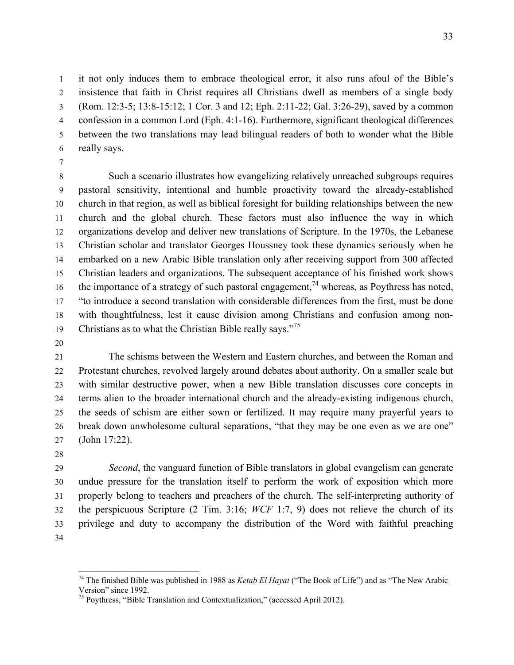1 it not only induces them to embrace theological error, it also runs afoul of the Bible's 2 insistence that faith in Christ requires all Christians dwell as members of a single body 3 (Rom. 12:3-5; 13:8-15:12; 1 Cor. 3 and 12; Eph. 2:11-22; Gal. 3:26-29), saved by a common 4 confession in a common Lord (Eph. 4:1-16). Furthermore, significant theological differences 5 between the two translations may lead bilingual readers of both to wonder what the Bible 6 really says.

7

8 Such a scenario illustrates how evangelizing relatively unreached subgroups requires 9 pastoral sensitivity, intentional and humble proactivity toward the already-established 10 church in that region, as well as biblical foresight for building relationships between the new 11 church and the global church. These factors must also influence the way in which 12 organizations develop and deliver new translations of Scripture. In the 1970s, the Lebanese 13 Christian scholar and translator Georges Houssney took these dynamics seriously when he 14 embarked on a new Arabic Bible translation only after receiving support from 300 affected 15 Christian leaders and organizations. The subsequent acceptance of his finished work shows the importance of a strategy of such pastoral engagement,<sup>74</sup> whereas, as Poythress has noted, 17 "to introduce a second translation with considerable differences from the first, must be done 18 with thoughtfulness, lest it cause division among Christians and confusion among non-19 Christians as to what the Christian Bible really says."<sup>75</sup>

20

21 The schisms between the Western and Eastern churches, and between the Roman and 22 Protestant churches, revolved largely around debates about authority. On a smaller scale but 23 with similar destructive power, when a new Bible translation discusses core concepts in 24 terms alien to the broader international church and the already-existing indigenous church, 25 the seeds of schism are either sown or fertilized. It may require many prayerful years to 26 break down unwholesome cultural separations, "that they may be one even as we are one" 27 (John 17:22).

28

29 *Second*, the vanguard function of Bible translators in global evangelism can generate 30 undue pressure for the translation itself to perform the work of exposition which more 31 properly belong to teachers and preachers of the church. The self-interpreting authority of 32 the perspicuous Scripture (2 Tim. 3:16; *WCF* 1:7, 9) does not relieve the church of its 33 privilege and duty to accompany the distribution of the Word with faithful preaching 34

 74 The finished Bible was published in 1988 as *Ketab El Hayat* ("The Book of Life") and as "The New Arabic Version" since 1992.

 $75$  Poythress, "Bible Translation and Contextualization," (accessed April 2012).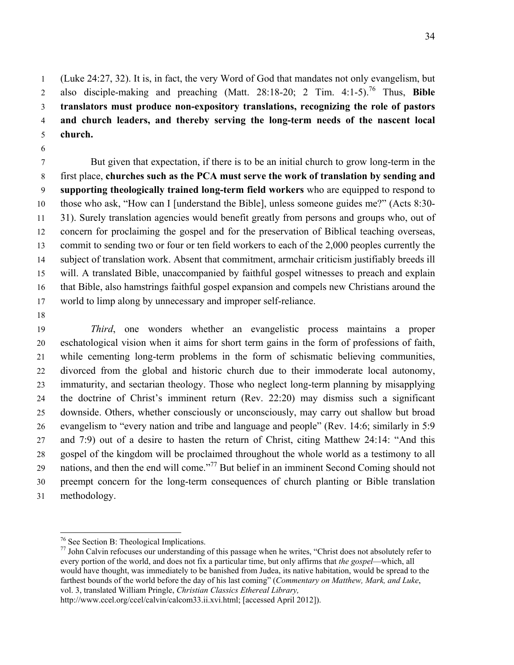1 (Luke 24:27, 32). It is, in fact, the very Word of God that mandates not only evangelism, but also disciple-making and preaching  $(Matt. 28:18-20; 2 Tim. 4:1-5)$ <sup>76</sup> Thus, **Bible** 3 **translators must produce non-expository translations, recognizing the role of pastors**  4 **and church leaders, and thereby serving the long-term needs of the nascent local**  5 **church.**

6

7 But given that expectation, if there is to be an initial church to grow long-term in the 8 first place, **churches such as the PCA must serve the work of translation by sending and**  9 **supporting theologically trained long-term field workers** who are equipped to respond to 10 those who ask, "How can I [understand the Bible], unless someone guides me?" (Acts 8:30- 11 31). Surely translation agencies would benefit greatly from persons and groups who, out of 12 concern for proclaiming the gospel and for the preservation of Biblical teaching overseas, 13 commit to sending two or four or ten field workers to each of the 2,000 peoples currently the 14 subject of translation work. Absent that commitment, armchair criticism justifiably breeds ill 15 will. A translated Bible, unaccompanied by faithful gospel witnesses to preach and explain 16 that Bible, also hamstrings faithful gospel expansion and compels new Christians around the 17 world to limp along by unnecessary and improper self-reliance.

18

19 *Third*, one wonders whether an evangelistic process maintains a proper 20 eschatological vision when it aims for short term gains in the form of professions of faith, 21 while cementing long-term problems in the form of schismatic believing communities, 22 divorced from the global and historic church due to their immoderate local autonomy, 23 immaturity, and sectarian theology. Those who neglect long-term planning by misapplying 24 the doctrine of Christ's imminent return (Rev. 22:20) may dismiss such a significant 25 downside. Others, whether consciously or unconsciously, may carry out shallow but broad 26 evangelism to "every nation and tribe and language and people" (Rev. 14:6; similarly in 5:9 27 and 7:9) out of a desire to hasten the return of Christ, citing Matthew 24:14: "And this 28 gospel of the kingdom will be proclaimed throughout the whole world as a testimony to all 29 nations, and then the end will come."<sup>77</sup> But belief in an imminent Second Coming should not 30 preempt concern for the long-term consequences of church planting or Bible translation 31 methodology.

 76 See Section B: Theological Implications.

<sup>&</sup>lt;sup>77</sup> John Calvin refocuses our understanding of this passage when he writes, "Christ does not absolutely refer to every portion of the world, and does not fix a particular time, but only affirms that *the gospel*—which, all would have thought, was immediately to be banished from Judea, its native habitation, would be spread to the farthest bounds of the world before the day of his last coming" (*Commentary on Matthew, Mark, and Luke*, vol. 3, translated William Pringle, *Christian Classics Ethereal Library,* 

http://www.ccel.org/ccel/calvin/calcom33.ii.xvi.html; [accessed April 2012]).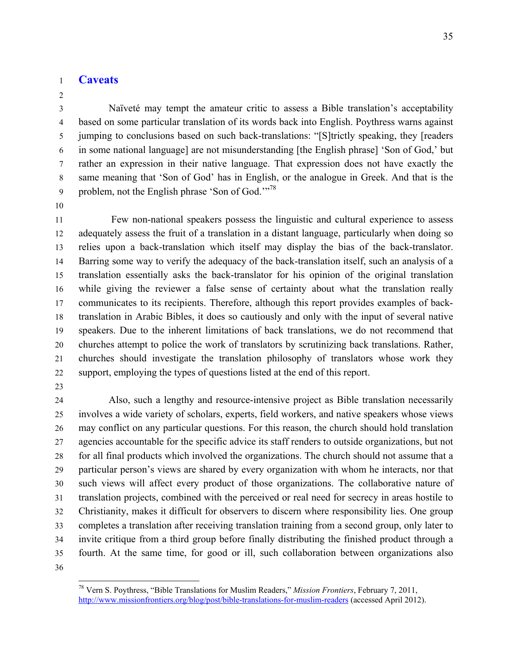1 **Caveats** 

2

3 Naïveté may tempt the amateur critic to assess a Bible translation's acceptability 4 based on some particular translation of its words back into English. Poythress warns against 5 jumping to conclusions based on such back-translations: "[S]trictly speaking, they [readers 6 in some national language] are not misunderstanding [the English phrase] 'Son of God,' but 7 rather an expression in their native language. That expression does not have exactly the 8 same meaning that 'Son of God' has in English, or the analogue in Greek. And that is the 9 problem, not the English phrase 'Son of God."<sup>78</sup>

10

11 Few non-national speakers possess the linguistic and cultural experience to assess 12 adequately assess the fruit of a translation in a distant language, particularly when doing so 13 relies upon a back-translation which itself may display the bias of the back-translator. 14 Barring some way to verify the adequacy of the back-translation itself, such an analysis of a 15 translation essentially asks the back-translator for his opinion of the original translation 16 while giving the reviewer a false sense of certainty about what the translation really 17 communicates to its recipients. Therefore, although this report provides examples of back-18 translation in Arabic Bibles, it does so cautiously and only with the input of several native 19 speakers. Due to the inherent limitations of back translations, we do not recommend that 20 churches attempt to police the work of translators by scrutinizing back translations. Rather, 21 churches should investigate the translation philosophy of translators whose work they 22 support, employing the types of questions listed at the end of this report.

23

24 Also, such a lengthy and resource-intensive project as Bible translation necessarily 25 involves a wide variety of scholars, experts, field workers, and native speakers whose views 26 may conflict on any particular questions. For this reason, the church should hold translation 27 agencies accountable for the specific advice its staff renders to outside organizations, but not 28 for all final products which involved the organizations. The church should not assume that a 29 particular person's views are shared by every organization with whom he interacts, nor that 30 such views will affect every product of those organizations. The collaborative nature of 31 translation projects, combined with the perceived or real need for secrecy in areas hostile to 32 Christianity, makes it difficult for observers to discern where responsibility lies. One group 33 completes a translation after receiving translation training from a second group, only later to 34 invite critique from a third group before finally distributing the finished product through a 35 fourth. At the same time, for good or ill, such collaboration between organizations also 36

<sup>78</sup> Vern S. Poythress, "Bible Translations for Muslim Readers," *Mission Frontiers*, February 7, 2011, http://www.missionfrontiers.org/blog/post/bible-translations-for-muslim-readers (accessed April 2012).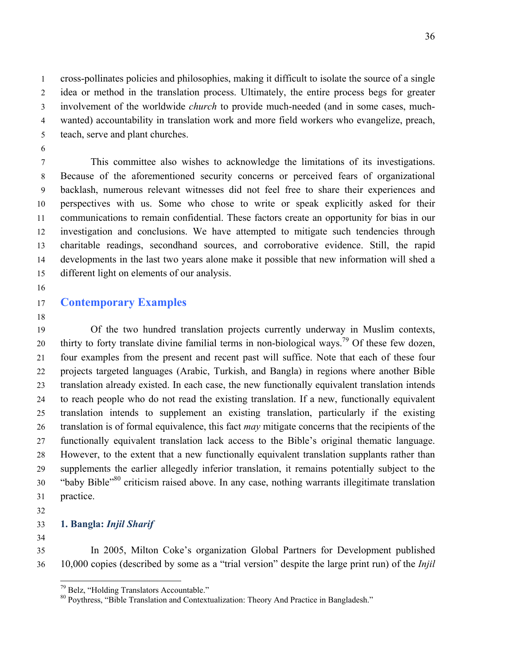1 cross-pollinates policies and philosophies, making it difficult to isolate the source of a single 2 idea or method in the translation process. Ultimately, the entire process begs for greater 3 involvement of the worldwide *church* to provide much-needed (and in some cases, much-4 wanted) accountability in translation work and more field workers who evangelize, preach, 5 teach, serve and plant churches.

6

7 This committee also wishes to acknowledge the limitations of its investigations. 8 Because of the aforementioned security concerns or perceived fears of organizational 9 backlash, numerous relevant witnesses did not feel free to share their experiences and 10 perspectives with us. Some who chose to write or speak explicitly asked for their 11 communications to remain confidential. These factors create an opportunity for bias in our 12 investigation and conclusions. We have attempted to mitigate such tendencies through 13 charitable readings, secondhand sources, and corroborative evidence. Still, the rapid 14 developments in the last two years alone make it possible that new information will shed a 15 different light on elements of our analysis.

16

#### 17 **Contemporary Examples**

18

19 Of the two hundred translation projects currently underway in Muslim contexts, 20 thirty to forty translate divine familial terms in non-biological ways.<sup>79</sup> Of these few dozen. 21 four examples from the present and recent past will suffice. Note that each of these four 22 projects targeted languages (Arabic, Turkish, and Bangla) in regions where another Bible 23 translation already existed. In each case, the new functionally equivalent translation intends 24 to reach people who do not read the existing translation. If a new, functionally equivalent 25 translation intends to supplement an existing translation, particularly if the existing 26 translation is of formal equivalence, this fact *may* mitigate concerns that the recipients of the 27 functionally equivalent translation lack access to the Bible's original thematic language. 28 However, to the extent that a new functionally equivalent translation supplants rather than 29 supplements the earlier allegedly inferior translation, it remains potentially subject to the "baby Bible"<sup>80</sup> 30 criticism raised above. In any case, nothing warrants illegitimate translation 31 practice.

32

33 **1. Bangla:** *Injil Sharif* 

34

35 In 2005, Milton Coke's organization Global Partners for Development published 36 10,000 copies (described by some as a "trial version" despite the large print run) of the *Injil* 

<sup>79</sup> Belz, "Holding Translators Accountable."

<sup>80</sup> Poythress, "Bible Translation and Contextualization: Theory And Practice in Bangladesh."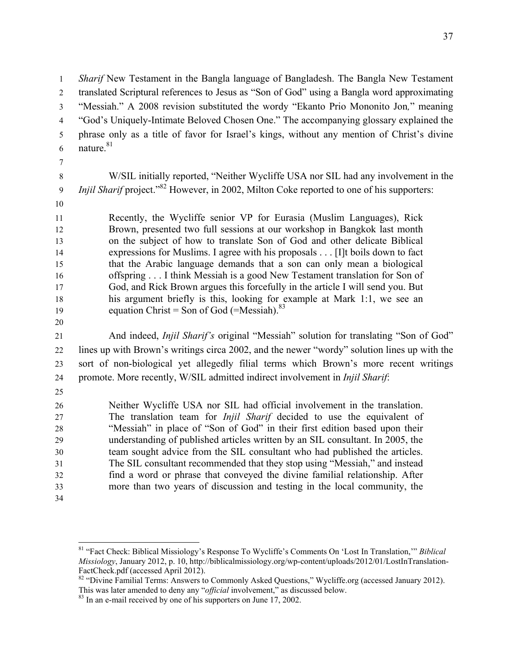1 *Sharif* New Testament in the Bangla language of Bangladesh. The Bangla New Testament 2 translated Scriptural references to Jesus as "Son of God" using a Bangla word approximating 3 "Messiah." A 2008 revision substituted the wordy "Ekanto Prio Mononito Jon*,*" meaning 4 "God's Uniquely-Intimate Beloved Chosen One." The accompanying glossary explained the 5 phrase only as a title of favor for Israel's kings, without any mention of Christ's divine  $6$  nature.  $81$ 

- 7
- 8 W/SIL initially reported, "Neither Wycliffe USA nor SIL had any involvement in the *Injil Sharif* project."<sup>82</sup> However, in 2002, Milton Coke reported to one of his supporters:
- 10

11 Recently, the Wycliffe senior VP for Eurasia (Muslim Languages), Rick 12 Brown, presented two full sessions at our workshop in Bangkok last month 13 on the subject of how to translate Son of God and other delicate Biblical 14 expressions for Muslims. I agree with his proposals . . . [I]t boils down to fact 15 that the Arabic language demands that a son can only mean a biological 16 offspring . . . I think Messiah is a good New Testament translation for Son of 17 God, and Rick Brown argues this forcefully in the article I will send you. But 18 his argument briefly is this, looking for example at Mark 1:1, we see an 19 equation Christ = Son of God (=Messiah). $83$ 

20

21 And indeed, *Injil Sharif's* original "Messiah" solution for translating "Son of God" 22 lines up with Brown's writings circa 2002, and the newer "wordy" solution lines up with the 23 sort of non-biological yet allegedly filial terms which Brown's more recent writings 24 promote. More recently, W/SIL admitted indirect involvement in *Injil Sharif*:

25

26 Neither Wycliffe USA nor SIL had official involvement in the translation. 27 The translation team for *Injil Sharif* decided to use the equivalent of 28 "Messiah" in place of "Son of God" in their first edition based upon their 29 understanding of published articles written by an SIL consultant. In 2005, the 30 team sought advice from the SIL consultant who had published the articles. 31 The SIL consultant recommended that they stop using "Messiah," and instead 32 find a word or phrase that conveyed the divine familial relationship. After 33 more than two years of discussion and testing in the local community, the 34

 81 "Fact Check: Biblical Missiology's Response To Wycliffe's Comments On 'Lost In Translation,'" *Biblical Missiology*, January 2012, p. 10, http://biblicalmissiology.org/wp-content/uploads/2012/01/LostInTranslation-FactCheck.pdf (accessed April 2012).

<sup>82 &</sup>quot;Divine Familial Terms: Answers to Commonly Asked Questions," Wycliffe.org (accessed January 2012). This was later amended to deny any "*official* involvement," as discussed below.<br><sup>83</sup> In an e-mail received by one of his supporters on June 17, 2002.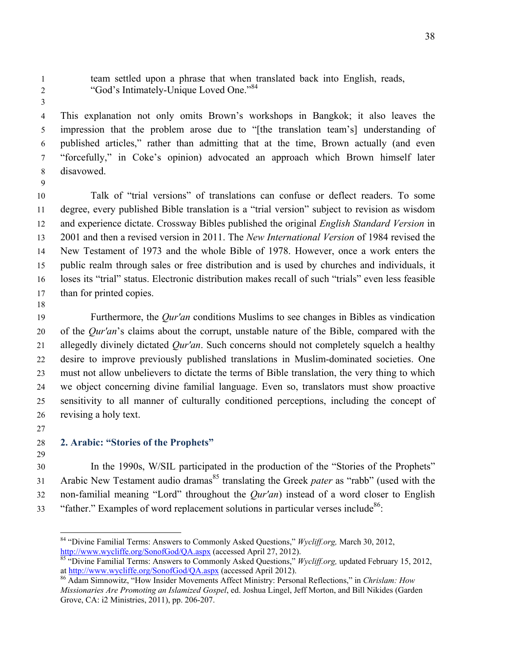1 team settled upon a phrase that when translated back into English, reads, 2 "God's Intimately-Unique Loved One."<sup>84</sup>

3

4 This explanation not only omits Brown's workshops in Bangkok; it also leaves the 5 impression that the problem arose due to "[the translation team's] understanding of 6 published articles," rather than admitting that at the time, Brown actually (and even 7 "forcefully," in Coke's opinion) advocated an approach which Brown himself later 8 disavowed.

9

10 Talk of "trial versions" of translations can confuse or deflect readers. To some 11 degree, every published Bible translation is a "trial version" subject to revision as wisdom 12 and experience dictate. Crossway Bibles published the original *English Standard Version* in 13 2001 and then a revised version in 2011. The *New International Version* of 1984 revised the 14 New Testament of 1973 and the whole Bible of 1978. However, once a work enters the 15 public realm through sales or free distribution and is used by churches and individuals, it 16 loses its "trial" status. Electronic distribution makes recall of such "trials" even less feasible 17 than for printed copies.

18

19 Furthermore, the *Qur'an* conditions Muslims to see changes in Bibles as vindication 20 of the *Qur'an*'s claims about the corrupt, unstable nature of the Bible, compared with the 21 allegedly divinely dictated *Qur'an*. Such concerns should not completely squelch a healthy 22 desire to improve previously published translations in Muslim-dominated societies. One 23 must not allow unbelievers to dictate the terms of Bible translation, the very thing to which 24 we object concerning divine familial language. Even so, translators must show proactive 25 sensitivity to all manner of culturally conditioned perceptions, including the concept of 26 revising a holy text.

27

29

### 28 **2. Arabic: "Stories of the Prophets"**

30 In the 1990s, W/SIL participated in the production of the "Stories of the Prophets" 31 Arabic New Testament audio dramas<sup>85</sup> translating the Greek *pater* as "rabb" (used with the 32 non-familial meaning "Lord" throughout the *Qur'an*) instead of a word closer to English ""father." Examples of word replacement solutions in particular verses include<sup>86</sup>.

 84 "Divine Familial Terms: Answers to Commonly Asked Questions," *Wycliff.org,* March 30, 2012,

http://www.wycliffe.org/SonofGod/QA.aspx (accessed April 27, 2012).<br><sup>85</sup> "Divine Familial Terms: Answers to Commonly Asked Questions," *Wycliff.org*, updated February 15, 2012, at http://www.wycliffe.org/SonofGod/QA.aspx (

<sup>&</sup>lt;sup>86</sup> Adam Simnowitz, "How Insider Movements Affect Ministry: Personal Reflections," in *Chrislam: How Missionaries Are Promoting an Islamized Gospel*, ed. Joshua Lingel, Jeff Morton, and Bill Nikides (Garden Grove, CA: i2 Ministries, 2011), pp. 206-207.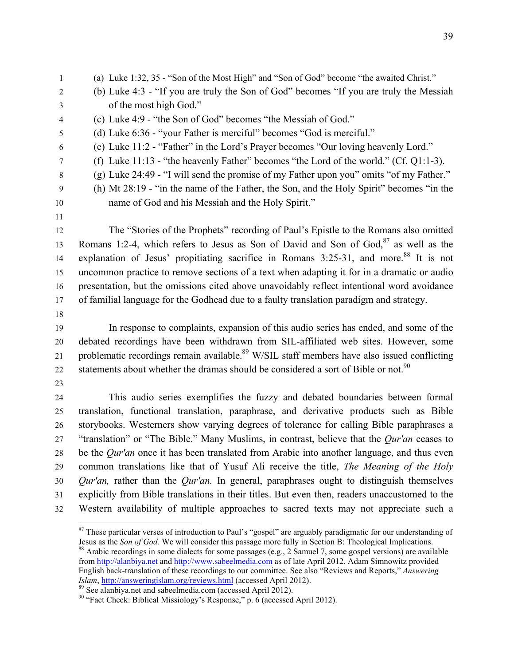- 1 (a) Luke 1:32, 35 "Son of the Most High" and "Son of God" become "the awaited Christ." 2 (b) Luke 4:3 - "If you are truly the Son of God" becomes "If you are truly the Messiah 3 of the most high God." 4 (c) Luke 4:9 - "the Son of God" becomes "the Messiah of God." 5 (d) Luke 6:36 - "your Father is merciful" becomes "God is merciful." 6 (e) Luke 11:2 - "Father" in the Lord's Prayer becomes "Our loving heavenly Lord." 7 (f) Luke 11:13 - "the heavenly Father" becomes "the Lord of the world." (Cf. Q1:1-3). 8 (g) Luke 24:49 - "I will send the promise of my Father upon you" omits "of my Father." 9 (h) Mt 28:19 - "in the name of the Father, the Son, and the Holy Spirit" becomes "in the 10 name of God and his Messiah and the Holy Spirit."
- 11

12 The "Stories of the Prophets" recording of Paul's Epistle to the Romans also omitted 13 Romans 1:2-4, which refers to Jesus as Son of David and Son of  $God<sub>s</sub><sup>87</sup>$  as well as the 14 explanation of Jesus' propitiating sacrifice in Romans 3:25-31, and more.<sup>88</sup> It is not 15 uncommon practice to remove sections of a text when adapting it for in a dramatic or audio 16 presentation, but the omissions cited above unavoidably reflect intentional word avoidance 17 of familial language for the Godhead due to a faulty translation paradigm and strategy.

18

19 In response to complaints, expansion of this audio series has ended, and some of the 20 debated recordings have been withdrawn from SIL-affiliated web sites. However, some 21 problematic recordings remain available.<sup>89</sup> W/SIL staff members have also issued conflicting 22 statements about whether the dramas should be considered a sort of Bible or not.<sup>90</sup>

23

24 This audio series exemplifies the fuzzy and debated boundaries between formal 25 translation, functional translation, paraphrase, and derivative products such as Bible 26 storybooks. Westerners show varying degrees of tolerance for calling Bible paraphrases a 27 "translation" or "The Bible." Many Muslims, in contrast, believe that the *Qur'an* ceases to 28 be the *Qur'an* once it has been translated from Arabic into another language, and thus even 29 common translations like that of Yusuf Ali receive the title, *The Meaning of the Holy*  30 *Qur'an,* rather than the *Qur'an.* In general, paraphrases ought to distinguish themselves 31 explicitly from Bible translations in their titles. But even then, readers unaccustomed to the 32 Western availability of multiple approaches to sacred texts may not appreciate such a

<u> 1989 - Johann Stein, marwolaethau a bh</u>

 $87$  These particular verses of introduction to Paul's "gospel" are arguably paradigmatic for our understanding of Jesus as the *Son of God*. We will consider this passage more fully in Section B: Theological Implications. <sup>88</sup> Arabic recordings in some dialects for some passages (e.g., 2 Samuel 7, some gospel versions) are available from http://alanbiya.net and http://www.sabeelmedia.com as of late April 2012. Adam Simnowitz provided English back-translation of these recordings to our committee. See also "Reviews and Reports," *Answering* 

<sup>&</sup>lt;sup>89</sup> See alanbiya.net and sabeelmedia.com (accessed April 2012). <sup>90</sup> "Fact Check: Biblical Missiology's Response," p. 6 (accessed April 2012).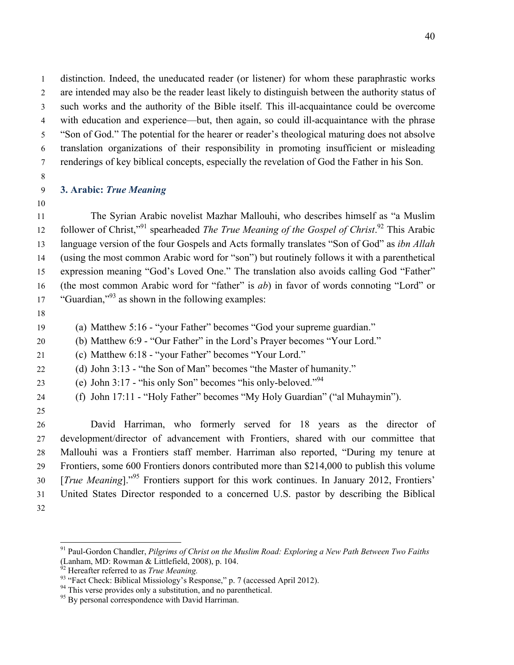1 distinction. Indeed, the uneducated reader (or listener) for whom these paraphrastic works 2 are intended may also be the reader least likely to distinguish between the authority status of 3 such works and the authority of the Bible itself. This ill-acquaintance could be overcome 4 with education and experience—but, then again, so could ill-acquaintance with the phrase 5 "Son of God." The potential for the hearer or reader's theological maturing does not absolve 6 translation organizations of their responsibility in promoting insufficient or misleading 7 renderings of key biblical concepts, especially the revelation of God the Father in his Son.

8

#### 9 **3. Arabic:** *True Meaning*

10

11 The Syrian Arabic novelist Mazhar Mallouhi, who describes himself as "a Muslim 12 follower of Christ,"<sup>91</sup> spearheaded *The True Meaning of the Gospel of Christ*.<sup>92</sup> This Arabic 13 language version of the four Gospels and Acts formally translates "Son of God" as *ibn Allah*  14 (using the most common Arabic word for "son") but routinely follows it with a parenthetical 15 expression meaning "God's Loved One." The translation also avoids calling God "Father" 16 (the most common Arabic word for "father" is *ab*) in favor of words connoting "Lord" or  $17$  "Guardian,"<sup>93</sup> as shown in the following examples:

18

19 (a) Matthew 5:16 - "your Father" becomes "God your supreme guardian."

20 (b) Matthew 6:9 - "Our Father" in the Lord's Prayer becomes "Your Lord."

- 21 (c) Matthew 6:18 "your Father" becomes "Your Lord."
- 22 (d) John 3:13 "the Son of Man" becomes "the Master of humanity."
- (e) John 3:17 "his only Son" becomes "his only-beloved."94 23
- 24 (f) John 17:11 "Holy Father" becomes "My Holy Guardian" ("al Muhaymin").
- 25

26 David Harriman, who formerly served for 18 years as the director of 27 development/director of advancement with Frontiers, shared with our committee that 28 Mallouhi was a Frontiers staff member. Harriman also reported, "During my tenure at 29 Frontiers, some 600 Frontiers donors contributed more than \$214,000 to publish this volume [*True Meaning*]."<sup>95</sup> 30 Frontiers support for this work continues. In January 2012, Frontiers' 31 United States Director responded to a concerned U.S. pastor by describing the Biblical

32

<sup>91</sup> Paul-Gordon Chandler, *Pilgrims of Christ on the Muslim Road: Exploring a New Path Between Two Faiths*  (Lanham, MD: Rowman & Littlefield, 2008), p. 104.<br>
<sup>92</sup> Hereafter referred to as *True Meaning*.<br>
<sup>93</sup> "Fact Check: Biblical Missiology's Response," p. 7 (accessed April 2012).<br>
<sup>94</sup> This verse provides only a substitutio

<sup>&</sup>lt;sup>95</sup> By personal correspondence with David Harriman.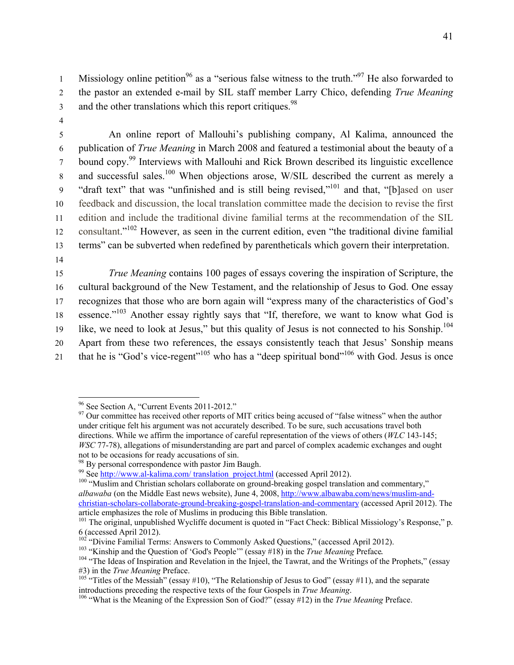Missiology online petition<sup>96</sup> as a "serious false witness to the truth."<sup>97</sup> He also forwarded to 2 the pastor an extended e-mail by SIL staff member Larry Chico, defending *True Meaning* 3 and the other translations which this report critiques.  $98$ 

4

5 An online report of Mallouhi's publishing company, Al Kalima, announced the 6 publication of *True Meaning* in March 2008 and featured a testimonial about the beauty of a <sup>7</sup> bound copy.<sup>99</sup> Interviews with Mallouhi and Rick Brown described its linguistic excellence 8 and successful sales.<sup>100</sup> When objections arose, W/SIL described the current as merely a 9 "draft text" that was "unfinished and is still being revised,"<sup>101</sup> and that, "[b]ased on user 10 feedback and discussion, the local translation committee made the decision to revise the first 11 edition and include the traditional divine familial terms at the recommendation of the SIL 12 consultant."<sup>102</sup> However, as seen in the current edition, even "the traditional divine familial 13 terms" can be subverted when redefined by parentheticals which govern their interpretation.

14

15 *True Meaning* contains 100 pages of essays covering the inspiration of Scripture, the 16 cultural background of the New Testament, and the relationship of Jesus to God. One essay 17 recognizes that those who are born again will "express many of the characteristics of God's 18 essence."<sup>103</sup> Another essay rightly says that "If, therefore, we want to know what God is 19 like, we need to look at Jesus," but this quality of Jesus is not connected to his Sonship.<sup>104</sup> 20 Apart from these two references, the essays consistently teach that Jesus' Sonship means that he is "God's vice-regent"<sup>105</sup> who has a "deep spiritual bond"<sup>106</sup> with God. Jesus is once

<u> 1989 - Johann Stein, marwolaethau a bh</u>

<sup>96</sup> See Section A, "Current Events 2011-2012."

 $97$  Our committee has received other reports of MIT critics being accused of "false witness" when the author under critique felt his argument was not accurately described. To be sure, such accusations travel both directions. While we affirm the importance of careful representation of the views of others (*WLC* 143-145; *WSC* 77-78), allegations of misunderstanding are part and parcel of complex academic exchanges and ought not to be occasions for ready accusations of sin.

<sup>&</sup>lt;sup>98</sup> By personal correspondence with pastor Jim Baugh.<br><sup>99</sup> See http://www.al-kalima.com/ translation\_project.html (accessed April 2012).

<sup>&</sup>lt;sup>100</sup> "Muslim and Christian scholars collaborate on ground-breaking gospel translation and commentary," *albawaba* (on the Middle East news website), June 4, 2008, http://www.albawaba.com/news/muslim-andchristian-scholars-collaborate-ground-breaking-gospel-translation-and-commentary (accessed April 2012). The article emphasizes the role of Muslims in producing this Bible translation.

<sup>&</sup>lt;sup>101</sup> The original, unpublished Wycliffe document is quoted in "Fact Check: Biblical Missiology's Response," p. 6 (accessed April 2012).<br><sup>102</sup> "Divine Familial Terms: Answers to Commonly Asked Questions," (accessed April 2012).

<sup>&</sup>lt;sup>103</sup> "Kinship and the Question of 'God's People'" (essay #18) in the *True Meaning* Preface.<br><sup>104</sup> "The Ideas of Inspiration and Revelation in the Injeel, the Tawrat, and the Writings of the Prophets," (essay #3) in the *True Meaning* Preface.<br><sup>105</sup> "Titles of the Messiah" (essay #10), "The Relationship of Jesus to God" (essay #11), and the separate

introductions preceding the respective texts of the four Gospels in *True Meaning*. 106 "What is the Meaning of the Expression Son of God?" (essay #12) in the *True Meaning* Preface.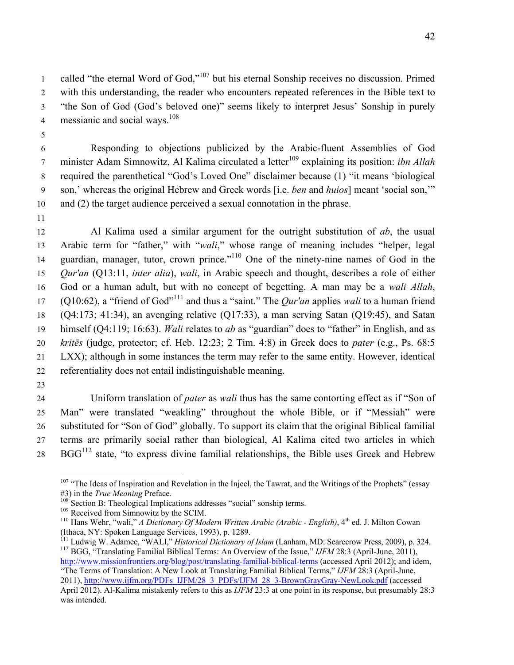1 called "the eternal Word of God," $107$  but his eternal Sonship receives no discussion. Primed 2 with this understanding, the reader who encounters repeated references in the Bible text to 3 "the Son of God (God's beloved one)" seems likely to interpret Jesus' Sonship in purely 4 messianic and social ways. $108$ 

5

6 Responding to objections publicized by the Arabic-fluent Assemblies of God 7 minister Adam Simnowitz, Al Kalima circulated a letter<sup>109</sup> explaining its position: *ibn Allah* 8 required the parenthetical "God's Loved One" disclaimer because (1) "it means 'biological 9 son,' whereas the original Hebrew and Greek words [i.e. *ben* and *huios*] meant 'social son,'" 10 and (2) the target audience perceived a sexual connotation in the phrase.

11

12 Al Kalima used a similar argument for the outright substitution of *ab*, the usual 13 Arabic term for "father," with "*wali*," whose range of meaning includes "helper, legal 14 guardian, manager, tutor, crown prince."<sup>110</sup> One of the ninety-nine names of God in the 15 *Qur'an* (Q13:11, *inter alia*), *wali*, in Arabic speech and thought, describes a role of either 16 God or a human adult, but with no concept of begetting. A man may be a *wali Allah*, (Q10:62), a "friend of God"111 17 and thus a "saint." The *Qur'an* applies *wali* to a human friend 18 (Q4:173; 41:34), an avenging relative (Q17:33), a man serving Satan (Q19:45), and Satan 19 himself (Q4:119; 16:63). *Wali* relates to *ab* as "guardian" does to "father" in English, and as 20 *kritēs* (judge, protector; cf. Heb. 12:23; 2 Tim. 4:8) in Greek does to *pater* (e.g., Ps. 68:5 21 LXX); although in some instances the term may refer to the same entity. However, identical 22 referentiality does not entail indistinguishable meaning.

23

24 Uniform translation of *pater* as *wali* thus has the same contorting effect as if "Son of 25 Man" were translated "weakling" throughout the whole Bible, or if "Messiah" were 26 substituted for "Son of God" globally. To support its claim that the original Biblical familial 27 terms are primarily social rather than biological, Al Kalima cited two articles in which  $BGG<sup>112</sup>$  state, "to express divine familial relationships, the Bible uses Greek and Hebrew

2011), http://www.ijfm.org/PDFs\_IJFM/28\_3\_PDFs/IJFM\_28\_3-BrownGrayGray-NewLook.pdf (accessed April 2012). Al-Kalima mistakenly refers to this as *IJFM* 23:3 at one point in its response, but presumably 28:3 was intended.

 <sup>107</sup> "The Ideas of Inspiration and Revelation in the Injeel, the Tawrat, and the Writings of the Prophets" (essay #3) in the *True Meaning* Preface.<br><sup>108</sup> Section B: Theological Implications addresses "social" sonship terms.<br><sup>109</sup> Received from Simnowitz by the SCIM.<br><sup>110</sup> Hans Wehr, "wali," *A Dictionary Of Modern Written Arabic (Ar* 

<sup>(</sup>Ithaca, NY: Spoken Language Services, 1993), p. 1289.

<sup>&</sup>lt;sup>111</sup> Ludwig W. Adamec, "WALI," *Historical Dictionary of Islam* (Lanham, MD: Scarecrow Press, 2009), p. 324. <sup>112</sup> BGG, "Translating Familial Biblical Terms: An Overview of the Issue," *IJFM* 28:3 (April-June, 2011), http://www.missionfrontiers.org/blog/post/translating-familial-biblical-terms (accessed April 2012); and idem, "The Terms of Translation: A New Look at Translating Familial Biblical Terms," *IJFM* 28:3 (April-June,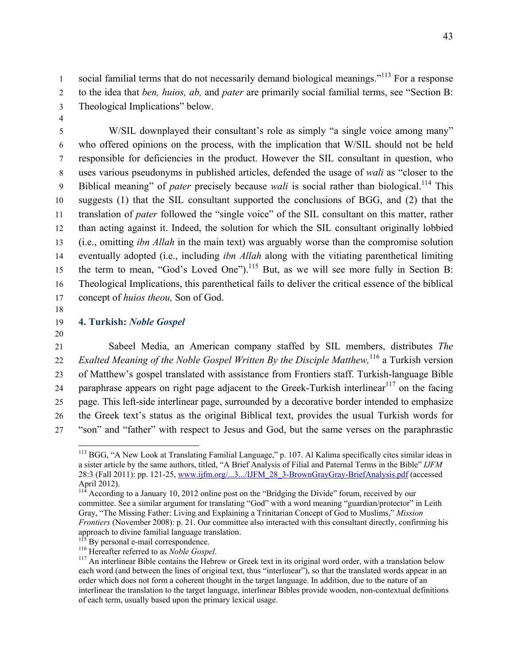social familial terms that do not necessarily demand biological meanings."<sup>113</sup> For a response 2 to the idea that *ben, huios, ab,* and *pater* are primarily social familial terms, see "Section B: 3 Theological Implications" below.

4

5 W/SIL downplayed their consultant's role as simply "a single voice among many" 6 who offered opinions on the process, with the implication that W/SIL should not be held 7 responsible for deficiencies in the product. However the SIL consultant in question, who 8 uses various pseudonyms in published articles, defended the usage of *wali* as "closer to the 9 Biblical meaning" of *pater* precisely because *wali* is social rather than biological.<sup>114</sup> This 10 suggests (1) that the SIL consultant supported the conclusions of BGG, and (2) that the 11 translation of *pater* followed the "single voice" of the SIL consultant on this matter, rather 12 than acting against it. Indeed, the solution for which the SIL consultant originally lobbied 13 (i.e., omitting *ibn Allah* in the main text) was arguably worse than the compromise solution 14 eventually adopted (i.e., including *ibn Allah* along with the vitiating parenthetical limiting 15 the term to mean, "God's Loved One").<sup>115</sup> But, as we will see more fully in Section B: 16 Theological Implications, this parenthetical fails to deliver the critical essence of the biblical 17 concept of *huios theou,* Son of God.

18

#### 19 **4. Turkish:** *Noble Gospel*

20

21 Sabeel Media, an American company staffed by SIL members, distributes *The*  22 *Exalted Meaning of the Noble Gospel Written By the Disciple Matthew*,<sup>116</sup> a Turkish version 23 of Matthew's gospel translated with assistance from Frontiers staff. Turkish-language Bible 24 paraphrase appears on right page adjacent to the Greek-Turkish interlinear<sup>117</sup> on the facing 25 page. This left-side interlinear page, surrounded by a decorative border intended to emphasize 26 the Greek text's status as the original Biblical text, provides the usual Turkish words for 27 "son" and "father" with respect to Jesus and God, but the same verses on the paraphrastic

<sup>&</sup>lt;sup>113</sup> BGG, "A New Look at Translating Familial Language," p. 107. Al Kalima specifically cites similar ideas in a sister article by the same authors, titled, "A Brief Analysis of Filial and Paternal Terms in the Bible" *IJFM* 28:3 (Fall 2011): pp. 121-25, www.ijfm.org/...3.../IJFM\_28\_3-BrownGrayGray-BriefAnalysis.pdf (accessed April 2012).

 $11<sup>114</sup>$  According to a January 10, 2012 online post on the "Bridging the Divide" forum, received by our committee. See a similar argument for translating "God" with a word meaning "guardian/protector" in Leith Gray, "The Missing Father: Living and Explaining a Trinitarian Concept of God to Muslims," *Mission Frontiers* (November 2008): p. 21. Our committee also interacted with this consultant directly, confirming his approach to divine familial language translation.<br><sup>115</sup> By personal e-mail correspondence.

<sup>115</sup> By personal e-mail correspondence. 116 Hereafter referred to as *Noble Gospel*. 117 An interlinear Bible contains the Hebrew or Greek text in its original word order, with a translation below each word (and between the lines of original text, thus "interlinear"), so that the translated words appear in an order which does not form a coherent thought in the target language. In addition, due to the nature of an interlinear the translation to the target language, interlinear Bibles provide wooden, non-contextual definitions of each term, usually based upon the primary lexical usage.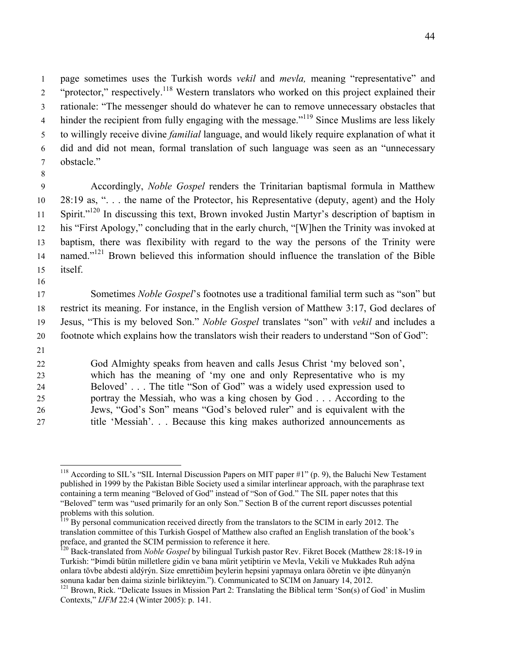44

1 page sometimes uses the Turkish words *vekil* and *mevla,* meaning "representative" and "<sup>2</sup> "protector," respectively.<sup>118</sup> Western translators who worked on this project explained their 3 rationale: "The messenger should do whatever he can to remove unnecessary obstacles that 4 hinder the recipient from fully engaging with the message."<sup>119</sup> Since Muslims are less likely 5 to willingly receive divine *familial* language, and would likely require explanation of what it 6 did and did not mean, formal translation of such language was seen as an "unnecessary 7 obstacle."

8

9 Accordingly, *Noble Gospel* renders the Trinitarian baptismal formula in Matthew 10 28:19 as, ". . . the name of the Protector, his Representative (deputy, agent) and the Holy 11 Spirit."<sup>120</sup> In discussing this text, Brown invoked Justin Martyr's description of baptism in 12 his "First Apology," concluding that in the early church, "[W]hen the Trinity was invoked at 13 baptism, there was flexibility with regard to the way the persons of the Trinity were 14 named." $121$  Brown believed this information should influence the translation of the Bible 15 itself.

16

<u> 1989 - Johann Stein, marwolaethau a bh</u>

17 Sometimes *Noble Gospel*'s footnotes use a traditional familial term such as "son" but 18 restrict its meaning. For instance, in the English version of Matthew 3:17, God declares of 19 Jesus, "This is my beloved Son." *Noble Gospel* translates "son" with *vekil* and includes a 20 footnote which explains how the translators wish their readers to understand "Son of God": 21

22 God Almighty speaks from heaven and calls Jesus Christ 'my beloved son', 23 which has the meaning of 'my one and only Representative who is my 24 Beloved' . . . The title "Son of God" was a widely used expression used to 25 portray the Messiah, who was a king chosen by God . . . According to the 26 Jews, "God's Son" means "God's beloved ruler" and is equivalent with the 27 title 'Messiah'. . . Because this king makes authorized announcements as

<sup>&</sup>lt;sup>118</sup> According to SIL's "SIL Internal Discussion Papers on MIT paper  $\#1$ " (p. 9), the Baluchi New Testament published in 1999 by the Pakistan Bible Society used a similar interlinear approach, with the paraphrase text containing a term meaning "Beloved of God" instead of "Son of God." The SIL paper notes that this "Beloved" term was "used primarily for an only Son." Section B of the current report discusses potential problems with this solution.

<sup>&</sup>lt;sup>119</sup> By personal communication received directly from the translators to the SCIM in early 2012. The translation committee of this Turkish Gospel of Matthew also crafted an English translation of the book's preface, and granted the SCIM permission to reference it here.<br><sup>120</sup> Back-translated from *Noble Gospel* by bilingual Turkish pastor Rev. Fikret Bocek (Matthew 28:18-19 in

Turkish: "Þimdi bütün milletlere gidin ve bana mürit yetiþtirin ve Mevla, Vekili ve Mukkades Ruh adýna onlara tövbe abdesti aldýrýn. Size emrettiðim þeylerin hepsini yapmaya onlara öðretin ve iþte dünyanýn sonuna kadar ben daima sizinle birlikteyim."). Communicated to SCIM on January 14, 2012.

<sup>&</sup>lt;sup>121</sup> Brown, Rick. "Delicate Issues in Mission Part 2: Translating the Biblical term 'Son(s) of God' in Muslim Contexts," *IJFM* 22:4 (Winter 2005): p. 141.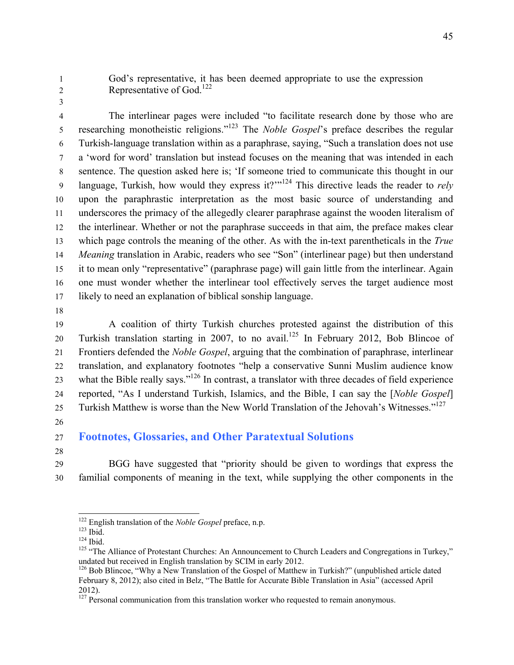1 God's representative, it has been deemed appropriate to use the expression 2 Representative of God.<sup>122</sup>

3

4 The interlinear pages were included "to facilitate research done by those who are researching monotheistic religions."123 5 The *Noble Gospel*'s preface describes the regular 6 Turkish-language translation within as a paraphrase, saying, "Such a translation does not use 7 a 'word for word' translation but instead focuses on the meaning that was intended in each 8 sentence. The question asked here is; 'If someone tried to communicate this thought in our language, Turkish, how would they express it?'"<sup>124</sup> 9 This directive leads the reader to *rely*  10 upon the paraphrastic interpretation as the most basic source of understanding and 11 underscores the primacy of the allegedly clearer paraphrase against the wooden literalism of 12 the interlinear. Whether or not the paraphrase succeeds in that aim, the preface makes clear 13 which page controls the meaning of the other. As with the in-text parentheticals in the *True*  14 *Meaning* translation in Arabic, readers who see "Son" (interlinear page) but then understand 15 it to mean only "representative" (paraphrase page) will gain little from the interlinear. Again 16 one must wonder whether the interlinear tool effectively serves the target audience most 17 likely to need an explanation of biblical sonship language.

18

19 A coalition of thirty Turkish churches protested against the distribution of this 20 Turkish translation starting in 2007, to no avail.<sup>125</sup> In February 2012, Bob Blincoe of 21 Frontiers defended the *Noble Gospel*, arguing that the combination of paraphrase, interlinear 22 translation, and explanatory footnotes "help a conservative Sunni Muslim audience know 23 what the Bible really says."<sup>126</sup> In contrast, a translator with three decades of field experience 24 reported, "As I understand Turkish, Islamics, and the Bible, I can say the [*Noble Gospel*] 25 Turkish Matthew is worse than the New World Translation of the Jehovah's Witnesses."<sup>127</sup>

26

# 27 **Footnotes, Glossaries, and Other Paratextual Solutions**

28

29 BGG have suggested that "priority should be given to wordings that express the 30 familial components of meaning in the text, while supplying the other components in the

<sup>&</sup>lt;sup>122</sup> English translation of the *Noble Gospel* preface, n.p.<br><sup>123</sup> Ibid. 124 Ibid. 125 "The Alliance of Protestant Churches: An Announcement to Church Leaders and Congregations in Turkey," undated but received in English translation by SCIM in early 2012.

<sup>&</sup>lt;sup>126</sup> Bob Blincoe, "Why a New Translation of the Gospel of Matthew in Turkish?" (unpublished article dated February 8, 2012); also cited in Belz, "The Battle for Accurate Bible Translation in Asia" (accessed April 2012).

 $127$  Personal communication from this translation worker who requested to remain anonymous.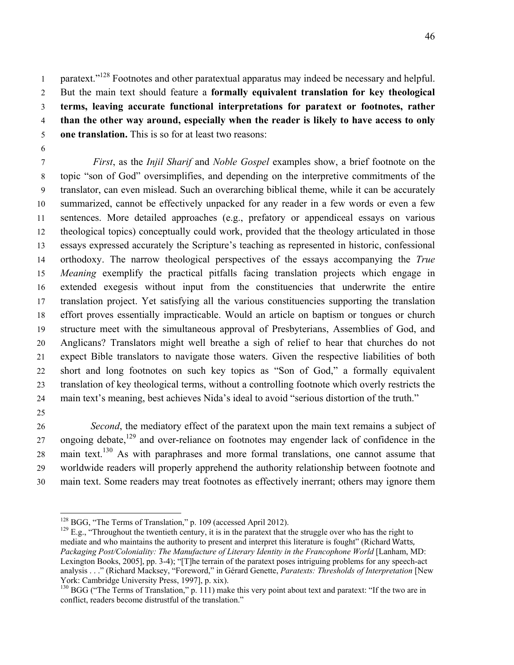1 paratext." $128$  Footnotes and other paratextual apparatus may indeed be necessary and helpful. 2 But the main text should feature a **formally equivalent translation for key theological**  3 **terms, leaving accurate functional interpretations for paratext or footnotes, rather**  4 **than the other way around, especially when the reader is likely to have access to only**  5 **one translation.** This is so for at least two reasons:

6

7 *First*, as the *Injil Sharif* and *Noble Gospel* examples show, a brief footnote on the 8 topic "son of God" oversimplifies, and depending on the interpretive commitments of the 9 translator, can even mislead. Such an overarching biblical theme, while it can be accurately 10 summarized, cannot be effectively unpacked for any reader in a few words or even a few 11 sentences. More detailed approaches (e.g., prefatory or appendiceal essays on various 12 theological topics) conceptually could work, provided that the theology articulated in those 13 essays expressed accurately the Scripture's teaching as represented in historic, confessional 14 orthodoxy. The narrow theological perspectives of the essays accompanying the *True*  15 *Meaning* exemplify the practical pitfalls facing translation projects which engage in 16 extended exegesis without input from the constituencies that underwrite the entire 17 translation project. Yet satisfying all the various constituencies supporting the translation 18 effort proves essentially impracticable. Would an article on baptism or tongues or church 19 structure meet with the simultaneous approval of Presbyterians, Assemblies of God, and 20 Anglicans? Translators might well breathe a sigh of relief to hear that churches do not 21 expect Bible translators to navigate those waters. Given the respective liabilities of both 22 short and long footnotes on such key topics as "Son of God," a formally equivalent 23 translation of key theological terms, without a controlling footnote which overly restricts the 24 main text's meaning, best achieves Nida's ideal to avoid "serious distortion of the truth."

25

26 *Second*, the mediatory effect of the paratext upon the main text remains a subject of 27 ongoing debate,<sup>129</sup> and over-reliance on footnotes may engender lack of confidence in the 28 main text.<sup>130</sup> As with paraphrases and more formal translations, one cannot assume that 29 worldwide readers will properly apprehend the authority relationship between footnote and 30 main text. Some readers may treat footnotes as effectively inerrant; others may ignore them

<sup>&</sup>lt;sup>128</sup> BGG, "The Terms of Translation," p. 109 (accessed April 2012).<br><sup>129</sup> E.g., "Throughout the twentieth century, it is in the paratext that the struggle over who has the right to mediate and who maintains the authority to present and interpret this literature is fought" (Richard Watts, Packaging Post/Coloniality: The Manufacture of Literary Identity in the Francophone World [Lanham, MD: Lexington Books, 2005], pp. 3-4); "[T]he terrain of the paratext poses intriguing problems for any speech-act analysis . . ." (Richard Macksey, "Foreword," in Gérard Genette, *Paratexts: Thresholds of Interpretation* [New York: Cambridge University Press, 1997], p. xix).

<sup>&</sup>lt;sup>130</sup> BGG ("The Terms of Translation," p. 111) make this very point about text and paratext: "If the two are in conflict, readers become distrustful of the translation."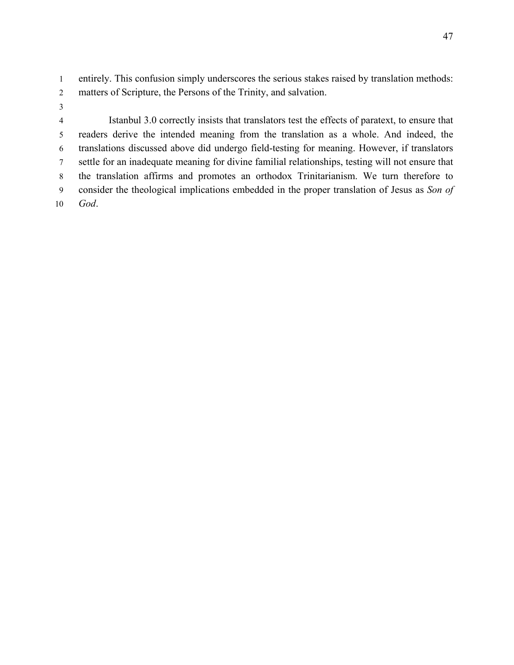1 entirely. This confusion simply underscores the serious stakes raised by translation methods: 2 matters of Scripture, the Persons of the Trinity, and salvation.

3

4 Istanbul 3.0 correctly insists that translators test the effects of paratext, to ensure that 5 readers derive the intended meaning from the translation as a whole. And indeed, the 6 translations discussed above did undergo field-testing for meaning. However, if translators 7 settle for an inadequate meaning for divine familial relationships, testing will not ensure that 8 the translation affirms and promotes an orthodox Trinitarianism. We turn therefore to 9 consider the theological implications embedded in the proper translation of Jesus as *Son of*  10 *God*.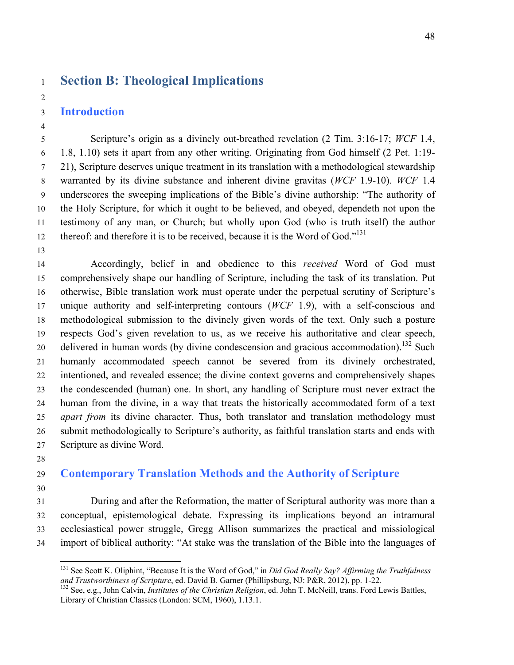# <sup>1</sup>**Section B: Theological Implications**

2

#### 3 **Introduction**

4

5 Scripture's origin as a divinely out-breathed revelation (2 Tim. 3:16-17; *WCF* 1.4, 6 1.8, 1.10) sets it apart from any other writing. Originating from God himself (2 Pet. 1:19- 7 21), Scripture deserves unique treatment in its translation with a methodological stewardship 8 warranted by its divine substance and inherent divine gravitas (*WCF* 1.9-10). *WCF* 1.4 9 underscores the sweeping implications of the Bible's divine authorship: "The authority of 10 the Holy Scripture, for which it ought to be believed, and obeyed, dependeth not upon the 11 testimony of any man, or Church; but wholly upon God (who is truth itself) the author 12 thereof: and therefore it is to be received, because it is the Word of God."<sup>131</sup>

13

14 Accordingly, belief in and obedience to this *received* Word of God must 15 comprehensively shape our handling of Scripture, including the task of its translation. Put 16 otherwise, Bible translation work must operate under the perpetual scrutiny of Scripture's 17 unique authority and self-interpreting contours (*WCF* 1.9), with a self-conscious and 18 methodological submission to the divinely given words of the text. Only such a posture 19 respects God's given revelation to us, as we receive his authoritative and clear speech, 20 delivered in human words (by divine condescension and gracious accommodation).<sup>132</sup> Such 21 humanly accommodated speech cannot be severed from its divinely orchestrated, 22 intentioned, and revealed essence; the divine context governs and comprehensively shapes 23 the condescended (human) one. In short, any handling of Scripture must never extract the 24 human from the divine, in a way that treats the historically accommodated form of a text 25 *apart from* its divine character. Thus, both translator and translation methodology must 26 submit methodologically to Scripture's authority, as faithful translation starts and ends with 27 Scripture as divine Word.

28

# 29 **Contemporary Translation Methods and the Authority of Scripture**

30

31 During and after the Reformation, the matter of Scriptural authority was more than a 32 conceptual, epistemological debate. Expressing its implications beyond an intramural 33 ecclesiastical power struggle, Gregg Allison summarizes the practical and missiological 34 import of biblical authority: "At stake was the translation of the Bible into the languages of

<sup>&</sup>lt;sup>131</sup> See Scott K. Oliphint, "Because It is the Word of God," in *Did God Really Say? Affirming the Truthfulness and Trustworthiness of Scripture*, ed. David B. Garner (Phillipsburg, NJ: P&R, 2012), pp. 1-22.

<sup>&</sup>lt;sup>132</sup> See, e.g., John Calvin, *Institutes of the Christian Religion*, ed. John T. McNeill, trans. Ford Lewis Battles, Library of Christian Classics (London: SCM, 1960), 1.13.1.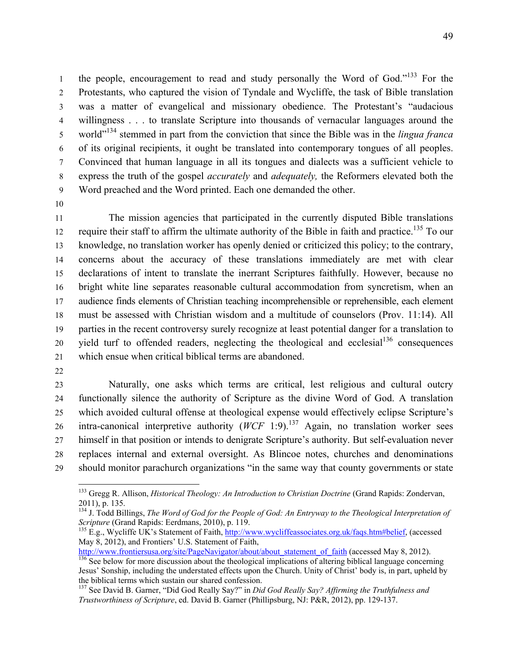the people, encouragement to read and study personally the Word of God."<sup>133</sup> For the 2 Protestants, who captured the vision of Tyndale and Wycliffe, the task of Bible translation 3 was a matter of evangelical and missionary obedience. The Protestant's "audacious 4 willingness . . . to translate Scripture into thousands of vernacular languages around the 5 world"<sup>134</sup> stemmed in part from the conviction that since the Bible was in the *lingua franca* 6 of its original recipients, it ought be translated into contemporary tongues of all peoples. 7 Convinced that human language in all its tongues and dialects was a sufficient vehicle to 8 express the truth of the gospel *accurately* and *adequately,* the Reformers elevated both the 9 Word preached and the Word printed. Each one demanded the other.

10

11 The mission agencies that participated in the currently disputed Bible translations 12 require their staff to affirm the ultimate authority of the Bible in faith and practice.<sup>135</sup> To our 13 knowledge, no translation worker has openly denied or criticized this policy; to the contrary, 14 concerns about the accuracy of these translations immediately are met with clear 15 declarations of intent to translate the inerrant Scriptures faithfully. However, because no 16 bright white line separates reasonable cultural accommodation from syncretism, when an 17 audience finds elements of Christian teaching incomprehensible or reprehensible, each element 18 must be assessed with Christian wisdom and a multitude of counselors (Prov. 11:14). All 19 parties in the recent controversy surely recognize at least potential danger for a translation to 20 vield turf to offended readers, neglecting the theological and ecclesial  $136$  consequences 21 which ensue when critical biblical terms are abandoned.

22

23 Naturally, one asks which terms are critical, lest religious and cultural outcry 24 functionally silence the authority of Scripture as the divine Word of God. A translation 25 which avoided cultural offense at theological expense would effectively eclipse Scripture's 26 intra-canonical interpretive authority  $(WCF\ 1:9)$ .<sup>137</sup> Again, no translation worker sees 27 himself in that position or intends to denigrate Scripture's authority. But self-evaluation never 28 replaces internal and external oversight. As Blincoe notes, churches and denominations 29 should monitor parachurch organizations "in the same way that county governments or state

<sup>&</sup>lt;sup>133</sup> Gregg R. Allison, *Historical Theology: An Introduction to Christian Doctrine* (Grand Rapids: Zondervan, 2011), p. 135.

<sup>&</sup>lt;sup>134</sup> J. Todd Billings, *The Word of God for the People of God: An Entryway to the Theological Interpretation of Scripture* (Grand Rapids: Eerdmans, 2010), p. 119.<br><sup>135</sup> E.g., Wycliffe UK's Statement of Faith, http://www.wycliffeassociates.org.uk/faqs.htm#belief, (accessed

May 8, 2012), and Frontiers' U.S. Statement of Faith,<br>http://www.frontiersusa.org/site/PageNavigator/about/about statement of faith (accessed May 8, 2012).

 $\frac{136}{136}$  See below for more discussion about the theological implications of altering biblical language concerning Jesus' Sonship, including the understated effects upon the Church. Unity of Christ' body is, in part, upheld by the biblical terms which sustain our shared confession.

<sup>137</sup> See David B. Garner, "Did God Really Say?" in *Did God Really Say? Affirming the Truthfulness and Trustworthiness of Scripture*, ed. David B. Garner (Phillipsburg, NJ: P&R, 2012), pp. 129-137.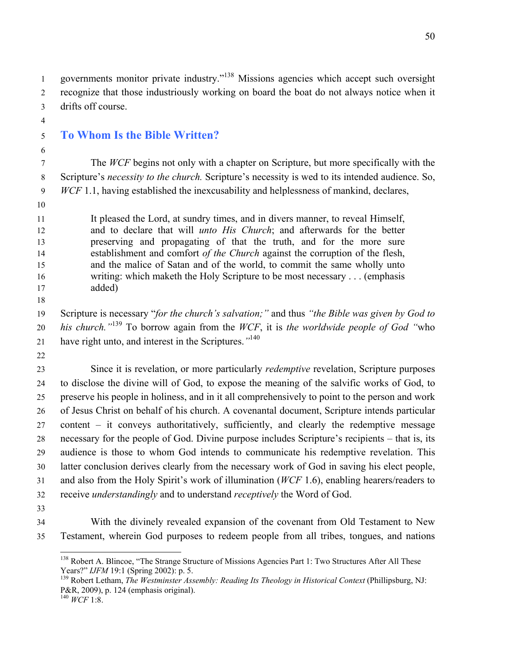1 governments monitor private industry."<sup>138</sup> Missions agencies which accept such oversight 2 recognize that those industriously working on board the boat do not always notice when it 3 drifts off course.

4

6

10

# 5 **To Whom Is the Bible Written?**

7 The *WCF* begins not only with a chapter on Scripture, but more specifically with the 8 Scripture's *necessity to the church.* Scripture's necessity is wed to its intended audience. So, 9 *WCF* 1.1, having established the inexcusability and helplessness of mankind, declares,

11 It pleased the Lord, at sundry times, and in divers manner, to reveal Himself, 12 and to declare that will *unto His Church*; and afterwards for the better 13 preserving and propagating of that the truth, and for the more sure 14 establishment and comfort *of the Church* against the corruption of the flesh, 15 and the malice of Satan and of the world, to commit the same wholly unto 16 writing: which maketh the Holy Scripture to be most necessary . . . (emphasis 17 added)

19 Scripture is necessary "*for the church's salvation;"* and thus *"the Bible was given by God to*  20 *his church.*"<sup>139</sup> To borrow again from the *WCF*, it is *the worldwide people of God* "who have right unto, and interest in the Scriptures.*"*<sup>140</sup> 21

22

18

23 Since it is revelation, or more particularly *redemptive* revelation, Scripture purposes 24 to disclose the divine will of God, to expose the meaning of the salvific works of God, to 25 preserve his people in holiness, and in it all comprehensively to point to the person and work 26 of Jesus Christ on behalf of his church. A covenantal document, Scripture intends particular 27 content – it conveys authoritatively, sufficiently, and clearly the redemptive message 28 necessary for the people of God. Divine purpose includes Scripture's recipients – that is, its 29 audience is those to whom God intends to communicate his redemptive revelation. This 30 latter conclusion derives clearly from the necessary work of God in saving his elect people, 31 and also from the Holy Spirit's work of illumination (*WCF* 1.6), enabling hearers/readers to 32 receive *understandingly* and to understand *receptively* the Word of God.

33

34 With the divinely revealed expansion of the covenant from Old Testament to New 35 Testament, wherein God purposes to redeem people from all tribes, tongues, and nations

<u> 1989 - Johann Stein, marwolaethau a bh</u>

<sup>&</sup>lt;sup>138</sup> Robert A. Blincoe, "The Strange Structure of Missions Agencies Part 1: Two Structures After All These Years?" *IJFM* 19:1 (Spring 2002): p. 5.<br><sup>139</sup> Robert Letham, *The Westminster Assembly: Reading Its Theology in Historical Context* (Phillipsburg, NJ:

P&R, 2009), p. 124 (emphasis original).

<sup>140</sup> *WCF* 1:8.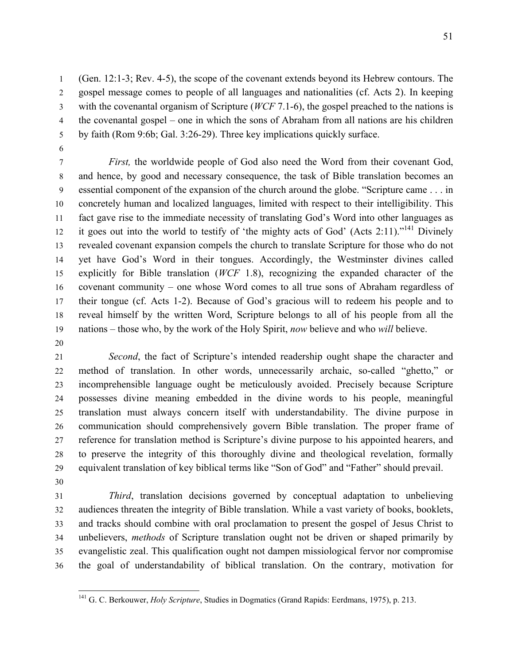1 (Gen. 12:1-3; Rev. 4-5), the scope of the covenant extends beyond its Hebrew contours. The 2 gospel message comes to people of all languages and nationalities (cf. Acts 2). In keeping 3 with the covenantal organism of Scripture (*WCF* 7.1-6), the gospel preached to the nations is 4 the covenantal gospel – one in which the sons of Abraham from all nations are his children 5 by faith (Rom 9:6b; Gal. 3:26-29). Three key implications quickly surface.

6

7 *First,* the worldwide people of God also need the Word from their covenant God, 8 and hence, by good and necessary consequence, the task of Bible translation becomes an 9 essential component of the expansion of the church around the globe. "Scripture came . . . in 10 concretely human and localized languages, limited with respect to their intelligibility. This 11 fact gave rise to the immediate necessity of translating God's Word into other languages as 12 it goes out into the world to testify of 'the mighty acts of God' (Acts 2:11)."<sup>141</sup> Divinely 13 revealed covenant expansion compels the church to translate Scripture for those who do not 14 yet have God's Word in their tongues. Accordingly, the Westminster divines called 15 explicitly for Bible translation (*WCF* 1.8), recognizing the expanded character of the 16 covenant community – one whose Word comes to all true sons of Abraham regardless of 17 their tongue (cf. Acts 1-2). Because of God's gracious will to redeem his people and to 18 reveal himself by the written Word, Scripture belongs to all of his people from all the 19 nations – those who, by the work of the Holy Spirit, *now* believe and who *will* believe.

20

21 *Second*, the fact of Scripture's intended readership ought shape the character and 22 method of translation. In other words, unnecessarily archaic, so-called "ghetto," or 23 incomprehensible language ought be meticulously avoided. Precisely because Scripture 24 possesses divine meaning embedded in the divine words to his people, meaningful 25 translation must always concern itself with understandability. The divine purpose in 26 communication should comprehensively govern Bible translation. The proper frame of 27 reference for translation method is Scripture's divine purpose to his appointed hearers, and 28 to preserve the integrity of this thoroughly divine and theological revelation, formally 29 equivalent translation of key biblical terms like "Son of God" and "Father" should prevail.

30

31 *Third*, translation decisions governed by conceptual adaptation to unbelieving 32 audiences threaten the integrity of Bible translation. While a vast variety of books, booklets, 33 and tracks should combine with oral proclamation to present the gospel of Jesus Christ to 34 unbelievers, *methods* of Scripture translation ought not be driven or shaped primarily by 35 evangelistic zeal. This qualification ought not dampen missiological fervor nor compromise 36 the goal of understandability of biblical translation. On the contrary, motivation for

<sup>141</sup> G. C. Berkouwer, *Holy Scripture*, Studies in Dogmatics (Grand Rapids: Eerdmans, 1975), p. 213.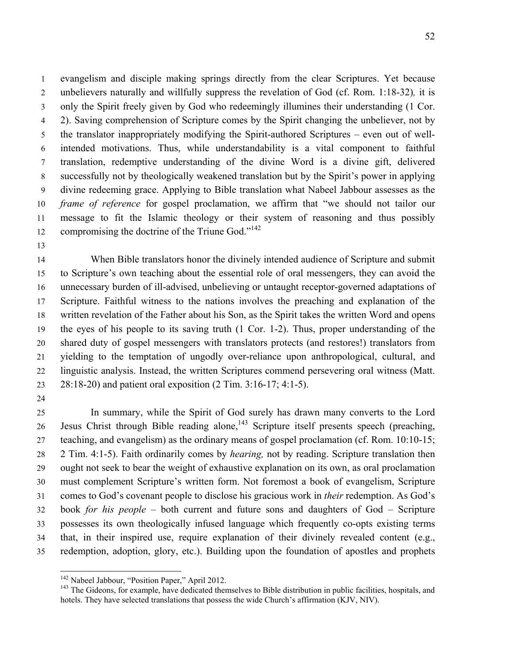1 evangelism and disciple making springs directly from the clear Scriptures. Yet because 2 unbelievers naturally and willfully suppress the revelation of God (cf. Rom. 1:18-32)*,* it is 3 only the Spirit freely given by God who redeemingly illumines their understanding (1 Cor. 4 2). Saving comprehension of Scripture comes by the Spirit changing the unbeliever, not by 5 the translator inappropriately modifying the Spirit-authored Scriptures – even out of well-6 intended motivations. Thus, while understandability is a vital component to faithful 7 translation, redemptive understanding of the divine Word is a divine gift, delivered 8 successfully not by theologically weakened translation but by the Spirit's power in applying 9 divine redeeming grace. Applying to Bible translation what Nabeel Jabbour assesses as the 10 *frame of reference* for gospel proclamation, we affirm that "we should not tailor our 11 message to fit the Islamic theology or their system of reasoning and thus possibly 12 compromising the doctrine of the Triune God." $142$ 

13

14 When Bible translators honor the divinely intended audience of Scripture and submit 15 to Scripture's own teaching about the essential role of oral messengers, they can avoid the 16 unnecessary burden of ill-advised, unbelieving or untaught receptor-governed adaptations of 17 Scripture. Faithful witness to the nations involves the preaching and explanation of the 18 written revelation of the Father about his Son, as the Spirit takes the written Word and opens 19 the eyes of his people to its saving truth (1 Cor. 1-2). Thus, proper understanding of the 20 shared duty of gospel messengers with translators protects (and restores!) translators from 21 yielding to the temptation of ungodly over-reliance upon anthropological, cultural, and 22 linguistic analysis. Instead, the written Scriptures commend persevering oral witness (Matt. 23 28:18-20) and patient oral exposition (2 Tim. 3:16-17; 4:1-5).

24

25 In summary, while the Spirit of God surely has drawn many converts to the Lord 26 Jesus Christ through Bible reading alone,<sup>143</sup> Scripture itself presents speech (preaching, 27 teaching, and evangelism) as the ordinary means of gospel proclamation (cf. Rom. 10:10-15; 28 2 Tim. 4:1-5). Faith ordinarily comes by *hearing,* not by reading. Scripture translation then 29 ought not seek to bear the weight of exhaustive explanation on its own, as oral proclamation 30 must complement Scripture's written form. Not foremost a book of evangelism, Scripture 31 comes to God's covenant people to disclose his gracious work in *their* redemption. As God's 32 book *for his people* – both current and future sons and daughters of God – Scripture 33 possesses its own theologically infused language which frequently co-opts existing terms 34 that, in their inspired use, require explanation of their divinely revealed content (e.g., 35 redemption, adoption, glory, etc.). Building upon the foundation of apostles and prophets

 $142$  Nabeel Jabbour, "Position Paper," April 2012.<br><sup>143</sup> The Gideons, for example, have dedicated themselves to Bible distribution in public facilities, hospitals, and hotels. They have selected translations that possess the wide Church's affirmation (KJV, NIV).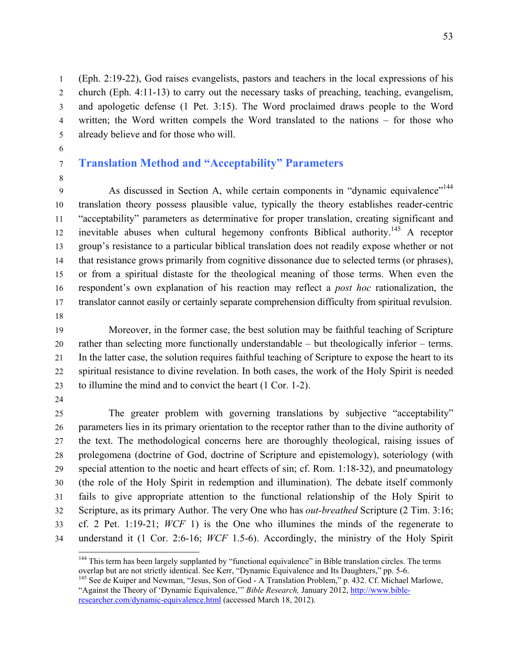1 (Eph. 2:19-22), God raises evangelists, pastors and teachers in the local expressions of his 2 church (Eph. 4:11-13) to carry out the necessary tasks of preaching, teaching, evangelism, 3 and apologetic defense (1 Pet. 3:15). The Word proclaimed draws people to the Word 4 written; the Word written compels the Word translated to the nations – for those who 5 already believe and for those who will.

6

# 7 **Translation Method and "Acceptability" Parameters**

8

As discussed in Section A, while certain components in "dynamic equivalence"<sup>144</sup> 10 translation theory possess plausible value, typically the theory establishes reader-centric 11 "acceptability" parameters as determinative for proper translation, creating significant and 12 inevitable abuses when cultural hegemony confronts Biblical authority.<sup>145</sup> A receptor 13 group's resistance to a particular biblical translation does not readily expose whether or not 14 that resistance grows primarily from cognitive dissonance due to selected terms (or phrases), 15 or from a spiritual distaste for the theological meaning of those terms. When even the 16 respondent's own explanation of his reaction may reflect a *post hoc* rationalization, the 17 translator cannot easily or certainly separate comprehension difficulty from spiritual revulsion.

18

19 Moreover, in the former case, the best solution may be faithful teaching of Scripture 20 rather than selecting more functionally understandable – but theologically inferior – terms. 21 In the latter case, the solution requires faithful teaching of Scripture to expose the heart to its 22 spiritual resistance to divine revelation. In both cases, the work of the Holy Spirit is needed 23 to illumine the mind and to convict the heart (1 Cor. 1-2).

24

25 The greater problem with governing translations by subjective "acceptability" 26 parameters lies in its primary orientation to the receptor rather than to the divine authority of 27 the text. The methodological concerns here are thoroughly theological, raising issues of 28 prolegomena (doctrine of God, doctrine of Scripture and epistemology), soteriology (with 29 special attention to the noetic and heart effects of sin; cf. Rom. 1:18-32), and pneumatology 30 (the role of the Holy Spirit in redemption and illumination). The debate itself commonly 31 fails to give appropriate attention to the functional relationship of the Holy Spirit to 32 Scripture, as its primary Author. The very One who has *out-breathed* Scripture (2 Tim. 3:16; 33 cf. 2 Pet. 1:19-21; *WCF* 1) is the One who illumines the minds of the regenerate to 34 understand it (1 Cor. 2:6-16; *WCF* 1.5-6). Accordingly, the ministry of the Holy Spirit

<sup>&</sup>lt;u> 1989 - Johann Stein, marwolaethau a bh</u> <sup>144</sup> This term has been largely supplanted by "functional equivalence" in Bible translation circles. The terms overlap but are not strictly identical. See Kerr, "Dynamic Equivalence and Its Daughters," pp. 5-6.

<sup>&</sup>lt;sup>145</sup> See de Kuiper and Newman, "Jesus, Son of God - A Translation Problem," p. 432. Cf. Michael Marlowe, "Against the Theory of 'Dynamic Equivalence," *Bible Research*, January 2012, http://www.bibleresearcher.com/dynamic-equivalence.html (accessed March 18, 2012).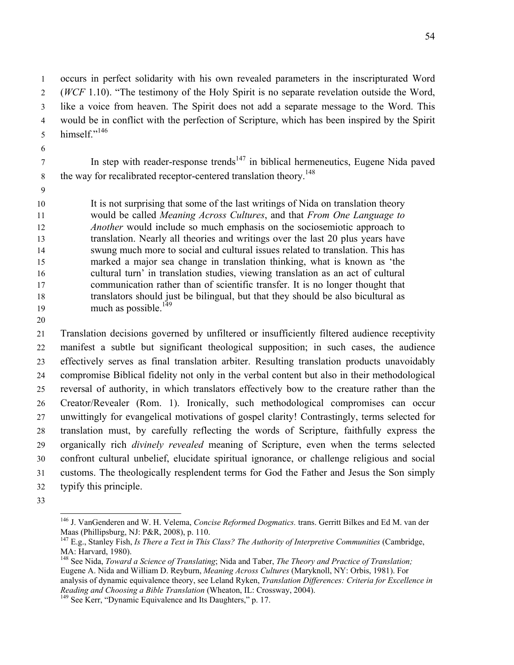1 occurs in perfect solidarity with his own revealed parameters in the inscripturated Word 2 (*WCF* 1.10). "The testimony of the Holy Spirit is no separate revelation outside the Word, 3 like a voice from heaven. The Spirit does not add a separate message to the Word. This 4 would be in conflict with the perfection of Scripture, which has been inspired by the Spirit 5 himself."<sup>146</sup>

6

 $\sigma$  In step with reader-response trends<sup>147</sup> in biblical hermeneutics, Eugene Nida paved 8 the way for recalibrated receptor-centered translation theory.<sup>148</sup>

9

10 It is not surprising that some of the last writings of Nida on translation theory 11 would be called *Meaning Across Cultures*, and that *From One Language to*  12 *Another* would include so much emphasis on the sociosemiotic approach to 13 translation. Nearly all theories and writings over the last 20 plus years have 14 swung much more to social and cultural issues related to translation. This has 15 marked a major sea change in translation thinking, what is known as 'the 16 cultural turn' in translation studies, viewing translation as an act of cultural 17 communication rather than of scientific transfer. It is no longer thought that 18 translators should just be bilingual, but that they should be also bicultural as 19 much as possible.<sup>149</sup>

20

21 Translation decisions governed by unfiltered or insufficiently filtered audience receptivity 22 manifest a subtle but significant theological supposition; in such cases, the audience 23 effectively serves as final translation arbiter. Resulting translation products unavoidably 24 compromise Biblical fidelity not only in the verbal content but also in their methodological 25 reversal of authority, in which translators effectively bow to the creature rather than the 26 Creator/Revealer (Rom. 1). Ironically, such methodological compromises can occur 27 unwittingly for evangelical motivations of gospel clarity! Contrastingly, terms selected for 28 translation must, by carefully reflecting the words of Scripture, faithfully express the 29 organically rich *divinely revealed* meaning of Scripture, even when the terms selected 30 confront cultural unbelief, elucidate spiritual ignorance, or challenge religious and social 31 customs. The theologically resplendent terms for God the Father and Jesus the Son simply 32 typify this principle.

33

<sup>146</sup> J. VanGenderen and W. H. Velema, *Concise Reformed Dogmatics.* trans. Gerritt Bilkes and Ed M. van der Maas (Phillipsburg, NJ: P&R, 2008), p. 110.

<sup>147</sup> E.g., Stanley Fish, *Is There a Text in This Class? The Authority of Interpretive Communities* (Cambridge, MA: Harvard, 1980).

<sup>148</sup> See Nida, *Toward a Science of Translating*; Nida and Taber, *The Theory and Practice of Translation;* Eugene A. Nida and William D. Reyburn, *Meaning Across Cultures* (Maryknoll, NY: Orbis, 1981). For analysis of dynamic equivalence theory, see Leland Ryken, *Translation Differences: Criteria for Excellence in Reading and Choosing a Bible Translation* (Wheaton, IL: Crossway, 2004). <sup>149</sup> See Kerr, "Dynamic Equivalence and Its Daughters," p. 17.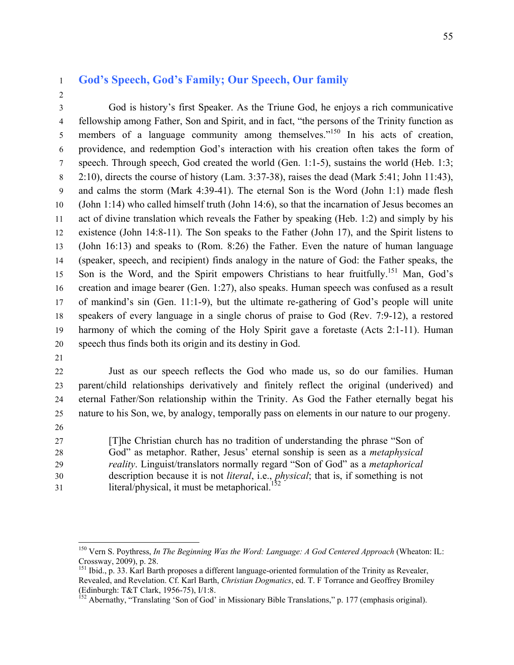# 1 **God's Speech, God's Family; Our Speech, Our family**

2

3 God is history's first Speaker. As the Triune God, he enjoys a rich communicative 4 fellowship among Father, Son and Spirit, and in fact, "the persons of the Trinity function as 5 members of a language community among themselves. $150$  In his acts of creation, 6 providence, and redemption God's interaction with his creation often takes the form of 7 speech. Through speech, God created the world (Gen. 1:1-5), sustains the world (Heb. 1:3; 8 2:10), directs the course of history (Lam. 3:37-38), raises the dead (Mark 5:41; John 11:43), 9 and calms the storm (Mark 4:39-41). The eternal Son is the Word (John 1:1) made flesh 10 (John 1:14) who called himself truth (John 14:6), so that the incarnation of Jesus becomes an 11 act of divine translation which reveals the Father by speaking (Heb. 1:2) and simply by his 12 existence (John 14:8-11). The Son speaks to the Father (John 17), and the Spirit listens to 13 (John 16:13) and speaks to (Rom. 8:26) the Father. Even the nature of human language 14 (speaker, speech, and recipient) finds analogy in the nature of God: the Father speaks, the 15 Son is the Word, and the Spirit empowers Christians to hear fruitfully.<sup>151</sup> Man, God's 16 creation and image bearer (Gen. 1:27), also speaks. Human speech was confused as a result 17 of mankind's sin (Gen. 11:1-9), but the ultimate re-gathering of God's people will unite 18 speakers of every language in a single chorus of praise to God (Rev. 7:9-12), a restored 19 harmony of which the coming of the Holy Spirit gave a foretaste (Acts 2:1-11). Human 20 speech thus finds both its origin and its destiny in God.

21

22 Just as our speech reflects the God who made us, so do our families. Human 23 parent/child relationships derivatively and finitely reflect the original (underived) and 24 eternal Father/Son relationship within the Trinity. As God the Father eternally begat his 25 nature to his Son, we, by analogy, temporally pass on elements in our nature to our progeny.

26

27 [T]he Christian church has no tradition of understanding the phrase "Son of 28 God" as metaphor. Rather, Jesus' eternal sonship is seen as a *metaphysical* 

29 *reality*. Linguist/translators normally regard "Son of God" as a *metaphorical*  30 description because it is not *literal*, i.e., *physical*; that is, if something is not 31 literal/physical, it must be metaphorical.<sup>152</sup>

<sup>&</sup>lt;sup>150</sup> Vern S. Poythress, *In The Beginning Was the Word: Language: A God Centered Approach* (Wheaton: IL: Crossway, 2009), p. 28.

<sup>151</sup> Ibid., p. 33. Karl Barth proposes a different language-oriented formulation of the Trinity as Revealer, Revealed, and Revelation. Cf. Karl Barth, *Christian Dogmatics*, ed. T. F Torrance and Geoffrey Bromiley (Edinburgh: T&T Clark, 1956-75), I/1:8.

<sup>&</sup>lt;sup>152</sup> Abernathy, "Translating 'Son of God' in Missionary Bible Translations," p. 177 (emphasis original).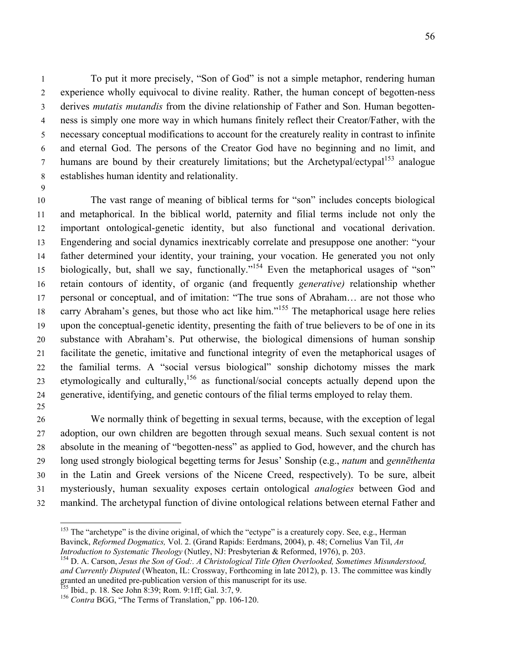1 To put it more precisely, "Son of God" is not a simple metaphor, rendering human 2 experience wholly equivocal to divine reality. Rather, the human concept of begotten-ness 3 derives *mutatis mutandis* from the divine relationship of Father and Son. Human begotten-4 ness is simply one more way in which humans finitely reflect their Creator/Father, with the 5 necessary conceptual modifications to account for the creaturely reality in contrast to infinite 6 and eternal God. The persons of the Creator God have no beginning and no limit, and 7 humans are bound by their creaturely limitations; but the Archetypal/ectypal<sup>153</sup> analogue 8 establishes human identity and relationality.

9

10 The vast range of meaning of biblical terms for "son" includes concepts biological 11 and metaphorical. In the biblical world, paternity and filial terms include not only the 12 important ontological-genetic identity, but also functional and vocational derivation. 13 Engendering and social dynamics inextricably correlate and presuppose one another: "your 14 father determined your identity, your training, your vocation. He generated you not only 15 biologically, but, shall we say, functionally."<sup>154</sup> Even the metaphorical usages of "son" 16 retain contours of identity, of organic (and frequently *generative)* relationship whether 17 personal or conceptual, and of imitation: "The true sons of Abraham… are not those who 18 carry Abraham's genes, but those who act like him."<sup>155</sup> The metaphorical usage here relies 19 upon the conceptual-genetic identity, presenting the faith of true believers to be of one in its 20 substance with Abraham's. Put otherwise, the biological dimensions of human sonship 21 facilitate the genetic, imitative and functional integrity of even the metaphorical usages of 22 the familial terms. A "social versus biological" sonship dichotomy misses the mark etymologically and culturally,<sup>156</sup> as functional/social concepts actually depend upon the 24 generative, identifying, and genetic contours of the filial terms employed to relay them. 25

26 We normally think of begetting in sexual terms, because, with the exception of legal 27 adoption, our own children are begotten through sexual means. Such sexual content is not 28 absolute in the meaning of "begotten-ness" as applied to God, however, and the church has 29 long used strongly biological begetting terms for Jesus' Sonship (e.g., *natum* and *gennēthenta* 30 in the Latin and Greek versions of the Nicene Creed, respectively). To be sure, albeit 31 mysteriously, human sexuality exposes certain ontological *analogies* between God and 32 mankind. The archetypal function of divine ontological relations between eternal Father and

<u> 1989 - Johann Stein, marwolaethau a bh</u>

<sup>&</sup>lt;sup>153</sup> The "archetype" is the divine original, of which the "ectype" is a creaturely copy. See, e.g., Herman Bavinck, *Reformed Dogmatics,* Vol. 2. (Grand Rapids: Eerdmans, 2004), p. 48; Cornelius Van Til, *An* 

<sup>&</sup>lt;sup>154</sup> D. A. Carson, Jesus the Son of God:. A Christological Title Often Overlooked, Sometimes Misunderstood, *and Currently Disputed* (Wheaton, IL: Crossway, Forthcoming in late 2012), p. 13. The committee was kindly granted an unedited pre-publication version of this manuscript for its use.

<sup>&</sup>lt;sup>155</sup> Ibid., p. 18. See John 8:39; Rom. 9:1ff; Gal. 3:7, 9.<br><sup>156</sup> *Contra* BGG, "The Terms of Translation," pp. 106-120.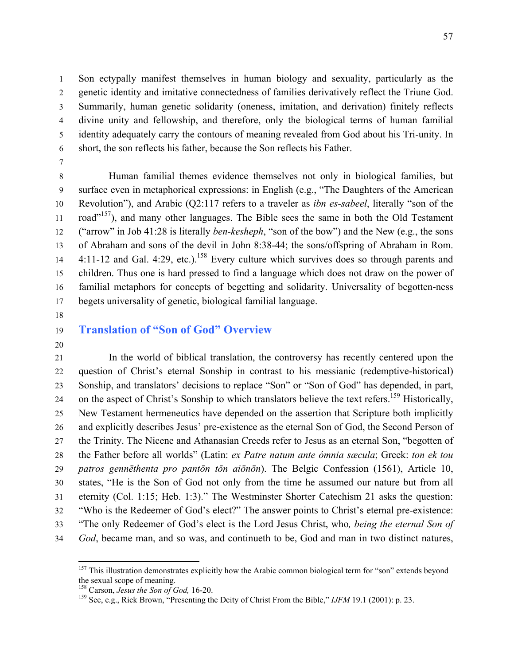1 Son ectypally manifest themselves in human biology and sexuality, particularly as the 2 genetic identity and imitative connectedness of families derivatively reflect the Triune God. 3 Summarily, human genetic solidarity (oneness, imitation, and derivation) finitely reflects 4 divine unity and fellowship, and therefore, only the biological terms of human familial 5 identity adequately carry the contours of meaning revealed from God about his Tri-unity. In 6 short, the son reflects his father, because the Son reflects his Father.

7

8 Human familial themes evidence themselves not only in biological families, but 9 surface even in metaphorical expressions: in English (e.g., "The Daughters of the American 10 Revolution"), and Arabic (Q2:117 refers to a traveler as *ibn es-sabeel*, literally "son of the 11  $\pi$  road"<sup>157</sup>), and many other languages. The Bible sees the same in both the Old Testament 12 ("arrow" in Job 41:28 is literally *ben-kesheph*, "son of the bow") and the New (e.g., the sons 13 of Abraham and sons of the devil in John 8:38-44; the sons/offspring of Abraham in Rom. 14  $\pm$  4:11-12 and Gal. 4:29, etc.).<sup>158</sup> Every culture which survives does so through parents and 15 children. Thus one is hard pressed to find a language which does not draw on the power of 16 familial metaphors for concepts of begetting and solidarity. Universality of begotten-ness 17 begets universality of genetic, biological familial language.

- 18
- 

### 19 **Translation of "Son of God" Overview**

20

21 In the world of biblical translation, the controversy has recently centered upon the 22 question of Christ's eternal Sonship in contrast to his messianic (redemptive-historical) 23 Sonship, and translators' decisions to replace "Son" or "Son of God" has depended, in part, 24 on the aspect of Christ's Sonship to which translators believe the text refers.<sup>159</sup> Historically, 25 New Testament hermeneutics have depended on the assertion that Scripture both implicitly 26 and explicitly describes Jesus' pre-existence as the eternal Son of God, the Second Person of 27 the Trinity. The Nicene and Athanasian Creeds refer to Jesus as an eternal Son, "begotten of 28 the Father before all worlds" (Latin: *ex Patre natum ante ómnia sæcula*; Greek: *ton ek tou*  29 *patros gennēthenta pro pantōn tōn aiōnōn*). The Belgic Confession (1561), Article 10, 30 states, "He is the Son of God not only from the time he assumed our nature but from all 31 eternity (Col. 1:15; Heb. 1:3)." The Westminster Shorter Catechism 21 asks the question: 32 "Who is the Redeemer of God's elect?" The answer points to Christ's eternal pre-existence: 33 "The only Redeemer of God's elect is the Lord Jesus Christ, who*, being the eternal Son of*  34 *God*, became man, and so was, and continueth to be, God and man in two distinct natures,

<sup>&</sup>lt;sup>157</sup> This illustration demonstrates explicitly how the Arabic common biological term for "son" extends beyond the sexual scope of meaning.

<sup>158</sup> Carson, *Jesus the Son of God*, 16-20.<br><sup>159</sup> See, e.g., Rick Brown, "Presenting the Deity of Christ From the Bible," *IJFM* 19.1 (2001): p. 23.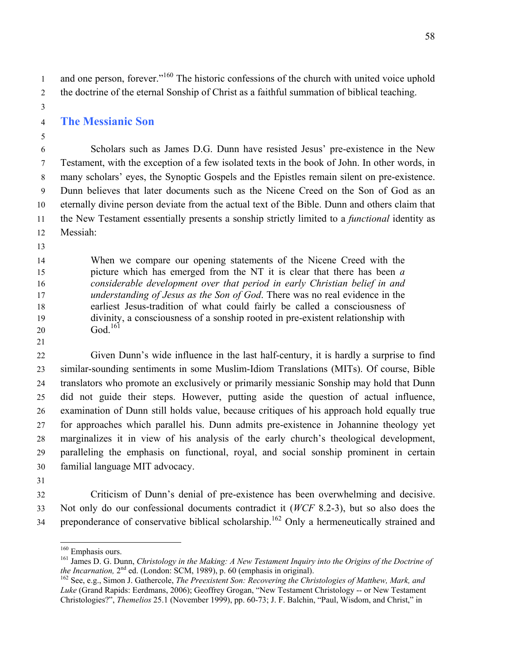58

1 and one person, forever."<sup>160</sup> The historic confessions of the church with united voice uphold 2 the doctrine of the eternal Sonship of Christ as a faithful summation of biblical teaching.

### 4 **The Messianic Son**

6 Scholars such as James D.G. Dunn have resisted Jesus' pre-existence in the New 7 Testament, with the exception of a few isolated texts in the book of John. In other words, in 8 many scholars' eyes, the Synoptic Gospels and the Epistles remain silent on pre-existence. 9 Dunn believes that later documents such as the Nicene Creed on the Son of God as an 10 eternally divine person deviate from the actual text of the Bible. Dunn and others claim that 11 the New Testament essentially presents a sonship strictly limited to a *functional* identity as 12 Messiah:

13

21

3

5

14 When we compare our opening statements of the Nicene Creed with the 15 picture which has emerged from the NT it is clear that there has been *a*  16 *considerable development over that period in early Christian belief in and*  17 *understanding of Jesus as the Son of God*. There was no real evidence in the 18 earliest Jesus-tradition of what could fairly be called a consciousness of 19 divinity, a consciousness of a sonship rooted in pre-existent relationship with 20  $\qquad \qquad \text{God.}^{161}$ 

22 Given Dunn's wide influence in the last half-century, it is hardly a surprise to find 23 similar-sounding sentiments in some Muslim-Idiom Translations (MITs). Of course, Bible 24 translators who promote an exclusively or primarily messianic Sonship may hold that Dunn 25 did not guide their steps. However, putting aside the question of actual influence, 26 examination of Dunn still holds value, because critiques of his approach hold equally true 27 for approaches which parallel his. Dunn admits pre-existence in Johannine theology yet 28 marginalizes it in view of his analysis of the early church's theological development, 29 paralleling the emphasis on functional, royal, and social sonship prominent in certain 30 familial language MIT advocacy.

31

32 Criticism of Dunn's denial of pre-existence has been overwhelming and decisive. 33 Not only do our confessional documents contradict it (*WCF* 8.2-3), but so also does the 34 preponderance of conservative biblical scholarship.<sup>162</sup> Only a hermeneutically strained and

<sup>&</sup>lt;sup>160</sup> Emphasis ours.<br><sup>161</sup> James D. G. Dunn, *Christology in the Making: A New Testament Inquiry into the Origins of the Doctrine of the Incarnation, 2*<sup>nd</sup> ed. (London: SCM, 1989), p. 60 (emphasis in original).<br><sup>162</sup> See, e.g., Simon J. Gathercole, *The Preexistent Son: Recovering the Christologies of Matthew, Mark, and* 

*Luke* (Grand Rapids: Eerdmans, 2006); Geoffrey Grogan, "New Testament Christology -- or New Testament Christologies?", *Themelios* 25.1 (November 1999), pp. 60-73; J. F. Balchin, "Paul, Wisdom, and Christ," in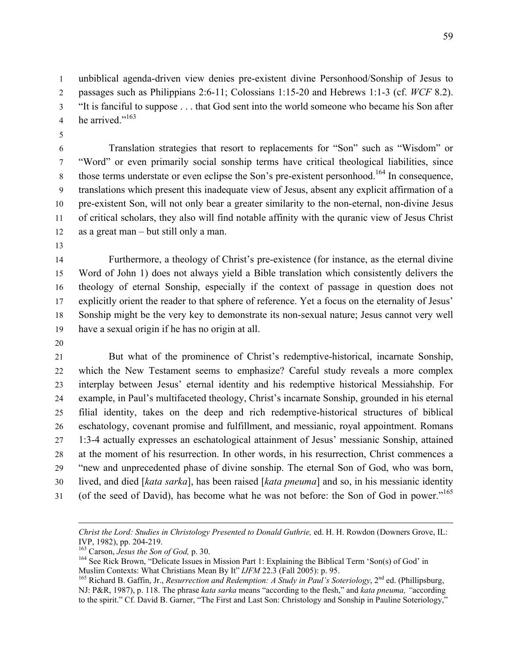1 unbiblical agenda-driven view denies pre-existent divine Personhood/Sonship of Jesus to 2 passages such as Philippians 2:6-11; Colossians 1:15-20 and Hebrews 1:1-3 (cf. *WCF* 8.2). 3 "It is fanciful to suppose . . . that God sent into the world someone who became his Son after 4 he arrived." $163$ 

5

6 Translation strategies that resort to replacements for "Son" such as "Wisdom" or 7 "Word" or even primarily social sonship terms have critical theological liabilities, since  $\delta$  those terms understate or even eclipse the Son's pre-existent personhood.<sup>164</sup> In consequence, 9 translations which present this inadequate view of Jesus, absent any explicit affirmation of a 10 pre-existent Son, will not only bear a greater similarity to the non-eternal, non-divine Jesus 11 of critical scholars, they also will find notable affinity with the quranic view of Jesus Christ 12 as a great man – but still only a man.

13

14 Furthermore, a theology of Christ's pre-existence (for instance, as the eternal divine 15 Word of John 1) does not always yield a Bible translation which consistently delivers the 16 theology of eternal Sonship, especially if the context of passage in question does not 17 explicitly orient the reader to that sphere of reference. Yet a focus on the eternality of Jesus' 18 Sonship might be the very key to demonstrate its non-sexual nature; Jesus cannot very well 19 have a sexual origin if he has no origin at all.

20

21 But what of the prominence of Christ's redemptive-historical, incarnate Sonship, 22 which the New Testament seems to emphasize? Careful study reveals a more complex 23 interplay between Jesus' eternal identity and his redemptive historical Messiahship. For 24 example, in Paul's multifaceted theology, Christ's incarnate Sonship, grounded in his eternal 25 filial identity, takes on the deep and rich redemptive-historical structures of biblical 26 eschatology, covenant promise and fulfillment, and messianic, royal appointment. Romans 27 1:3-4 actually expresses an eschatological attainment of Jesus' messianic Sonship, attained 28 at the moment of his resurrection. In other words, in his resurrection, Christ commences a 29 "new and unprecedented phase of divine sonship. The eternal Son of God, who was born, 30 lived, and died [*kata sarka*], has been raised [*kata pneuma*] and so, in his messianic identity 31 (of the seed of David), has become what he was not before: the Son of God in power."<sup>165</sup>

<u> 1989 - Andrea Santa Andrea Andrea Andrea Andrea Andrea Andrea Andrea Andrea Andrea Andrea Andrea Andrea Andr</u>

*Christ the Lord: Studies in Christology Presented to Donald Guthrie,* ed. H. H. Rowdon (Downers Grove, IL: IVP, 1982), pp. 204-219.<br><sup>163</sup> Carson, *Jesus the Son of God*, p. 30.

<sup>&</sup>lt;sup>164</sup> See Rick Brown, "Delicate Issues in Mission Part 1: Explaining the Biblical Term 'Son(s) of God' in Muslim Contexts: What Christians Mean By It" *IJFM* 22.3 (Fall 2005): p. 95.

<sup>&</sup>lt;sup>165</sup> Richard B. Gaffin, Jr., *Resurrection and Redemption: A Study in Paul's Soteriology*, 2<sup>nd</sup> ed. (Phillipsburg, NJ: P&R, 1987), p. 118. The phrase *kata sarka* means "according to the flesh," and *kata pneuma, "*according to the spirit." Cf. David B. Garner, "The First and Last Son: Christology and Sonship in Pauline Soteriology,"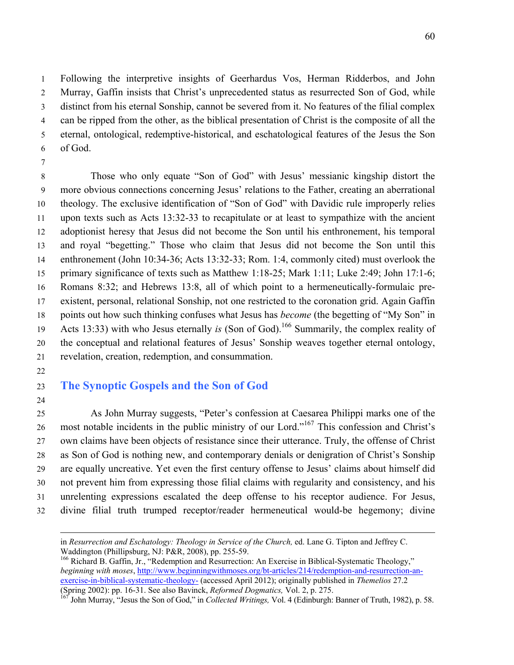1 Following the interpretive insights of Geerhardus Vos, Herman Ridderbos, and John 2 Murray, Gaffin insists that Christ's unprecedented status as resurrected Son of God, while 3 distinct from his eternal Sonship, cannot be severed from it. No features of the filial complex 4 can be ripped from the other, as the biblical presentation of Christ is the composite of all the 5 eternal, ontological, redemptive-historical, and eschatological features of the Jesus the Son 6 of God.

7

8 Those who only equate "Son of God" with Jesus' messianic kingship distort the 9 more obvious connections concerning Jesus' relations to the Father, creating an aberrational 10 theology. The exclusive identification of "Son of God" with Davidic rule improperly relies 11 upon texts such as Acts 13:32-33 to recapitulate or at least to sympathize with the ancient 12 adoptionist heresy that Jesus did not become the Son until his enthronement, his temporal 13 and royal "begetting." Those who claim that Jesus did not become the Son until this 14 enthronement (John 10:34-36; Acts 13:32-33; Rom. 1:4, commonly cited) must overlook the 15 primary significance of texts such as Matthew 1:18-25; Mark 1:11; Luke 2:49; John 17:1-6; 16 Romans 8:32; and Hebrews 13:8, all of which point to a hermeneutically-formulaic pre-17 existent, personal, relational Sonship, not one restricted to the coronation grid. Again Gaffin 18 points out how such thinking confuses what Jesus has *become* (the begetting of "My Son" in 19 Acts 13:33) with who Jesus eternally *is* (Son of God).<sup>166</sup> Summarily, the complex reality of 20 the conceptual and relational features of Jesus' Sonship weaves together eternal ontology, 21 revelation, creation, redemption, and consummation.

22

# 23 **The Synoptic Gospels and the Son of God**

24

25 As John Murray suggests, "Peter's confession at Caesarea Philippi marks one of the 26 most notable incidents in the public ministry of our Lord."<sup>167</sup> This confession and Christ's 27 own claims have been objects of resistance since their utterance. Truly, the offense of Christ 28 as Son of God is nothing new, and contemporary denials or denigration of Christ's Sonship 29 are equally uncreative. Yet even the first century offense to Jesus' claims about himself did 30 not prevent him from expressing those filial claims with regularity and consistency, and his 31 unrelenting expressions escalated the deep offense to his receptor audience. For Jesus, 32 divine filial truth trumped receptor/reader hermeneutical would-be hegemony; divine

<u> 1989 - Andrea Santa Andrea Andrea Andrea Andrea Andrea Andrea Andrea Andrea Andrea Andrea Andrea Andrea Andr</u>

in *Resurrection and Eschatology: Theology in Service of the Church,* ed. Lane G. Tipton and Jeffrey C. Waddington (Phillipsburg, NJ: P&R, 2008), pp. 255-59.

<sup>&</sup>lt;sup>166</sup> Richard B. Gaffin, Jr., "Redemption and Resurrection: An Exercise in Biblical-Systematic Theology," *beginning with moses*, http://www.beginningwithmoses.org/bt-articles/214/redemption-and-resurrection-anexercise-in-biblical-systematic-theology- (accessed April 2012); originally published in *Themelios* 27.2 (Spring 2002): pp. 16-31. See also Bavinck, *Reformed Dogmatics*, Vol. 2, p. 275.<br><sup>167</sup> John Murray, "Jesus the Son of God," in *Collected Writings*, Vol. 4 (Edinburgh: Banner of Truth, 1982), p. 58.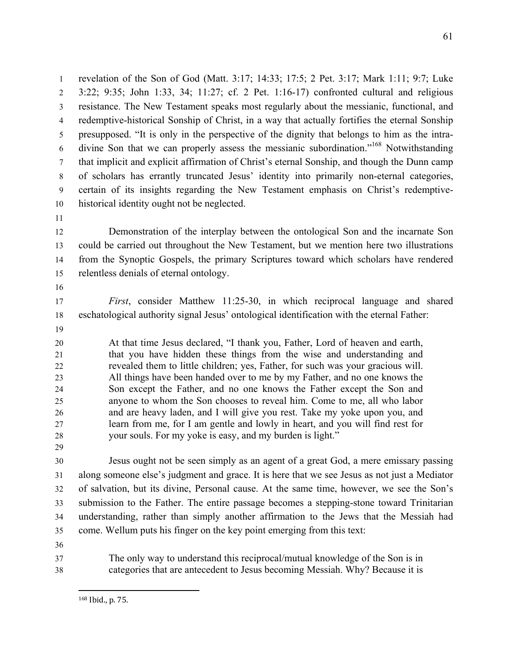1 revelation of the Son of God (Matt. 3:17; 14:33; 17:5; 2 Pet. 3:17; Mark 1:11; 9:7; Luke 2 3:22; 9:35; John 1:33, 34; 11:27; cf. 2 Pet. 1:16-17) confronted cultural and religious 3 resistance. The New Testament speaks most regularly about the messianic, functional, and 4 redemptive-historical Sonship of Christ, in a way that actually fortifies the eternal Sonship 5 presupposed. "It is only in the perspective of the dignity that belongs to him as the intra-6 divine Son that we can properly assess the messianic subordination."<sup>168</sup> Notwithstanding 7 that implicit and explicit affirmation of Christ's eternal Sonship, and though the Dunn camp 8 of scholars has errantly truncated Jesus' identity into primarily non-eternal categories, 9 certain of its insights regarding the New Testament emphasis on Christ's redemptive-10 historical identity ought not be neglected.

11

12 Demonstration of the interplay between the ontological Son and the incarnate Son 13 could be carried out throughout the New Testament, but we mention here two illustrations 14 from the Synoptic Gospels, the primary Scriptures toward which scholars have rendered 15 relentless denials of eternal ontology.

16

17 *First*, consider Matthew 11:25-30, in which reciprocal language and shared 18 eschatological authority signal Jesus' ontological identification with the eternal Father: 19

20 At that time Jesus declared, "I thank you, Father, Lord of heaven and earth, 21 that you have hidden these things from the wise and understanding and 22 revealed them to little children; yes, Father, for such was your gracious will. 23 All things have been handed over to me by my Father, and no one knows the 24 Son except the Father, and no one knows the Father except the Son and 25 anyone to whom the Son chooses to reveal him. Come to me, all who labor 26 and are heavy laden, and I will give you rest. Take my yoke upon you, and 27 learn from me, for I am gentle and lowly in heart, and you will find rest for 28 your souls. For my yoke is easy, and my burden is light."

29

30 Jesus ought not be seen simply as an agent of a great God, a mere emissary passing 31 along someone else's judgment and grace. It is here that we see Jesus as not just a Mediator 32 of salvation, but its divine, Personal cause. At the same time, however, we see the Son's 33 submission to the Father. The entire passage becomes a stepping-stone toward Trinitarian 34 understanding, rather than simply another affirmation to the Jews that the Messiah had 35 come. Wellum puts his finger on the key point emerging from this text:

36

37 The only way to understand this reciprocal/mutual knowledge of the Son is in 38 categories that are antecedent to Jesus becoming Messiah. Why? Because it is

<u> 1989 - Johann Stein, marwolaethau a bh</u>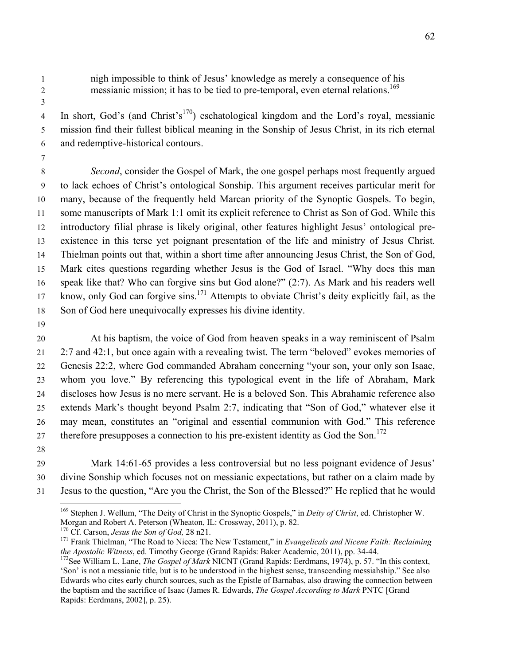- 1 nigh impossible to think of Jesus' knowledge as merely a consequence of his 2 messianic mission; it has to be tied to pre-temporal, even eternal relations.<sup>169</sup> 3
- In short, God's (and Christ's<sup>170</sup>) eschatological kingdom and the Lord's royal, messianic 5 mission find their fullest biblical meaning in the Sonship of Jesus Christ, in its rich eternal 6 and redemptive-historical contours.
- 7

8 *Second*, consider the Gospel of Mark, the one gospel perhaps most frequently argued 9 to lack echoes of Christ's ontological Sonship. This argument receives particular merit for 10 many, because of the frequently held Marcan priority of the Synoptic Gospels. To begin, 11 some manuscripts of Mark 1:1 omit its explicit reference to Christ as Son of God. While this 12 introductory filial phrase is likely original, other features highlight Jesus' ontological pre-13 existence in this terse yet poignant presentation of the life and ministry of Jesus Christ. 14 Thielman points out that, within a short time after announcing Jesus Christ, the Son of God, 15 Mark cites questions regarding whether Jesus is the God of Israel. "Why does this man 16 speak like that? Who can forgive sins but God alone?" (2:7). As Mark and his readers well 17 know, only God can forgive sins.<sup>171</sup> Attempts to obviate Christ's deity explicitly fail, as the 18 Son of God here unequivocally expresses his divine identity.

19

20 At his baptism, the voice of God from heaven speaks in a way reminiscent of Psalm 21 2:7 and 42:1, but once again with a revealing twist. The term "beloved" evokes memories of 22 Genesis 22:2, where God commanded Abraham concerning "your son, your only son Isaac, 23 whom you love." By referencing this typological event in the life of Abraham, Mark 24 discloses how Jesus is no mere servant. He is a beloved Son. This Abrahamic reference also 25 extends Mark's thought beyond Psalm 2:7, indicating that "Son of God," whatever else it 26 may mean, constitutes an "original and essential communion with God." This reference 27 therefore presupposes a connection to his pre-existent identity as God the Son.<sup>172</sup>

28

29 Mark 14:61-65 provides a less controversial but no less poignant evidence of Jesus' 30 divine Sonship which focuses not on messianic expectations, but rather on a claim made by 31 Jesus to the question, "Are you the Christ, the Son of the Blessed?" He replied that he would

<sup>169</sup> Stephen J. Wellum, "The Deity of Christ in the Synoptic Gospels," in *Deity of Christ*, ed. Christopher W. Morgan and Robert A. Peterson (Wheaton, IL: Crossway, 2011), p. 82.<br><sup>170</sup> Cf. Carson, *Jesus the Son of God*, 28 n21.

<sup>&</sup>lt;sup>171</sup> Frank Thielman, "The Road to Nicea: The New Testament," in *Evangelicals and Nicene Faith: Reclaiming the Apostolic Witness*, ed. Timothy George (Grand Rapids: Baker Academic, 2011), pp. 34-44.

<sup>&</sup>lt;sup>172</sup>See William L. Lane, *The Gospel of Mark* NICNT (Grand Rapids: Eerdmans, 1974), p. 57. "In this context, 'Son' is not a messianic title, but is to be understood in the highest sense, transcending messiahship." See also Edwards who cites early church sources, such as the Epistle of Barnabas, also drawing the connection between the baptism and the sacrifice of Isaac (James R. Edwards, *The Gospel According to Mark* PNTC [Grand Rapids: Eerdmans, 2002], p. 25).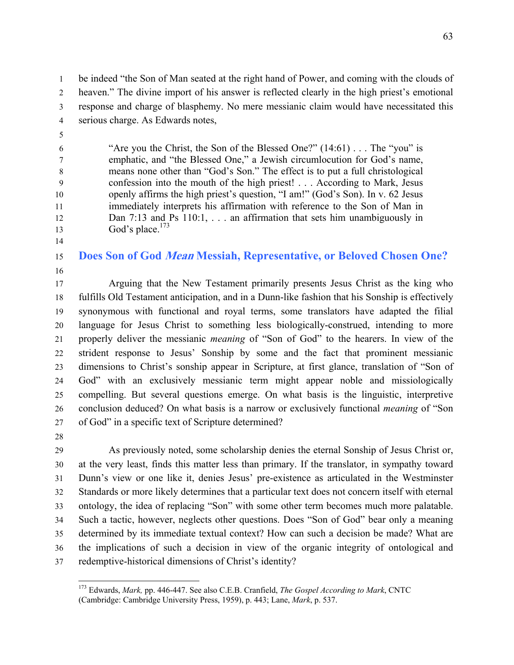1 be indeed "the Son of Man seated at the right hand of Power, and coming with the clouds of 2 heaven." The divine import of his answer is reflected clearly in the high priest's emotional 3 response and charge of blasphemy. No mere messianic claim would have necessitated this 4 serious charge. As Edwards notes,

6 "Are you the Christ, the Son of the Blessed One?" (14:61) . . . The "you" is 7 emphatic, and "the Blessed One," a Jewish circumlocution for God's name, 8 means none other than "God's Son." The effect is to put a full christological 9 confession into the mouth of the high priest! . . . According to Mark, Jesus 10 openly affirms the high priest's question, "I am!" (God's Son). In v. 62 Jesus 11 immediately interprets his affirmation with reference to the Son of Man in 12 Dan 7:13 and Ps 110:1, . . . an affirmation that sets him unambiguously in 13 God's place. $^{173}$ 

14

5

# 15 **Does Son of God Mean Messiah, Representative, or Beloved Chosen One?**

16

17 Arguing that the New Testament primarily presents Jesus Christ as the king who 18 fulfills Old Testament anticipation, and in a Dunn-like fashion that his Sonship is effectively 19 synonymous with functional and royal terms, some translators have adapted the filial 20 language for Jesus Christ to something less biologically-construed, intending to more 21 properly deliver the messianic *meaning* of "Son of God" to the hearers. In view of the 22 strident response to Jesus' Sonship by some and the fact that prominent messianic 23 dimensions to Christ's sonship appear in Scripture, at first glance, translation of "Son of 24 God" with an exclusively messianic term might appear noble and missiologically 25 compelling. But several questions emerge. On what basis is the linguistic, interpretive 26 conclusion deduced? On what basis is a narrow or exclusively functional *meaning* of "Son 27 of God" in a specific text of Scripture determined?

28

29 As previously noted, some scholarship denies the eternal Sonship of Jesus Christ or, 30 at the very least, finds this matter less than primary. If the translator, in sympathy toward 31 Dunn's view or one like it, denies Jesus' pre-existence as articulated in the Westminster 32 Standards or more likely determines that a particular text does not concern itself with eternal 33 ontology, the idea of replacing "Son" with some other term becomes much more palatable. 34 Such a tactic, however, neglects other questions. Does "Son of God" bear only a meaning 35 determined by its immediate textual context? How can such a decision be made? What are 36 the implications of such a decision in view of the organic integrity of ontological and 37 redemptive-historical dimensions of Christ's identity?

<u> 1989 - Johann Stein, marwolaethau a bh</u>

<sup>173</sup> Edwards, *Mark,* pp. 446-447. See also C.E.B. Cranfield, *The Gospel According to Mark*, CNTC (Cambridge: Cambridge University Press, 1959), p. 443; Lane, *Mark*, p. 537.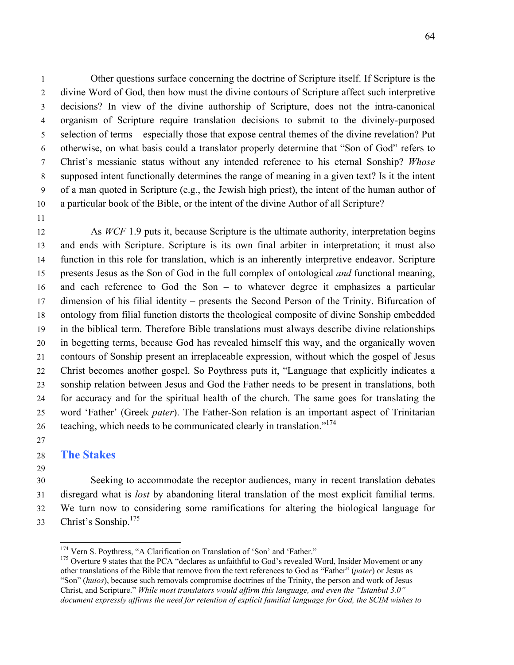1 Other questions surface concerning the doctrine of Scripture itself. If Scripture is the 2 divine Word of God, then how must the divine contours of Scripture affect such interpretive 3 decisions? In view of the divine authorship of Scripture, does not the intra-canonical 4 organism of Scripture require translation decisions to submit to the divinely-purposed 5 selection of terms – especially those that expose central themes of the divine revelation? Put 6 otherwise, on what basis could a translator properly determine that "Son of God" refers to 7 Christ's messianic status without any intended reference to his eternal Sonship? *Whose* 8 supposed intent functionally determines the range of meaning in a given text? Is it the intent 9 of a man quoted in Scripture (e.g., the Jewish high priest), the intent of the human author of 10 a particular book of the Bible, or the intent of the divine Author of all Scripture?

11

12 As *WCF* 1.9 puts it, because Scripture is the ultimate authority, interpretation begins 13 and ends with Scripture. Scripture is its own final arbiter in interpretation; it must also 14 function in this role for translation, which is an inherently interpretive endeavor. Scripture 15 presents Jesus as the Son of God in the full complex of ontological *and* functional meaning, 16 and each reference to God the Son – to whatever degree it emphasizes a particular 17 dimension of his filial identity – presents the Second Person of the Trinity. Bifurcation of 18 ontology from filial function distorts the theological composite of divine Sonship embedded 19 in the biblical term. Therefore Bible translations must always describe divine relationships 20 in begetting terms, because God has revealed himself this way, and the organically woven 21 contours of Sonship present an irreplaceable expression, without which the gospel of Jesus 22 Christ becomes another gospel. So Poythress puts it, "Language that explicitly indicates a 23 sonship relation between Jesus and God the Father needs to be present in translations, both 24 for accuracy and for the spiritual health of the church. The same goes for translating the 25 word 'Father' (Greek *pater*). The Father-Son relation is an important aspect of Trinitarian 26 teaching, which needs to be communicated clearly in translation."<sup>174</sup>

27

### 28 **The Stakes**

29

30 Seeking to accommodate the receptor audiences, many in recent translation debates 31 disregard what is *lost* by abandoning literal translation of the most explicit familial terms. 32 We turn now to considering some ramifications for altering the biological language for

33 Christ's Sonship.<sup>175</sup>

<sup>&</sup>lt;sup>174</sup> Vern S. Poythress, "A Clarification on Translation of 'Son' and 'Father."

 $175$  Overture 9 states that the PCA "declares as unfaithful to God's revealed Word, Insider Movement or any other translations of the Bible that remove from the text references to God as "Father" (*pater*) or Jesus as "Son" (*huios*), because such removals compromise doctrines of the Trinity, the person and work of Jesus Christ, and Scripture." *While most translators would affirm this language, and even the "Istanbul 3.0" document expressly affirms the need for retention of explicit familial language for God, the SCIM wishes to*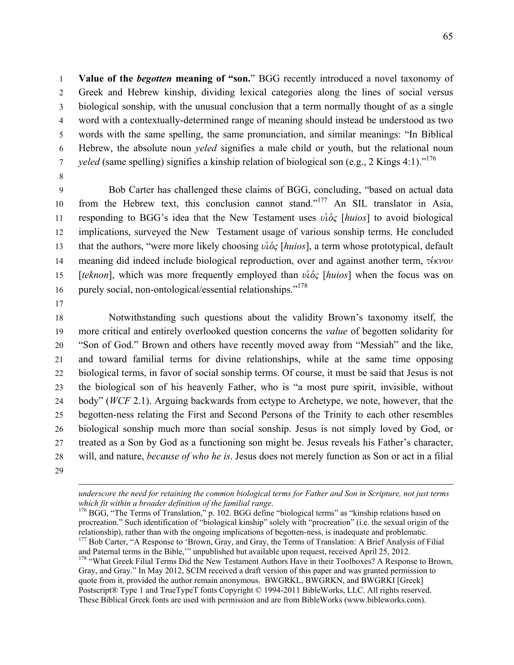1 **Value of the** *begotten* **meaning of "son.**" BGG recently introduced a novel taxonomy of 2 Greek and Hebrew kinship, dividing lexical categories along the lines of social versus 3 biological sonship, with the unusual conclusion that a term normally thought of as a single 4 word with a contextually-determined range of meaning should instead be understood as two 5 words with the same spelling, the same pronunciation, and similar meanings: "In Biblical 6 Hebrew, the absolute noun *yeled* signifies a male child or youth, but the relational noun *yeled* (same spelling) signifies a kinship relation of biological son (e.g., 2 Kings 4:1)."<sup>176</sup>

8

9 Bob Carter has challenged these claims of BGG, concluding, "based on actual data 10 from the Hebrew text, this conclusion cannot stand."<sup>177</sup> An SIL translator in Asia, 11 responding to BGG's idea that the New Testament uses  $\hat{u}$   $\hat{\theta}$  (*huios*) to avoid biological 12 implications, surveyed the New Testament usage of various sonship terms. He concluded 13 that the authors, "were more likely choosing *vióc* [*huios*], a term whose prototypical, default 14 meaning did indeed include biological reproduction, over and against another term,  $\tau \epsilon_{\rm K} v_{\rm O} v$ 15 *[teknon*], which was more frequently employed than  $\hat{u}$  is [*huios*] when the focus was on 16 purely social, non-ontological/essential relationships." $178$ 

17

18 Notwithstanding such questions about the validity Brown's taxonomy itself, the 19 more critical and entirely overlooked question concerns the *value* of begotten solidarity for 20 "Son of God." Brown and others have recently moved away from "Messiah" and the like, 21 and toward familial terms for divine relationships, while at the same time opposing 22 biological terms, in favor of social sonship terms. Of course, it must be said that Jesus is not 23 the biological son of his heavenly Father, who is "a most pure spirit, invisible, without 24 body" (*WCF* 2.1). Arguing backwards from ectype to Archetype, we note, however, that the 25 begotten-ness relating the First and Second Persons of the Trinity to each other resembles 26 biological sonship much more than social sonship. Jesus is not simply loved by God, or 27 treated as a Son by God as a functioning son might be. Jesus reveals his Father's character, 28 will, and nature, *because of who he is*. Jesus does not merely function as Son or act in a filial

29

procreation." Such identification of "biological kinship" solely with "procreation" (i.e. the sexual origin of the relationship), rather than with the ongoing implications of begotten-ness, is inadequate and problematic.<br><sup>177</sup> Bob Carter, "A Response to 'Brown, Gray, and Gray, the Terms of Translation: A Brief Analysis of Filial<br>and Pa

<sup>178</sup> "What Greek Filial Terms Did the New Testament Authors Have in their Toolboxes? A Response to Brown, Gray, and Gray." In May 2012, SCIM received a draft version of this paper and was granted permission to quote from it, provided the author remain anonymous. BWGRKL, BWGRKN, and BWGRKI [Greek] Postscript® Type 1 and TrueTypeT fonts Copyright © 1994-2011 BibleWorks, LLC. All rights reserved. These Biblical Greek fonts are used with permission and are from BibleWorks (www.bibleworks.com).

<sup>&</sup>lt;u> 1989 - Andrea Santa Andrea Andrea Andrea Andrea Andrea Andrea Andrea Andrea Andrea Andrea Andrea Andrea Andr</u> *underscore the need for retaining the common biological terms for Father and Son in Scripture, not just terms which fit within a broader definition of the familial range.*<br><sup>176</sup> BGG, "The Terms of Translation," p. 102. BGG define "biological terms" as "kinship relations based on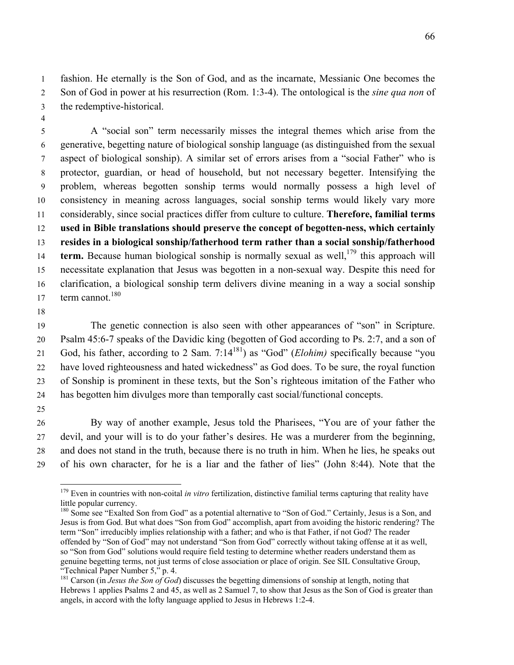1 fashion. He eternally is the Son of God, and as the incarnate, Messianic One becomes the 2 Son of God in power at his resurrection (Rom. 1:3-4). The ontological is the *sine qua non* of 3 the redemptive-historical.

4

5 A "social son" term necessarily misses the integral themes which arise from the 6 generative, begetting nature of biological sonship language (as distinguished from the sexual 7 aspect of biological sonship). A similar set of errors arises from a "social Father" who is 8 protector, guardian, or head of household, but not necessary begetter. Intensifying the 9 problem, whereas begotten sonship terms would normally possess a high level of 10 consistency in meaning across languages, social sonship terms would likely vary more 11 considerably, since social practices differ from culture to culture. **Therefore, familial terms**  12 **used in Bible translations should preserve the concept of begotten-ness, which certainly**  13 **resides in a biological sonship/fatherhood term rather than a social sonship/fatherhood**  14 **term.** Because human biological sonship is normally sexual as well,  $179$  this approach will 15 necessitate explanation that Jesus was begotten in a non-sexual way. Despite this need for 16 clarification, a biological sonship term delivers divine meaning in a way a social sonship  $17$  term cannot.<sup>180</sup>

18

19 The genetic connection is also seen with other appearances of "son" in Scripture. 20 Psalm 45:6-7 speaks of the Davidic king (begotten of God according to Ps. 2:7, and a son of 21 God, his father, according to 2 Sam.  $7:14^{181}$  as "God" (*Elohim*) specifically because "you 22 have loved righteousness and hated wickedness" as God does. To be sure, the royal function 23 of Sonship is prominent in these texts, but the Son's righteous imitation of the Father who 24 has begotten him divulges more than temporally cast social/functional concepts.

25

26 By way of another example, Jesus told the Pharisees, "You are of your father the 27 devil, and your will is to do your father's desires. He was a murderer from the beginning, 28 and does not stand in the truth, because there is no truth in him. When he lies, he speaks out 29 of his own character, for he is a liar and the father of lies" (John 8:44). Note that the

<sup>179</sup> Even in countries with non-coital *in vitro* fertilization, distinctive familial terms capturing that reality have little popular currency.

<sup>&</sup>lt;sup>180</sup> Some see "Exalted Son from God" as a potential alternative to "Son of God." Certainly, Jesus is a Son, and Jesus is from God. But what does "Son from God" accomplish, apart from avoiding the historic rendering? The term "Son" irreducibly implies relationship with a father; and who is that Father, if not God? The reader offended by "Son of God" may not understand "Son from God" correctly without taking offense at it as well, so "Son from God" solutions would require field testing to determine whether readers understand them as genuine begetting terms, not just terms of close association or place of origin. See SIL Consultative Group, "Technical Paper Number 5," p. 4.

<sup>&</sup>lt;sup>181</sup> Carson (in *Jesus the Son of God*) discusses the begetting dimensions of sonship at length, noting that Hebrews 1 applies Psalms 2 and 45, as well as 2 Samuel 7, to show that Jesus as the Son of God is greater than angels, in accord with the lofty language applied to Jesus in Hebrews 1:2-4.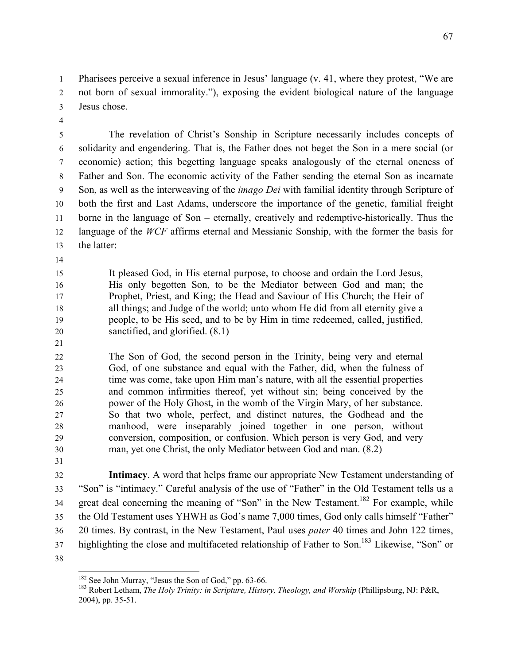1 Pharisees perceive a sexual inference in Jesus' language (v. 41, where they protest, "We are 2 not born of sexual immorality."), exposing the evident biological nature of the language 3 Jesus chose.

4

5 The revelation of Christ's Sonship in Scripture necessarily includes concepts of 6 solidarity and engendering. That is, the Father does not beget the Son in a mere social (or 7 economic) action; this begetting language speaks analogously of the eternal oneness of 8 Father and Son. The economic activity of the Father sending the eternal Son as incarnate 9 Son, as well as the interweaving of the *imago Dei* with familial identity through Scripture of 10 both the first and Last Adams, underscore the importance of the genetic, familial freight 11 borne in the language of Son – eternally, creatively and redemptive-historically. Thus the 12 language of the *WCF* affirms eternal and Messianic Sonship, with the former the basis for 13 the latter:

14

21

15 It pleased God, in His eternal purpose, to choose and ordain the Lord Jesus, 16 His only begotten Son, to be the Mediator between God and man; the 17 Prophet, Priest, and King; the Head and Saviour of His Church; the Heir of 18 all things; and Judge of the world; unto whom He did from all eternity give a 19 people, to be His seed, and to be by Him in time redeemed, called, justified, 20 sanctified, and glorified. (8.1)

22 The Son of God, the second person in the Trinity, being very and eternal 23 God, of one substance and equal with the Father, did, when the fulness of 24 time was come, take upon Him man's nature, with all the essential properties 25 and common infirmities thereof, yet without sin; being conceived by the 26 power of the Holy Ghost, in the womb of the Virgin Mary, of her substance. 27 So that two whole, perfect, and distinct natures, the Godhead and the 28 manhood, were inseparably joined together in one person, without 29 conversion, composition, or confusion. Which person is very God, and very 30 man, yet one Christ, the only Mediator between God and man. (8.2)

31

32 **Intimacy**. A word that helps frame our appropriate New Testament understanding of 33 "Son" is "intimacy." Careful analysis of the use of "Father" in the Old Testament tells us a great deal concerning the meaning of "Son" in the New Testament.<sup>182</sup> For example, while 35 the Old Testament uses YHWH as God's name 7,000 times, God only calls himself "Father" 36 20 times. By contrast, in the New Testament, Paul uses *pater* 40 times and John 122 times, 37 highlighting the close and multifaceted relationship of Father to Son.<sup>183</sup> Likewise, "Son" or

<sup>&</sup>lt;sup>182</sup> See John Murray, "Jesus the Son of God," pp. 63-66.

<sup>&</sup>lt;sup>183</sup> Robert Letham, *The Holy Trinity: in Scripture, History, Theology, and Worship (Phillipsburg, NJ: P&R,* 2004), pp. 35-51.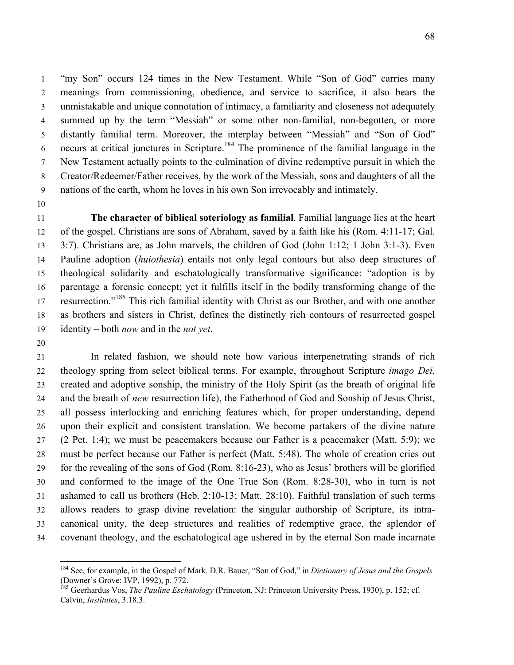1 "my Son" occurs 124 times in the New Testament. While "Son of God" carries many 2 meanings from commissioning, obedience, and service to sacrifice, it also bears the 3 unmistakable and unique connotation of intimacy, a familiarity and closeness not adequately 4 summed up by the term "Messiah" or some other non-familial, non-begotten, or more 5 distantly familial term. Moreover, the interplay between "Messiah" and "Son of God" 6 occurs at critical junctures in Scripture.<sup>184</sup> The prominence of the familial language in the 7 New Testament actually points to the culmination of divine redemptive pursuit in which the 8 Creator/Redeemer/Father receives, by the work of the Messiah, sons and daughters of all the 9 nations of the earth, whom he loves in his own Son irrevocably and intimately.

10

11 **The character of biblical soteriology as familial**. Familial language lies at the heart 12 of the gospel. Christians are sons of Abraham, saved by a faith like his (Rom. 4:11-17; Gal. 13 3:7). Christians are, as John marvels, the children of God (John 1:12; 1 John 3:1-3). Even 14 Pauline adoption (*huiothesia*) entails not only legal contours but also deep structures of 15 theological solidarity and eschatologically transformative significance: "adoption is by 16 parentage a forensic concept; yet it fulfills itself in the bodily transforming change of the 17 resurrection."<sup>185</sup> This rich familial identity with Christ as our Brother, and with one another 18 as brothers and sisters in Christ, defines the distinctly rich contours of resurrected gospel 19 identity – both *now* and in the *not yet*.

20

21 In related fashion, we should note how various interpenetrating strands of rich 22 theology spring from select biblical terms. For example, throughout Scripture *imago Dei,*  23 created and adoptive sonship, the ministry of the Holy Spirit (as the breath of original life 24 and the breath of *new* resurrection life), the Fatherhood of God and Sonship of Jesus Christ, 25 all possess interlocking and enriching features which, for proper understanding, depend 26 upon their explicit and consistent translation. We become partakers of the divine nature 27 (2 Pet. 1:4); we must be peacemakers because our Father is a peacemaker (Matt. 5:9); we 28 must be perfect because our Father is perfect (Matt. 5:48). The whole of creation cries out 29 for the revealing of the sons of God (Rom. 8:16-23), who as Jesus' brothers will be glorified 30 and conformed to the image of the One True Son (Rom. 8:28-30), who in turn is not 31 ashamed to call us brothers (Heb. 2:10-13; Matt. 28:10). Faithful translation of such terms 32 allows readers to grasp divine revelation: the singular authorship of Scripture, its intra-33 canonical unity, the deep structures and realities of redemptive grace, the splendor of 34 covenant theology, and the eschatological age ushered in by the eternal Son made incarnate

<sup>184</sup> See, for example, in the Gospel of Mark. D.R. Bauer, "Son of God," in *Dictionary of Jesus and the Gospels* (Downer's Grove: IVP, 1992), p. 772.

<sup>185</sup> Geerhardus Vos, *The Pauline Eschatology* (Princeton, NJ: Princeton University Press, 1930), p. 152; cf. Calvin, *Institutes*, 3.18.3.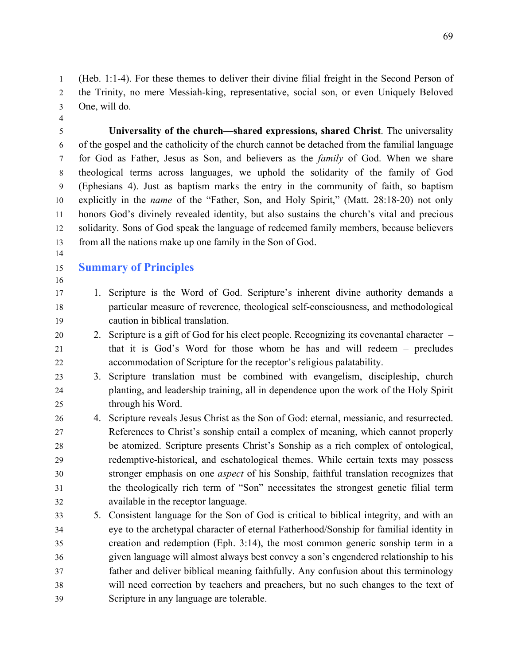1 (Heb. 1:1-4). For these themes to deliver their divine filial freight in the Second Person of 2 the Trinity, no mere Messiah-king, representative, social son, or even Uniquely Beloved 3 One, will do.

4

5 **Universality of the church—shared expressions, shared Christ**. The universality 6 of the gospel and the catholicity of the church cannot be detached from the familial language 7 for God as Father, Jesus as Son, and believers as the *family* of God. When we share 8 theological terms across languages, we uphold the solidarity of the family of God 9 (Ephesians 4). Just as baptism marks the entry in the community of faith, so baptism 10 explicitly in the *name* of the "Father, Son, and Holy Spirit," (Matt. 28:18-20) not only 11 honors God's divinely revealed identity, but also sustains the church's vital and precious 12 solidarity. Sons of God speak the language of redeemed family members, because believers 13 from all the nations make up one family in the Son of God.

14

## 15 **Summary of Principles**

- 16
- 17 1. Scripture is the Word of God. Scripture's inherent divine authority demands a 18 particular measure of reverence, theological self-consciousness, and methodological 19 caution in biblical translation.
- 20 2. Scripture is a gift of God for his elect people. Recognizing its covenantal character 21 that it is God's Word for those whom he has and will redeem – precludes 22 accommodation of Scripture for the receptor's religious palatability.
- 23 3. Scripture translation must be combined with evangelism, discipleship, church 24 planting, and leadership training, all in dependence upon the work of the Holy Spirit 25 through his Word.
- 26 4. Scripture reveals Jesus Christ as the Son of God: eternal, messianic, and resurrected. 27 References to Christ's sonship entail a complex of meaning, which cannot properly 28 be atomized. Scripture presents Christ's Sonship as a rich complex of ontological, 29 redemptive-historical, and eschatological themes. While certain texts may possess 30 stronger emphasis on one *aspect* of his Sonship, faithful translation recognizes that 31 the theologically rich term of "Son" necessitates the strongest genetic filial term 32 available in the receptor language.
- 33 5. Consistent language for the Son of God is critical to biblical integrity, and with an 34 eye to the archetypal character of eternal Fatherhood/Sonship for familial identity in 35 creation and redemption (Eph. 3:14), the most common generic sonship term in a 36 given language will almost always best convey a son's engendered relationship to his 37 father and deliver biblical meaning faithfully. Any confusion about this terminology 38 will need correction by teachers and preachers, but no such changes to the text of 39 Scripture in any language are tolerable.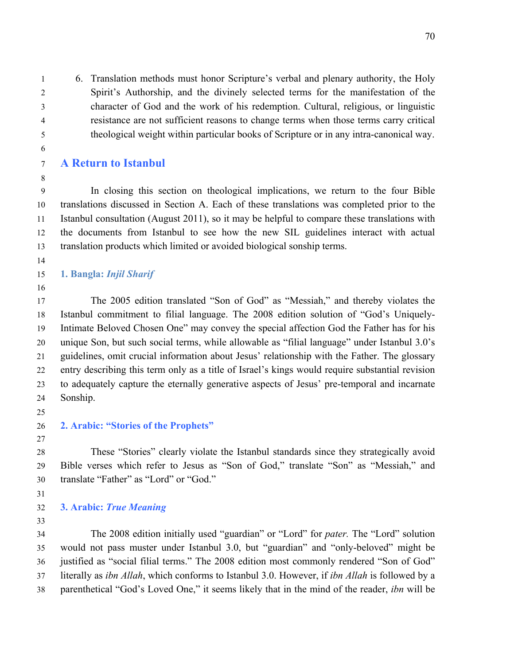1 6. Translation methods must honor Scripture's verbal and plenary authority, the Holy 2 Spirit's Authorship, and the divinely selected terms for the manifestation of the 3 character of God and the work of his redemption. Cultural, religious, or linguistic 4 resistance are not sufficient reasons to change terms when those terms carry critical 5 theological weight within particular books of Scripture or in any intra-canonical way.

6

8

# 7 **A Return to Istanbul**

9 In closing this section on theological implications, we return to the four Bible 10 translations discussed in Section A. Each of these translations was completed prior to the 11 Istanbul consultation (August 2011), so it may be helpful to compare these translations with 12 the documents from Istanbul to see how the new SIL guidelines interact with actual 13 translation products which limited or avoided biological sonship terms.

14

### 15 **1. Bangla:** *Injil Sharif*

16

17 The 2005 edition translated "Son of God" as "Messiah," and thereby violates the 18 Istanbul commitment to filial language. The 2008 edition solution of "God's Uniquely-19 Intimate Beloved Chosen One" may convey the special affection God the Father has for his 20 unique Son, but such social terms, while allowable as "filial language" under Istanbul 3.0's 21 guidelines, omit crucial information about Jesus' relationship with the Father. The glossary 22 entry describing this term only as a title of Israel's kings would require substantial revision 23 to adequately capture the eternally generative aspects of Jesus' pre-temporal and incarnate 24 Sonship.

25

## 26 **2. Arabic: "Stories of the Prophets"**

27

28 These "Stories" clearly violate the Istanbul standards since they strategically avoid 29 Bible verses which refer to Jesus as "Son of God," translate "Son" as "Messiah," and 30 translate "Father" as "Lord" or "God."

31

### 32 **3. Arabic:** *True Meaning*

33

34 The 2008 edition initially used "guardian" or "Lord" for *pater.* The "Lord" solution 35 would not pass muster under Istanbul 3.0, but "guardian" and "only-beloved" might be 36 justified as "social filial terms." The 2008 edition most commonly rendered "Son of God" 37 literally as *ibn Allah*, which conforms to Istanbul 3.0. However, if *ibn Allah* is followed by a 38 parenthetical "God's Loved One," it seems likely that in the mind of the reader, *ibn* will be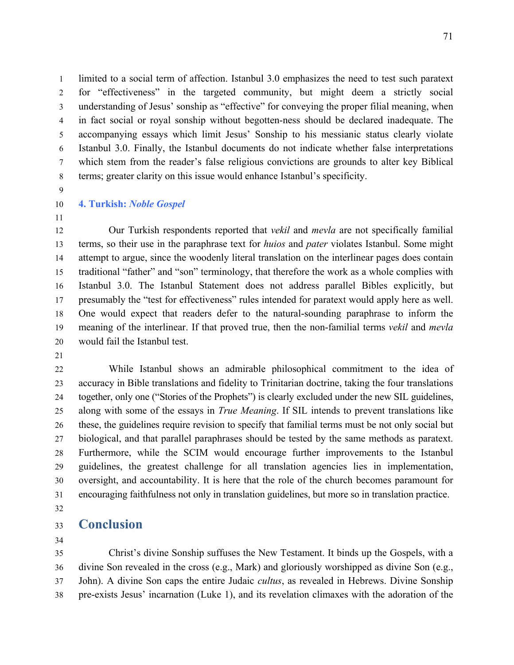1 limited to a social term of affection. Istanbul 3.0 emphasizes the need to test such paratext 2 for "effectiveness" in the targeted community, but might deem a strictly social 3 understanding of Jesus' sonship as "effective" for conveying the proper filial meaning, when 4 in fact social or royal sonship without begotten-ness should be declared inadequate. The 5 accompanying essays which limit Jesus' Sonship to his messianic status clearly violate 6 Istanbul 3.0. Finally, the Istanbul documents do not indicate whether false interpretations 7 which stem from the reader's false religious convictions are grounds to alter key Biblical 8 terms; greater clarity on this issue would enhance Istanbul's specificity.

9

#### 10 **4. Turkish:** *Noble Gospel*

11

12 Our Turkish respondents reported that *vekil* and *mevla* are not specifically familial 13 terms, so their use in the paraphrase text for *huios* and *pater* violates Istanbul. Some might 14 attempt to argue, since the woodenly literal translation on the interlinear pages does contain 15 traditional "father" and "son" terminology, that therefore the work as a whole complies with 16 Istanbul 3.0. The Istanbul Statement does not address parallel Bibles explicitly, but 17 presumably the "test for effectiveness" rules intended for paratext would apply here as well. 18 One would expect that readers defer to the natural-sounding paraphrase to inform the 19 meaning of the interlinear. If that proved true, then the non-familial terms *vekil* and *mevla* 20 would fail the Istanbul test.

21

22 While Istanbul shows an admirable philosophical commitment to the idea of 23 accuracy in Bible translations and fidelity to Trinitarian doctrine, taking the four translations 24 together, only one ("Stories of the Prophets") is clearly excluded under the new SIL guidelines, 25 along with some of the essays in *True Meaning*. If SIL intends to prevent translations like 26 these, the guidelines require revision to specify that familial terms must be not only social but 27 biological, and that parallel paraphrases should be tested by the same methods as paratext. 28 Furthermore, while the SCIM would encourage further improvements to the Istanbul 29 guidelines, the greatest challenge for all translation agencies lies in implementation, 30 oversight, and accountability. It is here that the role of the church becomes paramount for 31 encouraging faithfulness not only in translation guidelines, but more so in translation practice.

32

# <sup>33</sup>**Conclusion**

34

35 Christ's divine Sonship suffuses the New Testament. It binds up the Gospels, with a 36 divine Son revealed in the cross (e.g., Mark) and gloriously worshipped as divine Son (e.g., 37 John). A divine Son caps the entire Judaic *cultus*, as revealed in Hebrews. Divine Sonship 38 pre-exists Jesus' incarnation (Luke 1), and its revelation climaxes with the adoration of the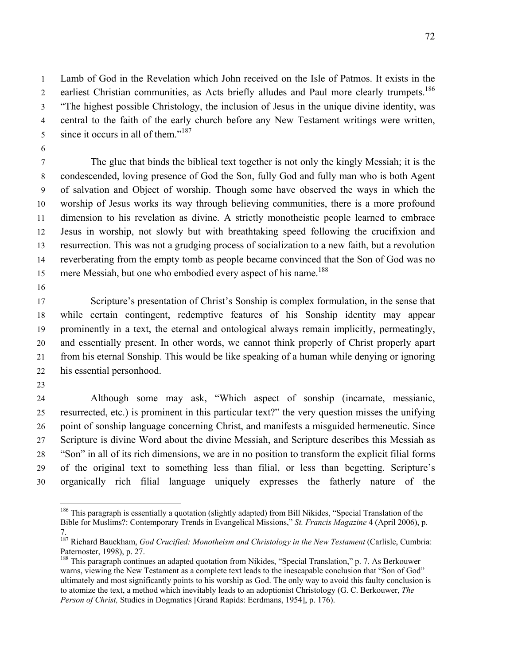1 Lamb of God in the Revelation which John received on the Isle of Patmos. It exists in the 2 earliest Christian communities, as Acts briefly alludes and Paul more clearly trumpets.<sup>186</sup> 3 "The highest possible Christology, the inclusion of Jesus in the unique divine identity, was 4 central to the faith of the early church before any New Testament writings were written, since it occurs in all of them." $187$ 

6

7 The glue that binds the biblical text together is not only the kingly Messiah; it is the 8 condescended, loving presence of God the Son, fully God and fully man who is both Agent 9 of salvation and Object of worship. Though some have observed the ways in which the 10 worship of Jesus works its way through believing communities, there is a more profound 11 dimension to his revelation as divine. A strictly monotheistic people learned to embrace 12 Jesus in worship, not slowly but with breathtaking speed following the crucifixion and 13 resurrection. This was not a grudging process of socialization to a new faith, but a revolution 14 reverberating from the empty tomb as people became convinced that the Son of God was no 15 mere Messiah, but one who embodied every aspect of his name.<sup>188</sup>

16

17 Scripture's presentation of Christ's Sonship is complex formulation, in the sense that 18 while certain contingent, redemptive features of his Sonship identity may appear 19 prominently in a text, the eternal and ontological always remain implicitly, permeatingly, 20 and essentially present. In other words, we cannot think properly of Christ properly apart 21 from his eternal Sonship. This would be like speaking of a human while denying or ignoring 22 his essential personhood.

23

24 Although some may ask, "Which aspect of sonship (incarnate, messianic, 25 resurrected, etc.) is prominent in this particular text?" the very question misses the unifying 26 point of sonship language concerning Christ, and manifests a misguided hermeneutic. Since 27 Scripture is divine Word about the divine Messiah, and Scripture describes this Messiah as 28 "Son" in all of its rich dimensions, we are in no position to transform the explicit filial forms 29 of the original text to something less than filial, or less than begetting. Scripture's 30 organically rich filial language uniquely expresses the fatherly nature of the

 <sup>186</sup> This paragraph is essentially a quotation (slightly adapted) from Bill Nikides, "Special Translation of the Bible for Muslims?: Contemporary Trends in Evangelical Missions," *St. Francis Magazine* 4 (April 2006), p. 7.

<sup>187</sup> Richard Bauckham, *God Crucified: Monotheism and Christology in the New Testament* (Carlisle, Cumbria: Paternoster, 1998), p. 27.

<sup>&</sup>lt;sup>188</sup> This paragraph continues an adapted quotation from Nikides, "Special Translation," p. 7. As Berkouwer warns, viewing the New Testament as a complete text leads to the inescapable conclusion that "Son of God" ultimately and most significantly points to his worship as God. The only way to avoid this faulty conclusion is to atomize the text, a method which inevitably leads to an adoptionist Christology (G. C. Berkouwer, *The Person of Christ,* Studies in Dogmatics [Grand Rapids: Eerdmans, 1954], p. 176).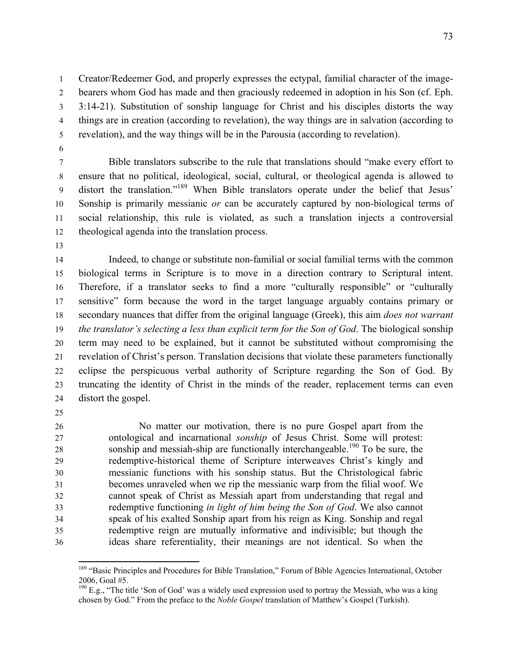1 Creator/Redeemer God, and properly expresses the ectypal, familial character of the image-2 bearers whom God has made and then graciously redeemed in adoption in his Son (cf. Eph. 3 3:14-21). Substitution of sonship language for Christ and his disciples distorts the way 4 things are in creation (according to revelation), the way things are in salvation (according to 5 revelation), and the way things will be in the Parousia (according to revelation).

6

7 Bible translators subscribe to the rule that translations should "make every effort to 8 ensure that no political, ideological, social, cultural, or theological agenda is allowed to 9 distort the translation."<sup>189</sup> When Bible translators operate under the belief that Jesus' 10 Sonship is primarily messianic *or* can be accurately captured by non-biological terms of 11 social relationship, this rule is violated, as such a translation injects a controversial 12 theological agenda into the translation process.

13

14 Indeed, to change or substitute non-familial or social familial terms with the common 15 biological terms in Scripture is to move in a direction contrary to Scriptural intent. 16 Therefore, if a translator seeks to find a more "culturally responsible" or "culturally 17 sensitive" form because the word in the target language arguably contains primary or 18 secondary nuances that differ from the original language (Greek), this aim *does not warrant*  19 *the translator's selecting a less than explicit term for the Son of God*. The biological sonship 20 term may need to be explained, but it cannot be substituted without compromising the 21 revelation of Christ's person. Translation decisions that violate these parameters functionally 22 eclipse the perspicuous verbal authority of Scripture regarding the Son of God. By 23 truncating the identity of Christ in the minds of the reader, replacement terms can even 24 distort the gospel.

25

26 No matter our motivation, there is no pure Gospel apart from the 27 ontological and incarnational *sonship* of Jesus Christ. Some will protest: sonship and messiah-ship are functionally interchangeable.<sup>190</sup> To be sure, the 29 redemptive-historical theme of Scripture interweaves Christ's kingly and 30 messianic functions with his sonship status. But the Christological fabric 31 becomes unraveled when we rip the messianic warp from the filial woof. We 32 cannot speak of Christ as Messiah apart from understanding that regal and 33 redemptive functioning *in light of him being the Son of God*. We also cannot 34 speak of his exalted Sonship apart from his reign as King. Sonship and regal 35 redemptive reign are mutually informative and indivisible; but though the 36 ideas share referentiality, their meanings are not identical. So when the

<sup>&</sup>lt;sup>189</sup> "Basic Principles and Procedures for Bible Translation," Forum of Bible Agencies International, October 2006, Goal #5.

<sup>&</sup>lt;sup>190</sup> E.g., "The title 'Son of God' was a widely used expression used to portray the Messiah, who was a king chosen by God." From the preface to the *Noble Gospel* translation of Matthew's Gospel (Turkish).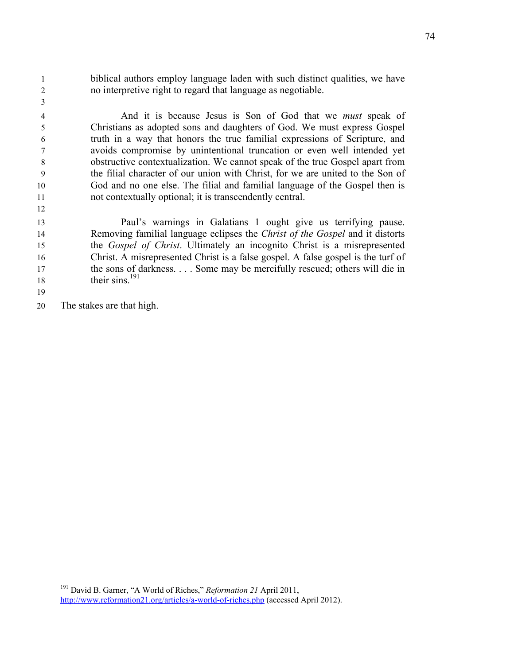1 biblical authors employ language laden with such distinct qualities, we have 2 no interpretive right to regard that language as negotiable.

4 And it is because Jesus is Son of God that we *must* speak of 5 Christians as adopted sons and daughters of God. We must express Gospel 6 truth in a way that honors the true familial expressions of Scripture, and 7 avoids compromise by unintentional truncation or even well intended yet 8 obstructive contextualization. We cannot speak of the true Gospel apart from 9 the filial character of our union with Christ, for we are united to the Son of 10 God and no one else. The filial and familial language of the Gospel then is 11 not contextually optional; it is transcendently central.

13 Paul's warnings in Galatians 1 ought give us terrifying pause. 14 Removing familial language eclipses the *Christ of the Gospel* and it distorts 15 the *Gospel of Christ*. Ultimately an incognito Christ is a misrepresented 16 Christ. A misrepresented Christ is a false gospel. A false gospel is the turf of 17 the sons of darkness. . . . Some may be mercifully rescued; others will die in 18 their sins.<sup>191</sup>

19

12

3

20 The stakes are that high.

<u> 1989 - Johann Stein, marwolaethau a bh</u>

<sup>191</sup> David B. Garner, "A World of Riches," *Reformation 21* April 2011, http://www.reformation21.org/articles/a-world-of-riches.php (accessed April 2012).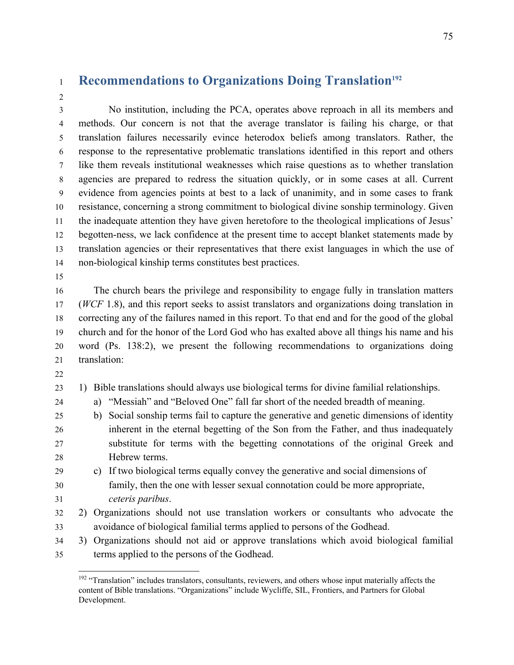## **Recommendations to Organizations Doing Translation<sup>192</sup>**

2

3 No institution, including the PCA, operates above reproach in all its members and 4 methods. Our concern is not that the average translator is failing his charge, or that 5 translation failures necessarily evince heterodox beliefs among translators. Rather, the 6 response to the representative problematic translations identified in this report and others 7 like them reveals institutional weaknesses which raise questions as to whether translation 8 agencies are prepared to redress the situation quickly, or in some cases at all. Current 9 evidence from agencies points at best to a lack of unanimity, and in some cases to frank 10 resistance, concerning a strong commitment to biological divine sonship terminology. Given 11 the inadequate attention they have given heretofore to the theological implications of Jesus' 12 begotten-ness, we lack confidence at the present time to accept blanket statements made by 13 translation agencies or their representatives that there exist languages in which the use of 14 non-biological kinship terms constitutes best practices.

15

16 The church bears the privilege and responsibility to engage fully in translation matters 17 (*WCF* 1.8), and this report seeks to assist translators and organizations doing translation in 18 correcting any of the failures named in this report. To that end and for the good of the global 19 church and for the honor of the Lord God who has exalted above all things his name and his 20 word (Ps. 138:2), we present the following recommendations to organizations doing 21 translation:

22

23 1) Bible translations should always use biological terms for divine familial relationships.

- 24 a) "Messiah" and "Beloved One" fall far short of the needed breadth of meaning.
- 25 b) Social sonship terms fail to capture the generative and genetic dimensions of identity 26 inherent in the eternal begetting of the Son from the Father, and thus inadequately 27 substitute for terms with the begetting connotations of the original Greek and 28 Hebrew terms.
- 29 c) If two biological terms equally convey the generative and social dimensions of 30 family, then the one with lesser sexual connotation could be more appropriate, 31 *ceteris paribus*.

32 2) Organizations should not use translation workers or consultants who advocate the 33 avoidance of biological familial terms applied to persons of the Godhead.

34 3) Organizations should not aid or approve translations which avoid biological familial 35 terms applied to the persons of the Godhead.

<sup>&</sup>lt;sup>192</sup> "Translation" includes translators, consultants, reviewers, and others whose input materially affects the content of Bible translations. "Organizations" include Wycliffe, SIL, Frontiers, and Partners for Global Development.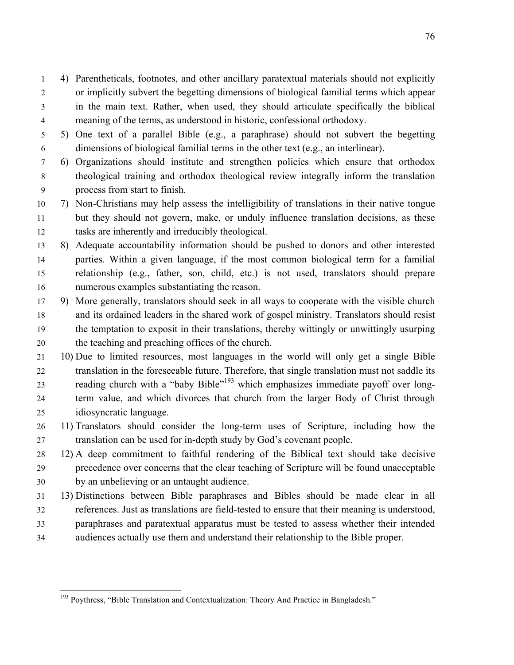1 4) Parentheticals, footnotes, and other ancillary paratextual materials should not explicitly 2 or implicitly subvert the begetting dimensions of biological familial terms which appear 3 in the main text. Rather, when used, they should articulate specifically the biblical 4 meaning of the terms, as understood in historic, confessional orthodoxy.

- 5 5) One text of a parallel Bible (e.g., a paraphrase) should not subvert the begetting 6 dimensions of biological familial terms in the other text (e.g., an interlinear).
- 7 6) Organizations should institute and strengthen policies which ensure that orthodox 8 theological training and orthodox theological review integrally inform the translation 9 process from start to finish.
- 10 7) Non-Christians may help assess the intelligibility of translations in their native tongue 11 but they should not govern, make, or unduly influence translation decisions, as these 12 tasks are inherently and irreducibly theological.
- 13 8) Adequate accountability information should be pushed to donors and other interested 14 parties. Within a given language, if the most common biological term for a familial 15 relationship (e.g., father, son, child, etc.) is not used, translators should prepare 16 numerous examples substantiating the reason.
- 17 9) More generally, translators should seek in all ways to cooperate with the visible church 18 and its ordained leaders in the shared work of gospel ministry. Translators should resist 19 the temptation to exposit in their translations, thereby wittingly or unwittingly usurping 20 the teaching and preaching offices of the church.
- 21 10) Due to limited resources, most languages in the world will only get a single Bible 22 translation in the foreseeable future. Therefore, that single translation must not saddle its reading church with a "baby Bible"193 23 which emphasizes immediate payoff over long-24 term value, and which divorces that church from the larger Body of Christ through 25 idiosyncratic language.
- 26 11) Translators should consider the long-term uses of Scripture, including how the 27 translation can be used for in-depth study by God's covenant people.
- 28 12) A deep commitment to faithful rendering of the Biblical text should take decisive 29 precedence over concerns that the clear teaching of Scripture will be found unacceptable 30 by an unbelieving or an untaught audience.
- 31 13) Distinctions between Bible paraphrases and Bibles should be made clear in all
- 32 references. Just as translations are field-tested to ensure that their meaning is understood,
- 33 paraphrases and paratextual apparatus must be tested to assess whether their intended
- 34 audiences actually use them and understand their relationship to the Bible proper.

<sup>&</sup>lt;sup>193</sup> Poythress, "Bible Translation and Contextualization: Theory And Practice in Bangladesh."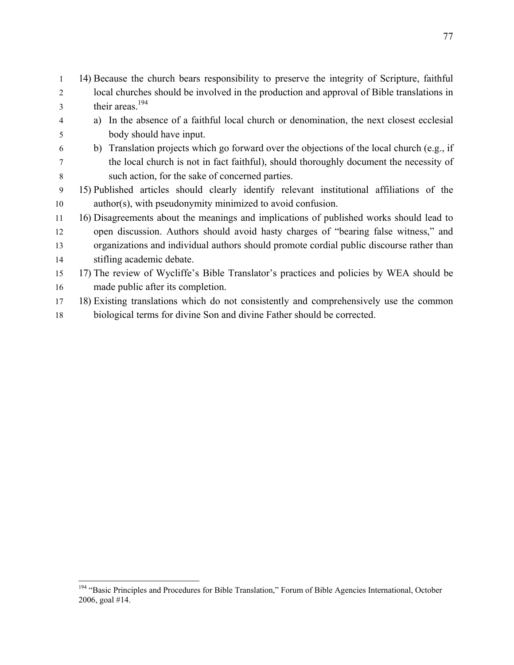- 1 14) Because the church bears responsibility to preserve the integrity of Scripture, faithful 2 local churches should be involved in the production and approval of Bible translations in  $3$  their areas.<sup>194</sup>
- 4 a) In the absence of a faithful local church or denomination, the next closest ecclesial 5 body should have input.
- 6 b) Translation projects which go forward over the objections of the local church (e.g., if 7 the local church is not in fact faithful), should thoroughly document the necessity of 8 such action, for the sake of concerned parties.
- 9 15) Published articles should clearly identify relevant institutional affiliations of the 10 author(s), with pseudonymity minimized to avoid confusion.
- 11 16) Disagreements about the meanings and implications of published works should lead to 12 open discussion. Authors should avoid hasty charges of "bearing false witness," and 13 organizations and individual authors should promote cordial public discourse rather than 14 stifling academic debate.
- 15 17) The review of Wycliffe's Bible Translator's practices and policies by WEA should be 16 made public after its completion.
- 17 18) Existing translations which do not consistently and comprehensively use the common
- 18 biological terms for divine Son and divine Father should be corrected.

<u> 1989 - Johann Stein, marwolaethau a bh</u>

<sup>&</sup>lt;sup>194</sup> "Basic Principles and Procedures for Bible Translation," Forum of Bible Agencies International, October 2006, goal #14.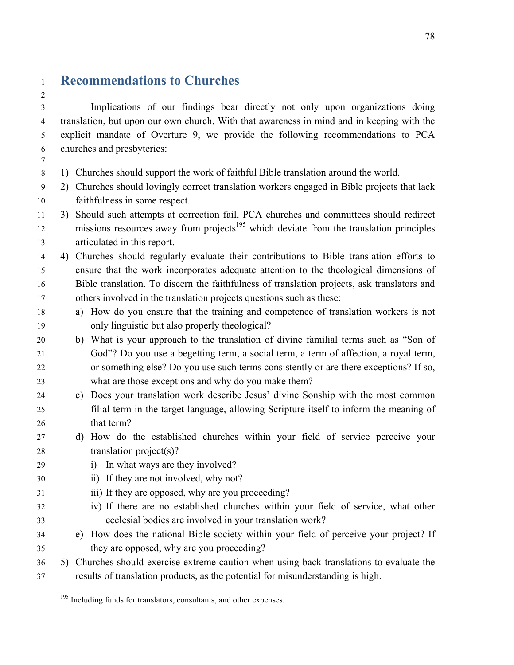## <sup>1</sup>**Recommendations to Churches**

2

7

3 Implications of our findings bear directly not only upon organizations doing 4 translation, but upon our own church. With that awareness in mind and in keeping with the 5 explicit mandate of Overture 9, we provide the following recommendations to PCA 6 churches and presbyteries:

- 8 1) Churches should support the work of faithful Bible translation around the world.
- 9 2) Churches should lovingly correct translation workers engaged in Bible projects that lack 10 faithfulness in some respect.
- 11 3) Should such attempts at correction fail, PCA churches and committees should redirect  $12$  missions resources away from projects<sup>195</sup> which deviate from the translation principles 13 articulated in this report.

14 4) Churches should regularly evaluate their contributions to Bible translation efforts to 15 ensure that the work incorporates adequate attention to the theological dimensions of 16 Bible translation. To discern the faithfulness of translation projects, ask translators and 17 others involved in the translation projects questions such as these:

- 18 a) How do you ensure that the training and competence of translation workers is not 19 only linguistic but also properly theological?
- 20 b) What is your approach to the translation of divine familial terms such as "Son of 21 God"? Do you use a begetting term, a social term, a term of affection, a royal term, 22 or something else? Do you use such terms consistently or are there exceptions? If so, 23 what are those exceptions and why do you make them?
- 24 c) Does your translation work describe Jesus' divine Sonship with the most common 25 filial term in the target language, allowing Scripture itself to inform the meaning of 26 that term?
- 27 d) How do the established churches within your field of service perceive your 28 translation project(s)?
- 29 i) In what ways are they involved?

- 30 ii) If they are not involved, why not?
- 31 iii) If they are opposed, why are you proceeding?
- 32 iv) If there are no established churches within your field of service, what other 33 ecclesial bodies are involved in your translation work?
- 34 e) How does the national Bible society within your field of perceive your project? If 35 they are opposed, why are you proceeding?
- 36 5) Churches should exercise extreme caution when using back-translations to evaluate the

<sup>37</sup> results of translation products, as the potential for misunderstanding is high.

<sup>&</sup>lt;sup>195</sup> Including funds for translators, consultants, and other expenses.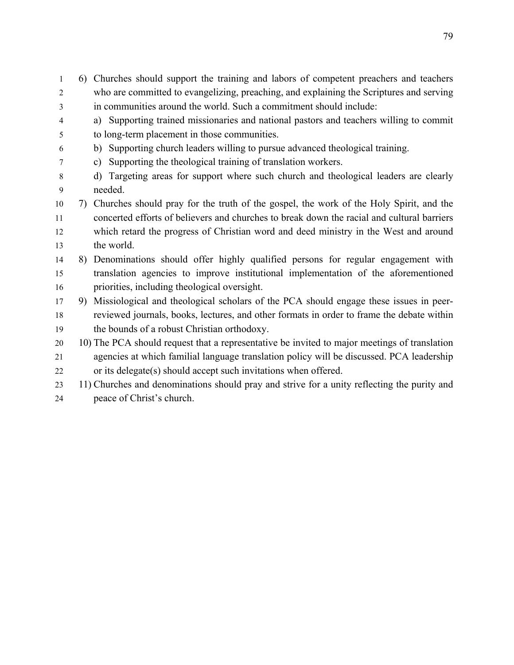- 1 6) Churches should support the training and labors of competent preachers and teachers 2 who are committed to evangelizing, preaching, and explaining the Scriptures and serving 3 in communities around the world. Such a commitment should include:
- 4 a) Supporting trained missionaries and national pastors and teachers willing to commit 5 to long-term placement in those communities.
- 6 b) Supporting church leaders willing to pursue advanced theological training.
- 7 c) Supporting the theological training of translation workers.
- 8 d) Targeting areas for support where such church and theological leaders are clearly 9 needed.
- 10 7) Churches should pray for the truth of the gospel, the work of the Holy Spirit, and the 11 concerted efforts of believers and churches to break down the racial and cultural barriers 12 which retard the progress of Christian word and deed ministry in the West and around 13 the world.
- 14 8) Denominations should offer highly qualified persons for regular engagement with 15 translation agencies to improve institutional implementation of the aforementioned 16 priorities, including theological oversight.
- 17 9) Missiological and theological scholars of the PCA should engage these issues in peer-18 reviewed journals, books, lectures, and other formats in order to frame the debate within 19 the bounds of a robust Christian orthodoxy.
- 20 10) The PCA should request that a representative be invited to major meetings of translation 21 agencies at which familial language translation policy will be discussed. PCA leadership 22 or its delegate(s) should accept such invitations when offered.
- 23 11) Churches and denominations should pray and strive for a unity reflecting the purity and 24 peace of Christ's church.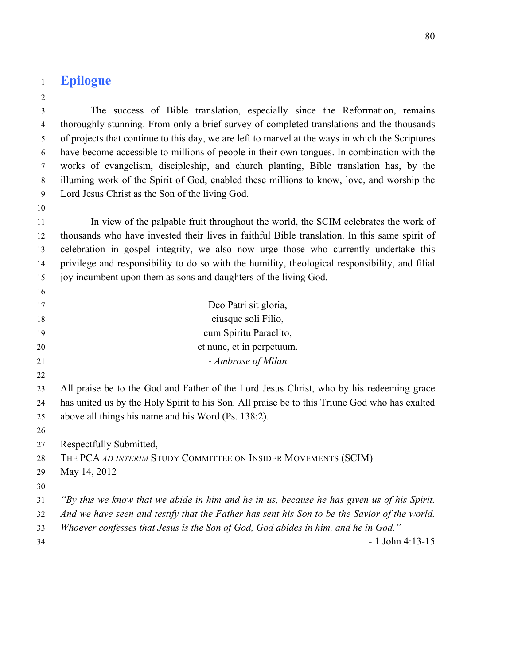## <sup>1</sup>**Epilogue**

## 3 The success of Bible translation, especially since the Reformation, remains 4 thoroughly stunning. From only a brief survey of completed translations and the thousands 5 of projects that continue to this day, we are left to marvel at the ways in which the Scriptures 6 have become accessible to millions of people in their own tongues. In combination with the 7 works of evangelism, discipleship, and church planting, Bible translation has, by the 8 illuming work of the Spirit of God, enabled these millions to know, love, and worship the 9 Lord Jesus Christ as the Son of the living God.

10

2

11 In view of the palpable fruit throughout the world, the SCIM celebrates the work of 12 thousands who have invested their lives in faithful Bible translation. In this same spirit of 13 celebration in gospel integrity, we also now urge those who currently undertake this 14 privilege and responsibility to do so with the humility, theological responsibility, and filial 15 joy incumbent upon them as sons and daughters of the living God.

| 16 |                           |
|----|---------------------------|
| 17 | Deo Patri sit gloria,     |
| 18 | eiusque soli Filio,       |
| 19 | cum Spiritu Paraclito,    |
| 20 | et nunc, et in perpetuum. |
| 21 | - Ambrose of Milan        |
| 22 |                           |
|    |                           |

23 All praise be to the God and Father of the Lord Jesus Christ, who by his redeeming grace 24 has united us by the Holy Spirit to his Son. All praise be to this Triune God who has exalted 25 above all things his name and his Word (Ps. 138:2).

26

27 Respectfully Submitted,

```
28 THE PCA AD INTERIM STUDY COMMITTEE ON INSIDER MOVEMENTS (SCIM)
```
29 May 14, 2012

30

31 *"By this we know that we abide in him and he in us, because he has given us of his Spirit.* 

32 *And we have seen and testify that the Father has sent his Son to be the Savior of the world.* 

- 33 *Whoever confesses that Jesus is the Son of God, God abides in him, and he in God."*
- 

34 - 1 John 4:13-15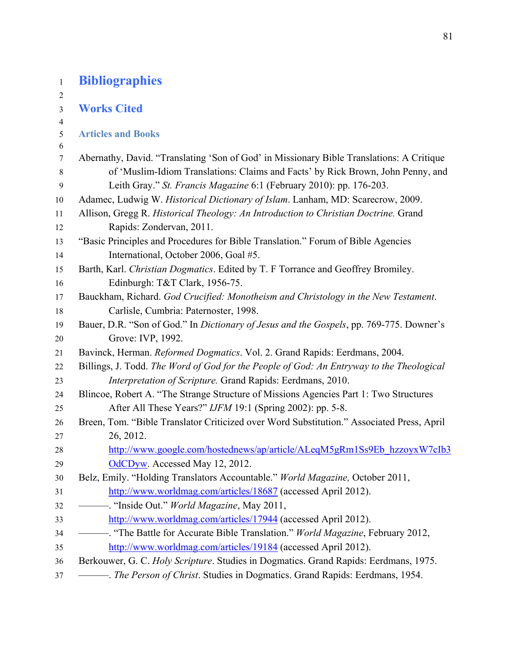| $\mathbf{1}$                     | <b>Bibliographies</b>                                                                     |
|----------------------------------|-------------------------------------------------------------------------------------------|
| $\overline{2}$<br>$\mathfrak{Z}$ | <b>Works Cited</b>                                                                        |
| $\overline{4}$                   |                                                                                           |
| 5                                | <b>Articles and Books</b>                                                                 |
| 6                                |                                                                                           |
| $\tau$                           | Abernathy, David. "Translating 'Son of God' in Missionary Bible Translations: A Critique  |
| 8                                | of 'Muslim-Idiom Translations: Claims and Facts' by Rick Brown, John Penny, and           |
| 9                                | Leith Gray." St. Francis Magazine 6:1 (February 2010): pp. 176-203.                       |
| 10                               | Adamec, Ludwig W. Historical Dictionary of Islam. Lanham, MD: Scarecrow, 2009.            |
| 11                               | Allison, Gregg R. Historical Theology: An Introduction to Christian Doctrine. Grand       |
| 12                               | Rapids: Zondervan, 2011.                                                                  |
| 13                               | "Basic Principles and Procedures for Bible Translation." Forum of Bible Agencies          |
| 14                               | International, October 2006, Goal #5.                                                     |
| 15                               | Barth, Karl. Christian Dogmatics. Edited by T. F Torrance and Geoffrey Bromiley.          |
| 16                               | Edinburgh: T&T Clark, 1956-75.                                                            |
| 17                               | Bauckham, Richard. God Crucified: Monotheism and Christology in the New Testament.        |
| 18                               | Carlisle, Cumbria: Paternoster, 1998.                                                     |
| 19                               | Bauer, D.R. "Son of God." In Dictionary of Jesus and the Gospels, pp. 769-775. Downer's   |
| 20                               | Grove: IVP, 1992.                                                                         |
| 21                               | Bavinck, Herman. Reformed Dogmatics. Vol. 2. Grand Rapids: Eerdmans, 2004.                |
| 22                               | Billings, J. Todd. The Word of God for the People of God: An Entryway to the Theological  |
| 23                               | Interpretation of Scripture. Grand Rapids: Eerdmans, 2010.                                |
| 24                               | Blincoe, Robert A. "The Strange Structure of Missions Agencies Part 1: Two Structures     |
| 25                               | After All These Years?" <i>IJFM</i> 19:1 (Spring 2002): pp. 5-8.                          |
| 26                               | Breen, Tom. "Bible Translator Criticized over Word Substitution." Associated Press, April |
| 27                               | 26, 2012.                                                                                 |
| 28                               | http://www.google.com/hostednews/ap/article/ALeqM5gRm1Ss9Eb_hzzoyxW7cIb3                  |
| 29                               | OdCDyw. Accessed May 12, 2012.                                                            |
| 30                               | Belz, Emily. "Holding Translators Accountable." World Magazine, October 2011,             |
| 31                               | http://www.worldmag.com/articles/18687 (accessed April 2012).                             |
| 32                               | - "Inside Out." <i>World Magazine</i> , May 2011,                                         |
| 33                               | http://www.worldmag.com/articles/17944 (accessed April 2012).                             |
| 34                               | -. "The Battle for Accurate Bible Translation." World Magazine, February 2012,            |
| 35                               | http://www.worldmag.com/articles/19184 (accessed April 2012).                             |
| 36                               | Berkouwer, G. C. Holy Scripture. Studies in Dogmatics. Grand Rapids: Eerdmans, 1975.      |
| 37                               | -. The Person of Christ. Studies in Dogmatics. Grand Rapids: Eerdmans, 1954.              |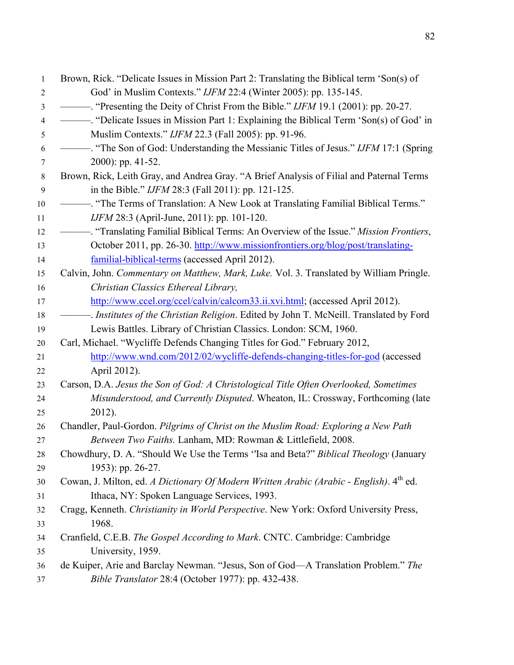1 Brown, Rick. "Delicate Issues in Mission Part 2: Translating the Biblical term 'Son(s) of 2 God' in Muslim Contexts." *IJFM* 22:4 (Winter 2005): pp. 135-145. 3 ———. "Presenting the Deity of Christ From the Bible." *IJFM* 19.1 (2001): pp. 20-27. 4 ———. "Delicate Issues in Mission Part 1: Explaining the Biblical Term 'Son(s) of God' in 5 Muslim Contexts." *IJFM* 22.3 (Fall 2005): pp. 91-96. 6 ———. "The Son of God: Understanding the Messianic Titles of Jesus." *IJFM* 17:1 (Spring 7 2000): pp. 41-52. 8 Brown, Rick, Leith Gray, and Andrea Gray. "A Brief Analysis of Filial and Paternal Terms 9 in the Bible." *IJFM* 28:3 (Fall 2011): pp. 121-125. 10 ———. "The Terms of Translation: A New Look at Translating Familial Biblical Terms." 11 *IJFM* 28:3 (April-June, 2011): pp. 101-120. 12 ———. "Translating Familial Biblical Terms: An Overview of the Issue." *Mission Frontiers*, 13 October 2011, pp. 26-30. http://www.missionfrontiers.org/blog/post/translating-14 familial-biblical-terms (accessed April 2012). 15 Calvin, John. *Commentary on Matthew, Mark, Luke.* Vol. 3. Translated by William Pringle. 16 *Christian Classics Ethereal Library,*  17 http://www.ccel.org/ccel/calvin/calcom33.ii.xvi.html; (accessed April 2012). 18 ———. *Institutes of the Christian Religion*. Edited by John T. McNeill. Translated by Ford 19 Lewis Battles. Library of Christian Classics. London: SCM, 1960. 20 Carl, Michael. "Wycliffe Defends Changing Titles for God." February 2012, 21 http://www.wnd.com/2012/02/wycliffe-defends-changing-titles-for-god (accessed 22 April 2012). 23 Carson, D.A. *Jesus the Son of God: A Christological Title Often Overlooked, Sometimes*  24 *Misunderstood, and Currently Disputed*. Wheaton, IL: Crossway, Forthcoming (late 25 2012). 26 Chandler, Paul-Gordon. *Pilgrims of Christ on the Muslim Road: Exploring a New Path*  27 *Between Two Faiths.* Lanham, MD: Rowman & Littlefield, 2008. 28 Chowdhury, D. A. "Should We Use the Terms ''Isa and Beta?" *Biblical Theology* (January 29 1953): pp. 26-27. 30 Cowan, J. Milton, ed. *A Dictionary Of Modern Written Arabic (Arabic - English)*. 4<sup>th</sup> ed. 31 Ithaca, NY: Spoken Language Services, 1993. 32 Cragg, Kenneth. *Christianity in World Perspective*. New York: Oxford University Press, 33 1968. 34 Cranfield, C.E.B. *The Gospel According to Mark*. CNTC. Cambridge: Cambridge 35 University, 1959. 36 de Kuiper, Arie and Barclay Newman. "Jesus, Son of God—A Translation Problem." *The*  37 *Bible Translator* 28:4 (October 1977): pp. 432-438.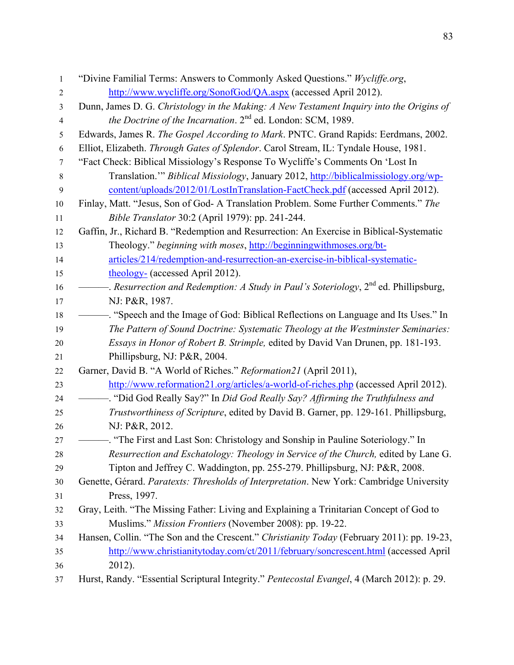| 1                | "Divine Familial Terms: Answers to Commonly Asked Questions." Wycliffe.org,                      |
|------------------|--------------------------------------------------------------------------------------------------|
| $\overline{2}$   | http://www.wycliffe.org/SonofGod/QA.aspx (accessed April 2012).                                  |
| $\mathfrak{Z}$   | Dunn, James D. G. Christology in the Making: A New Testament Inquiry into the Origins of         |
| $\overline{4}$   | the Doctrine of the Incarnation. 2 <sup>nd</sup> ed. London: SCM, 1989.                          |
| 5                | Edwards, James R. The Gospel According to Mark. PNTC. Grand Rapids: Eerdmans, 2002.              |
| 6                | Elliot, Elizabeth. Through Gates of Splendor. Carol Stream, IL: Tyndale House, 1981.             |
| $\tau$           | "Fact Check: Biblical Missiology's Response To Wycliffe's Comments On 'Lost In                   |
| $\,8\,$          | Translation."" Biblical Missiology, January 2012, http://biblicalmissiology.org/wp-              |
| $\boldsymbol{9}$ | content/uploads/2012/01/LostInTranslation-FactCheck.pdf (accessed April 2012).                   |
| 10               | Finlay, Matt. "Jesus, Son of God- A Translation Problem. Some Further Comments." The             |
| 11               | Bible Translator 30:2 (April 1979): pp. 241-244.                                                 |
| 12               | Gaffin, Jr., Richard B. "Redemption and Resurrection: An Exercise in Biblical-Systematic         |
| 13               | Theology." beginning with moses, http://beginningwithmoses.org/bt-                               |
| 14               | articles/214/redemption-and-resurrection-an-exercise-in-biblical-systematic-                     |
| 15               | theology- (accessed April 2012).                                                                 |
| 16               | -. Resurrection and Redemption: A Study in Paul's Soteriology, 2 <sup>nd</sup> ed. Phillipsburg, |
| 17               | NJ: P&R, 1987.                                                                                   |
| 18               | -. "Speech and the Image of God: Biblical Reflections on Language and Its Uses." In              |
| 19               | The Pattern of Sound Doctrine: Systematic Theology at the Westminster Seminaries:                |
| 20               | Essays in Honor of Robert B. Strimple, edited by David Van Drunen, pp. 181-193.                  |
| 21               | Phillipsburg, NJ: P&R, 2004.                                                                     |
| 22               | Garner, David B. "A World of Riches." Reformation21 (April 2011),                                |
| 23               | http://www.reformation21.org/articles/a-world-of-riches.php (accessed April 2012).               |
| 24               | -. "Did God Really Say?" In Did God Really Say? Affirming the Truthfulness and                   |
| 25               | Trustworthiness of Scripture, edited by David B. Garner, pp. 129-161. Phillipsburg,              |
| 26               | NJ: P&R, 2012.                                                                                   |
| 27               | - "The First and Last Son: Christology and Sonship in Pauline Soteriology." In                   |
| 28               | Resurrection and Eschatology: Theology in Service of the Church, edited by Lane G.               |
| 29               | Tipton and Jeffrey C. Waddington, pp. 255-279. Phillipsburg, NJ: P&R, 2008.                      |
| 30               | Genette, Gérard. Paratexts: Thresholds of Interpretation. New York: Cambridge University         |
| 31               | Press, 1997.                                                                                     |
| 32               | Gray, Leith. "The Missing Father: Living and Explaining a Trinitarian Concept of God to          |
| 33               | Muslims." Mission Frontiers (November 2008): pp. 19-22.                                          |
| 34               | Hansen, Collin. "The Son and the Crescent." Christianity Today (February 2011): pp. 19-23,       |
| 35               | http://www.christianitytoday.com/ct/2011/february/soncrescent.html (accessed April               |
| 36               | 2012).                                                                                           |
| 37               | Hurst, Randy. "Essential Scriptural Integrity." Pentecostal Evangel, 4 (March 2012): p. 29.      |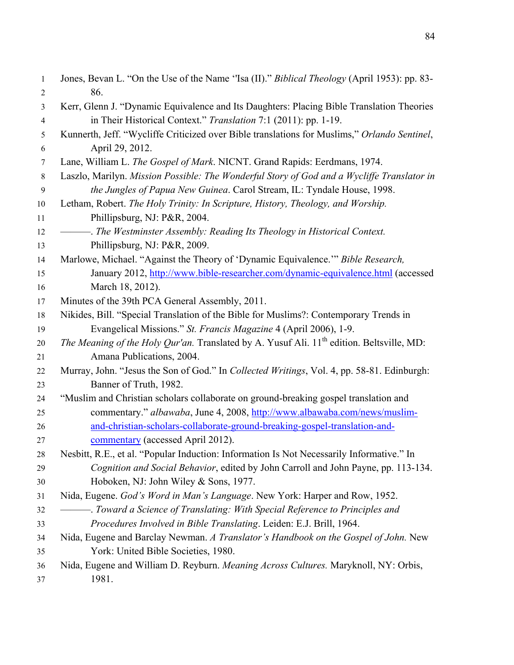| $\mathbf{1}$   | Jones, Bevan L. "On the Use of the Name "Isa (II)." Biblical Theology (April 1953): pp. 83-           |
|----------------|-------------------------------------------------------------------------------------------------------|
| $\overline{c}$ | 86.                                                                                                   |
| 3              | Kerr, Glenn J. "Dynamic Equivalence and Its Daughters: Placing Bible Translation Theories             |
| 4              | in Their Historical Context." Translation 7:1 (2011): pp. 1-19.                                       |
| 5              | Kunnerth, Jeff. "Wycliffe Criticized over Bible translations for Muslims," Orlando Sentinel,          |
| 6              | April 29, 2012.                                                                                       |
| $\tau$         | Lane, William L. The Gospel of Mark. NICNT. Grand Rapids: Eerdmans, 1974.                             |
| $8\phantom{1}$ | Laszlo, Marilyn. Mission Possible: The Wonderful Story of God and a Wycliffe Translator in            |
| 9              | the Jungles of Papua New Guinea. Carol Stream, IL: Tyndale House, 1998.                               |
| 10             | Letham, Robert. The Holy Trinity: In Scripture, History, Theology, and Worship.                       |
| 11             | Phillipsburg, NJ: P&R, 2004.                                                                          |
| 12             | - The Westminster Assembly: Reading Its Theology in Historical Context.                               |
| 13             | Phillipsburg, NJ: P&R, 2009.                                                                          |
| 14             | Marlowe, Michael. "Against the Theory of 'Dynamic Equivalence." Bible Research,                       |
| 15             | January 2012, http://www.bible-researcher.com/dynamic-equivalence.html (accessed                      |
| 16             | March 18, 2012).                                                                                      |
| 17             | Minutes of the 39th PCA General Assembly, 2011.                                                       |
| 18             | Nikides, Bill. "Special Translation of the Bible for Muslims?: Contemporary Trends in                 |
| 19             | Evangelical Missions." St. Francis Magazine 4 (April 2006), 1-9.                                      |
| 20             | The Meaning of the Holy Qur'an. Translated by A. Yusuf Ali. 11 <sup>th</sup> edition. Beltsville, MD: |
| 21             | Amana Publications, 2004.                                                                             |
| 22             | Murray, John. "Jesus the Son of God." In Collected Writings, Vol. 4, pp. 58-81. Edinburgh:            |
| 23             | Banner of Truth, 1982.                                                                                |
| 24             | "Muslim and Christian scholars collaborate on ground-breaking gospel translation and                  |
| 25             | commentary." albawaba, June 4, 2008, http://www.albawaba.com/news/muslim-                             |
| 26             | and-christian-scholars-collaborate-ground-breaking-gospel-translation-and-                            |
| 27             | commentary (accessed April 2012).                                                                     |
| 28             | Nesbitt, R.E., et al. "Popular Induction: Information Is Not Necessarily Informative." In             |
| 29             | Cognition and Social Behavior, edited by John Carroll and John Payne, pp. 113-134.                    |
| 30             | Hoboken, NJ: John Wiley & Sons, 1977.                                                                 |
| 31             | Nida, Eugene. God's Word in Man's Language. New York: Harper and Row, 1952.                           |
| 32             |                                                                                                       |
| 33             | Procedures Involved in Bible Translating. Leiden: E.J. Brill, 1964.                                   |
| 34             | Nida, Eugene and Barclay Newman. A Translator's Handbook on the Gospel of John. New                   |
| 35             | York: United Bible Societies, 1980.                                                                   |
| 36             | Nida, Eugene and William D. Reyburn. Meaning Across Cultures. Maryknoll, NY: Orbis,                   |
| 37             | 1981.                                                                                                 |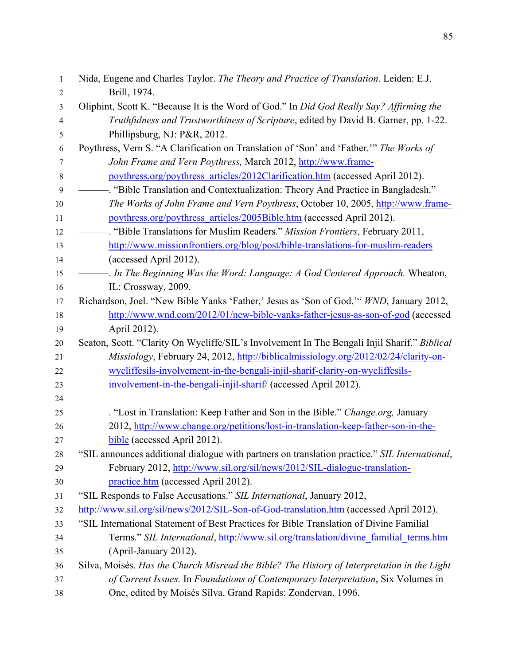| $\mathbf{1}$   | Nida, Eugene and Charles Taylor. The Theory and Practice of Translation. Leiden: E.J.         |
|----------------|-----------------------------------------------------------------------------------------------|
| $\overline{2}$ | Brill, 1974.                                                                                  |
| $\mathfrak{Z}$ | Oliphint, Scott K. "Because It is the Word of God." In Did God Really Say? Affirming the      |
| $\overline{4}$ | Truthfulness and Trustworthiness of Scripture, edited by David B. Garner, pp. 1-22.           |
| 5              | Phillipsburg, NJ: P&R, 2012.                                                                  |
| 6              | Poythress, Vern S. "A Clarification on Translation of 'Son' and 'Father."" The Works of       |
| 7              | John Frame and Vern Poythress, March 2012, http://www.frame-                                  |
| 8              | poythress.org/poythress_articles/2012Clarification.htm (accessed April 2012).                 |
| 9              | -. "Bible Translation and Contextualization: Theory And Practice in Bangladesh."              |
| 10             | The Works of John Frame and Vern Poythress, October 10, 2005, http://www.frame-               |
| 11             | poythress.org/poythress_articles/2005Bible.htm (accessed April 2012).                         |
| 12             | -. "Bible Translations for Muslim Readers." Mission Frontiers, February 2011,                 |
| 13             | http://www.missionfrontiers.org/blog/post/bible-translations-for-muslim-readers               |
| 14             | (accessed April 2012).                                                                        |
| 15             | -. In The Beginning Was the Word: Language: A God Centered Approach. Wheaton,                 |
| 16             | IL: Crossway, 2009.                                                                           |
| 17             | Richardson, Joel. "New Bible Yanks 'Father,' Jesus as 'Son of God." WND, January 2012,        |
| 18             | http://www.wnd.com/2012/01/new-bible-yanks-father-jesus-as-son-of-god (accessed               |
| 19             | April 2012).                                                                                  |
| 20             | Seaton, Scott. "Clarity On Wycliffe/SIL's Involvement In The Bengali Injil Sharif." Biblical  |
| 21             | Missiology, February 24, 2012, http://biblicalmissiology.org/2012/02/24/clarity-on-           |
| 22             | wycliffesils-involvement-in-the-bengali-injil-sharif-clarity-on-wycliffesils-                 |
| 23             | involvement-in-the-bengali-injil-sharif/ (accessed April 2012).                               |
| 24             |                                                                                               |
| 25             | -. "Lost in Translation: Keep Father and Son in the Bible." Change.org, January               |
| 26             | 2012, http://www.change.org/petitions/lost-in-translation-keep-father-son-in-the-             |
| 27             | bible (accessed April 2012).                                                                  |
| 28             | "SIL announces additional dialogue with partners on translation practice." SIL International, |
| 29             | February 2012, http://www.sil.org/sil/news/2012/SIL-dialogue-translation-                     |
| 30             | practice.htm (accessed April 2012).                                                           |
| 31             | "SIL Responds to False Accusations." SIL International, January 2012,                         |
| 32             | http://www.sil.org/sil/news/2012/SIL-Son-of-God-translation.htm (accessed April 2012).        |
| 33             | "SIL International Statement of Best Practices for Bible Translation of Divine Familial       |
| 34             | Terms." SIL International, http://www.sil.org/translation/divine familial terms.htm           |
| 35             | (April-January 2012).                                                                         |
| 36             | Silva, Moisés. Has the Church Misread the Bible? The History of Interpretation in the Light   |
| 37             | of Current Issues. In Foundations of Contemporary Interpretation, Six Volumes in              |
| 38             | One, edited by Moisés Silva. Grand Rapids: Zondervan, 1996.                                   |
|                |                                                                                               |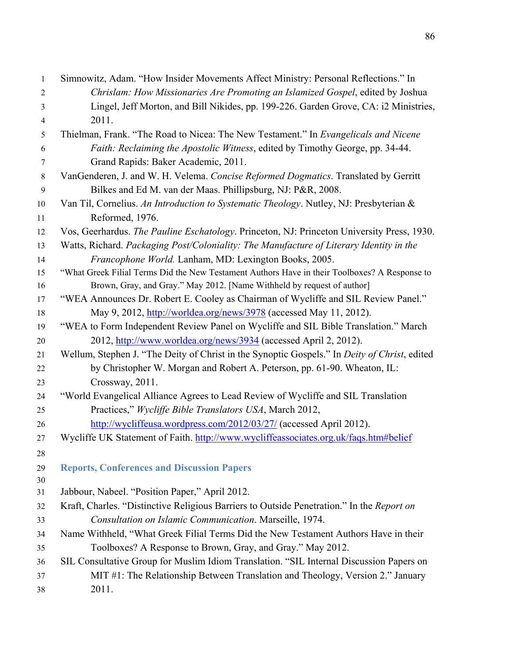| $\mathbf{1}$   | Simnowitz, Adam. "How Insider Movements Affect Ministry: Personal Reflections." In            |
|----------------|-----------------------------------------------------------------------------------------------|
| $\overline{2}$ | Chrislam: How Missionaries Are Promoting an Islamized Gospel, edited by Joshua                |
| 3              | Lingel, Jeff Morton, and Bill Nikides, pp. 199-226. Garden Grove, CA: i2 Ministries,          |
| 4              | 2011.                                                                                         |
| 5              | Thielman, Frank. "The Road to Nicea: The New Testament." In Evangelicals and Nicene           |
| 6              | Faith: Reclaiming the Apostolic Witness, edited by Timothy George, pp. 34-44.                 |
| 7              | Grand Rapids: Baker Academic, 2011.                                                           |
| 8              | VanGenderen, J. and W. H. Velema. Concise Reformed Dogmatics. Translated by Gerritt           |
| 9              | Bilkes and Ed M. van der Maas. Phillipsburg, NJ: P&R, 2008.                                   |
| 10             | Van Til, Cornelius. An Introduction to Systematic Theology. Nutley, NJ: Presbyterian &        |
| 11             | Reformed, 1976.                                                                               |
| 12             | Vos, Geerhardus. The Pauline Eschatology. Princeton, NJ: Princeton University Press, 1930.    |
| 13             | Watts, Richard. Packaging Post/Coloniality: The Manufacture of Literary Identity in the       |
| 14             | Francophone World. Lanham, MD: Lexington Books, 2005.                                         |
| 15             | "What Greek Filial Terms Did the New Testament Authors Have in their Toolboxes? A Response to |
| 16             | Brown, Gray, and Gray." May 2012. [Name Withheld by request of author]                        |
| 17             | "WEA Announces Dr. Robert E. Cooley as Chairman of Wycliffe and SIL Review Panel."            |
| 18             | May 9, 2012, http://worldea.org/news/3978 (accessed May 11, 2012).                            |
| 19             | "WEA to Form Independent Review Panel on Wycliffe and SIL Bible Translation." March           |
| 20             | 2012, http://www.worldea.org/news/3934 (accessed April 2, 2012).                              |
| 21             | Wellum, Stephen J. "The Deity of Christ in the Synoptic Gospels." In Deity of Christ, edited  |
| 22             | by Christopher W. Morgan and Robert A. Peterson, pp. 61-90. Wheaton, IL:                      |
| 23             | Crossway, 2011.                                                                               |
| 24             | "World Evangelical Alliance Agrees to Lead Review of Wycliffe and SIL Translation             |
| 25             | Practices," Wycliffe Bible Translators USA, March 2012,                                       |
| 26             | http://wycliffeusa.wordpress.com/2012/03/27/ (accessed April 2012).                           |
| 27             | Wycliffe UK Statement of Faith. http://www.wycliffeassociates.org.uk/faqs.htm#belief          |
| 28             |                                                                                               |
| 29             | <b>Reports, Conferences and Discussion Papers</b>                                             |
| 30             |                                                                                               |
| 31             | Jabbour, Nabeel. "Position Paper," April 2012.                                                |
| 32             | Kraft, Charles. "Distinctive Religious Barriers to Outside Penetration." In the Report on     |
| 33             | Consultation on Islamic Communication. Marseille, 1974.                                       |
| 34             | Name Withheld, "What Greek Filial Terms Did the New Testament Authors Have in their           |
| 35             | Toolboxes? A Response to Brown, Gray, and Gray." May 2012.                                    |
| 36             | SIL Consultative Group for Muslim Idiom Translation. "SIL Internal Discussion Papers on       |
| 37             | MIT #1: The Relationship Between Translation and Theology, Version 2." January                |
| 38             | 2011.                                                                                         |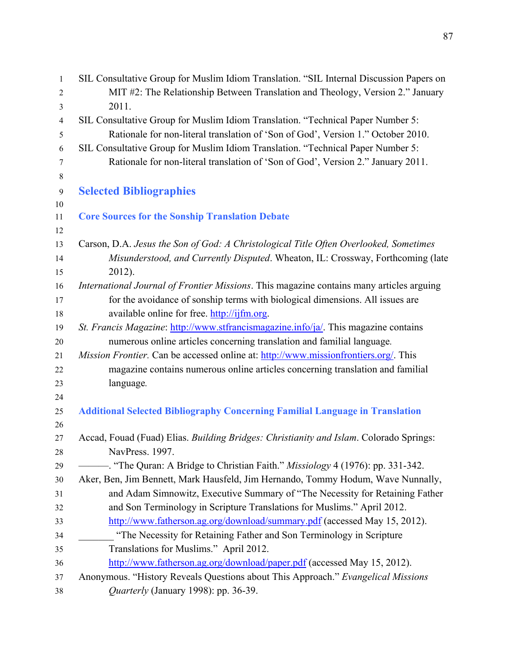| 1        | SIL Consultative Group for Muslim Idiom Translation. "SIL Internal Discussion Papers on    |
|----------|--------------------------------------------------------------------------------------------|
| 2        | MIT #2: The Relationship Between Translation and Theology, Version 2." January             |
| 3        | 2011.                                                                                      |
| 4        | SIL Consultative Group for Muslim Idiom Translation. "Technical Paper Number 5:            |
| 5        | Rationale for non-literal translation of 'Son of God', Version 1." October 2010.           |
| 6        | SIL Consultative Group for Muslim Idiom Translation. "Technical Paper Number 5:            |
| 7        | Rationale for non-literal translation of 'Son of God', Version 2." January 2011.           |
| $8\,$    |                                                                                            |
| 9        | <b>Selected Bibliographies</b>                                                             |
| 10       |                                                                                            |
| 11       | <b>Core Sources for the Sonship Translation Debate</b>                                     |
| 12       |                                                                                            |
| 13       | Carson, D.A. Jesus the Son of God: A Christological Title Often Overlooked, Sometimes      |
| 14<br>15 | Misunderstood, and Currently Disputed. Wheaton, IL: Crossway, Forthcoming (late<br>2012).  |
| 16       | International Journal of Frontier Missions. This magazine contains many articles arguing   |
| 17       | for the avoidance of sonship terms with biological dimensions. All issues are              |
| 18       | available online for free. http://ijfm.org.                                                |
| 19       | St. Francis Magazine: http://www.stfrancismagazine.info/ja/. This magazine contains        |
| 20       | numerous online articles concerning translation and familial language.                     |
| 21       | <i>Mission Frontier.</i> Can be accessed online at: http://www.missionfrontiers.org/. This |
| 22       | magazine contains numerous online articles concerning translation and familial             |
| 23       | language.                                                                                  |
| 24       |                                                                                            |
| 25<br>26 | <b>Additional Selected Bibliography Concerning Familial Language in Translation</b>        |
| 27       | Accad, Fouad (Fuad) Elias. Building Bridges: Christianity and Islam. Colorado Springs:     |
| 28       | NavPress. 1997.                                                                            |
| 29       | - "The Quran: A Bridge to Christian Faith." <i>Missiology</i> 4 (1976): pp. 331-342.       |
| 30       | Aker, Ben, Jim Bennett, Mark Hausfeld, Jim Hernando, Tommy Hodum, Wave Nunnally,           |
| 31       | and Adam Simnowitz, Executive Summary of "The Necessity for Retaining Father               |
| 32       | and Son Terminology in Scripture Translations for Muslims." April 2012.                    |
| 33       | http://www.fatherson.ag.org/download/summary.pdf (accessed May 15, 2012).                  |
| 34       | "The Necessity for Retaining Father and Son Terminology in Scripture                       |
| 35       | Translations for Muslims." April 2012.                                                     |
| 36       | http://www.fatherson.ag.org/download/paper.pdf (accessed May 15, 2012).                    |
| 37       | Anonymous. "History Reveals Questions about This Approach." Evangelical Missions           |
| 38       | Quarterly (January 1998): pp. 36-39.                                                       |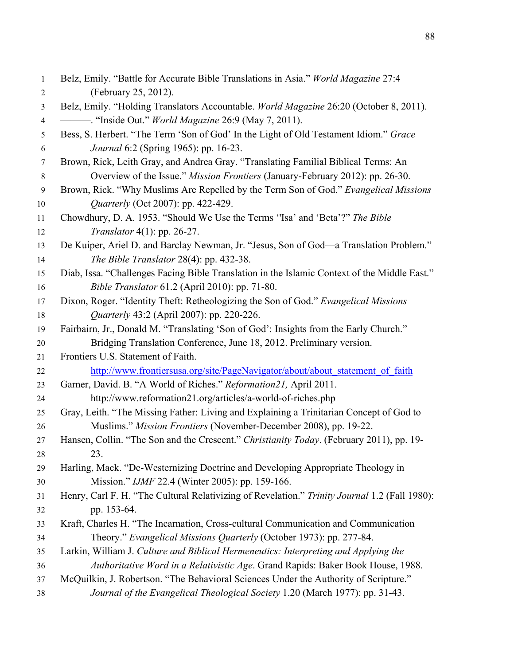| $\mathbf{1}$   | Belz, Emily. "Battle for Accurate Bible Translations in Asia." World Magazine 27:4            |
|----------------|-----------------------------------------------------------------------------------------------|
| $\overline{2}$ | (February 25, 2012).                                                                          |
| 3              | Belz, Emily. "Holding Translators Accountable. World Magazine 26:20 (October 8, 2011).        |
| $\overline{4}$ |                                                                                               |
| 5              | Bess, S. Herbert. "The Term 'Son of God' In the Light of Old Testament Idiom." Grace          |
| 6              | Journal 6:2 (Spring 1965): pp. 16-23.                                                         |
| 7              | Brown, Rick, Leith Gray, and Andrea Gray. "Translating Familial Biblical Terms: An            |
| $8\phantom{1}$ | Overview of the Issue." Mission Frontiers (January-February 2012): pp. 26-30.                 |
| 9              | Brown, Rick. "Why Muslims Are Repelled by the Term Son of God." Evangelical Missions          |
| 10             | <i>Quarterly</i> (Oct 2007): pp. 422-429.                                                     |
| 11             | Chowdhury, D. A. 1953. "Should We Use the Terms "Isa' and 'Beta'?" The Bible                  |
| 12             | Translator $4(1)$ : pp. 26-27.                                                                |
| 13             | De Kuiper, Ariel D. and Barclay Newman, Jr. "Jesus, Son of God—a Translation Problem."        |
| 14             | The Bible Translator 28(4): pp. 432-38.                                                       |
| 15             | Diab, Issa. "Challenges Facing Bible Translation in the Islamic Context of the Middle East."  |
| 16             | Bible Translator 61.2 (April 2010): pp. 71-80.                                                |
| 17             | Dixon, Roger. "Identity Theft: Retheologizing the Son of God." Evangelical Missions           |
| 18             | <i>Quarterly</i> 43:2 (April 2007): pp. 220-226.                                              |
| 19             | Fairbairn, Jr., Donald M. "Translating 'Son of God': Insights from the Early Church."         |
| 20             | Bridging Translation Conference, June 18, 2012. Preliminary version.                          |
| 21             | Frontiers U.S. Statement of Faith.                                                            |
| 22             | http://www.frontiersusa.org/site/PageNavigator/about/about statement of faith                 |
| 23             | Garner, David. B. "A World of Riches." Reformation21, April 2011.                             |
| 24             | http://www.reformation21.org/articles/a-world-of-riches.php                                   |
| 25             | Gray, Leith. "The Missing Father: Living and Explaining a Trinitarian Concept of God to       |
| 26             | Muslims." Mission Frontiers (November-December 2008), pp. 19-22.                              |
| 27             | Hansen, Collin. "The Son and the Crescent." Christianity Today. (February 2011), pp. 19-      |
| 28             | 23.                                                                                           |
| 29             | Harling, Mack. "De-Westernizing Doctrine and Developing Appropriate Theology in               |
| 30             | Mission." <i>IJMF</i> 22.4 (Winter 2005): pp. 159-166.                                        |
| 31             | Henry, Carl F. H. "The Cultural Relativizing of Revelation." Trinity Journal 1.2 (Fall 1980): |
| 32             | pp. 153-64.                                                                                   |
| 33             | Kraft, Charles H. "The Incarnation, Cross-cultural Communication and Communication            |
| 34             | Theory." Evangelical Missions Quarterly (October 1973): pp. 277-84.                           |
| 35             | Larkin, William J. Culture and Biblical Hermeneutics: Interpreting and Applying the           |
| 36             | Authoritative Word in a Relativistic Age. Grand Rapids: Baker Book House, 1988.               |
| 37             | McQuilkin, J. Robertson. "The Behavioral Sciences Under the Authority of Scripture."          |
| 38             | Journal of the Evangelical Theological Society 1.20 (March 1977): pp. 31-43.                  |